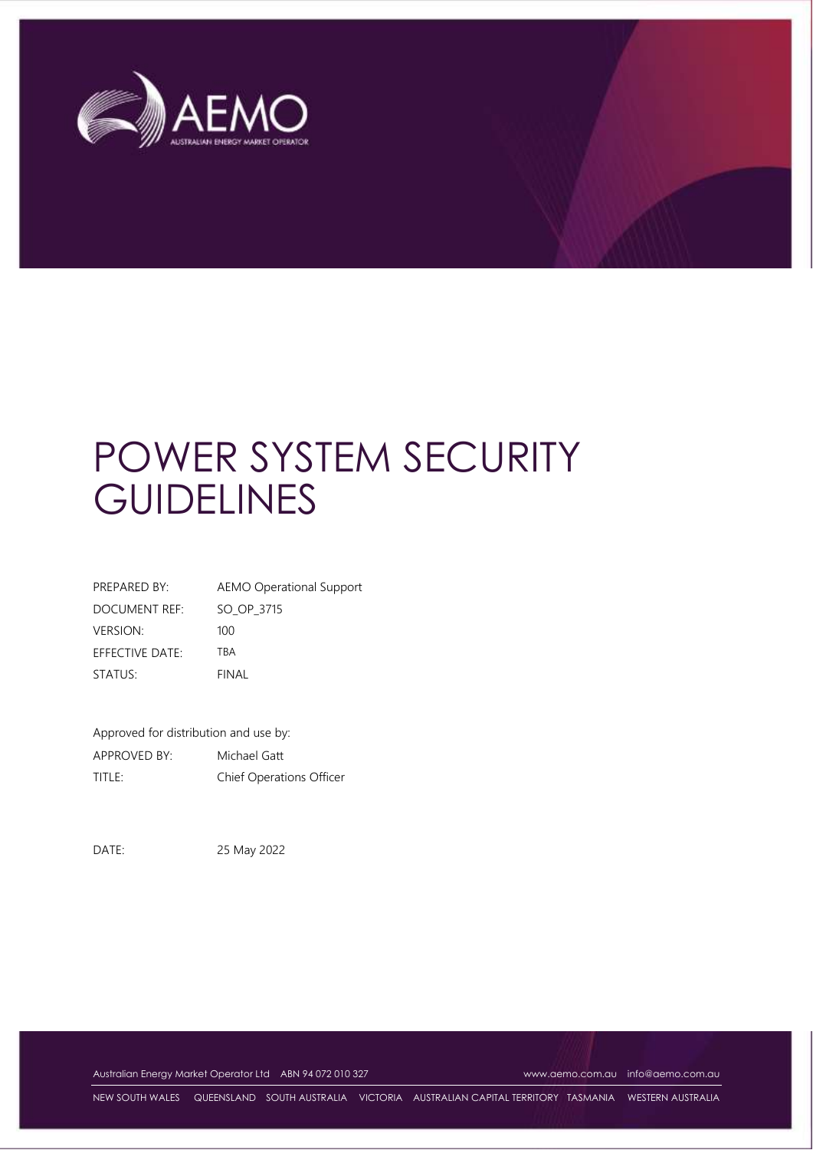

# POWER SYSTEM SECURITY **GUIDELINES**

| PREPARED BY:         | AEMO Operational Support |
|----------------------|--------------------------|
| <b>DOCUMENT REF:</b> | SO OP 3715               |
| <b>VERSION:</b>      | 100                      |
| EFFECTIVE DATE:      | TRA                      |
| STATUS:              | FINAL                    |

Approved for distribution and use by: APPROVED BY: Michael Gatt TITLE: Chief Operations Officer

DATE: 25 May 2022

Australian Energy Market Operator Ltd ABN 94 072 010 327 [www.aemo.com.au](http://www.aemo.com.au/) [info@aemo.com.au](mailto:info@aemo.com.au)

NEW SOUTH WALES QUEENSLAND SOUTH AUSTRALIA VICTORIA AUSTRALIAN CAPITAL TERRITORY TASMANIA WESTERN AUSTRALIA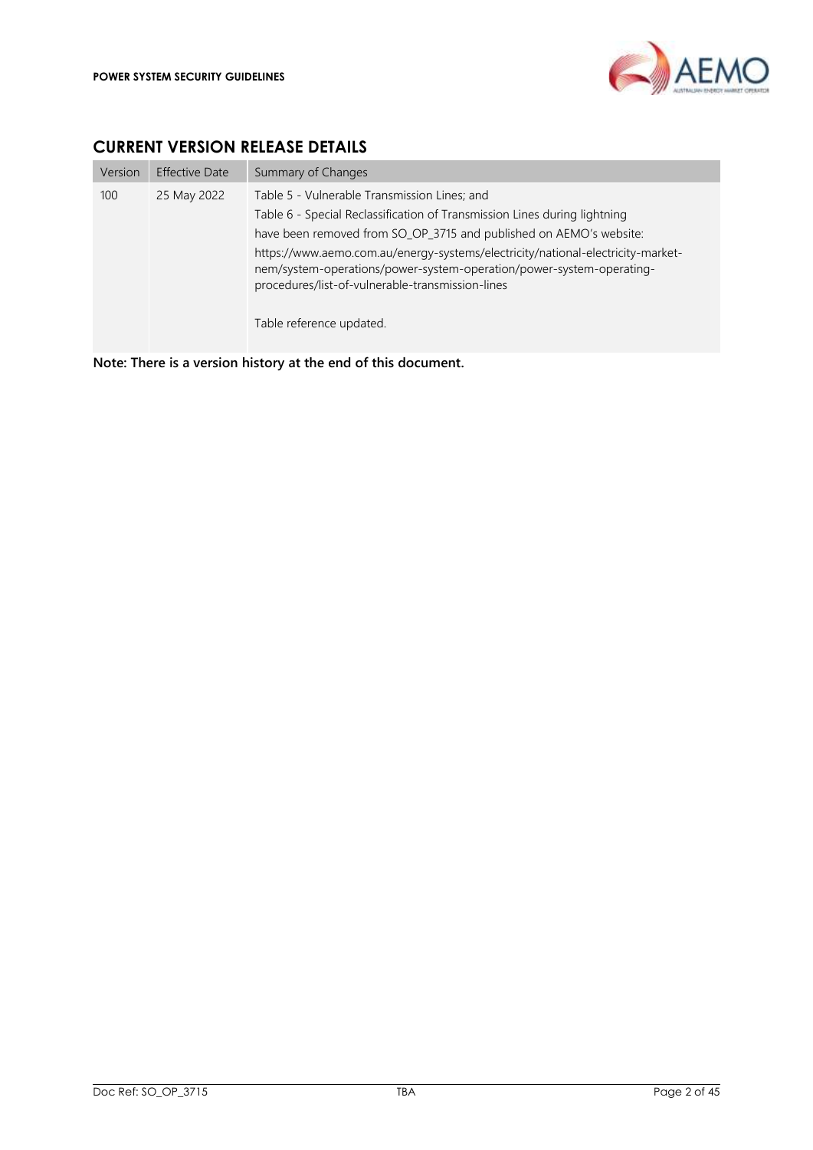

# <span id="page-1-0"></span>**CURRENT VERSION RELEASE DETAILS**

| Version | <b>Effective Date</b> | Summary of Changes                                                                                                                                                                                                                                                                                                                                                                                                                         |
|---------|-----------------------|--------------------------------------------------------------------------------------------------------------------------------------------------------------------------------------------------------------------------------------------------------------------------------------------------------------------------------------------------------------------------------------------------------------------------------------------|
| 100     | 25 May 2022           | Table 5 - Vulnerable Transmission Lines; and<br>Table 6 - Special Reclassification of Transmission Lines during lightning<br>have been removed from SO_OP_3715 and published on AEMO's website:<br>https://www.aemo.com.au/energy-systems/electricity/national-electricity-market-<br>nem/system-operations/power-system-operation/power-system-operating-<br>procedures/list-of-vulnerable-transmission-lines<br>Table reference updated. |

**Note: There is a version history at the end of this document.**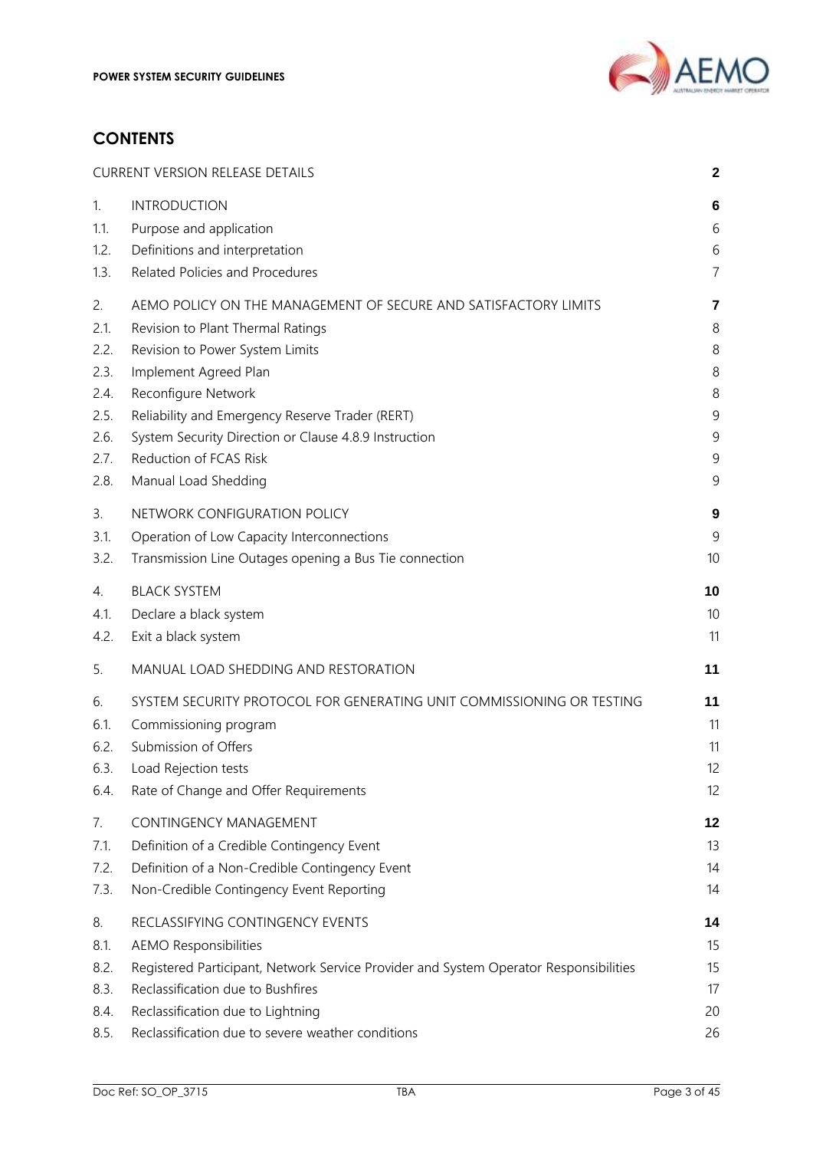

# **CONTENTS**

|      | <b>CURRENT VERSION RELEASE DETAILS</b>                                                | $\mathbf{2}$ |
|------|---------------------------------------------------------------------------------------|--------------|
| 1.   | <b>INTRODUCTION</b>                                                                   | 6            |
| 1.1. | Purpose and application                                                               | 6            |
| 1.2. | Definitions and interpretation                                                        | 6            |
| 1.3. | Related Policies and Procedures                                                       | 7            |
| 2.   | AEMO POLICY ON THE MANAGEMENT OF SECURE AND SATISFACTORY LIMITS                       | 7            |
| 2.1. | Revision to Plant Thermal Ratings                                                     | 8            |
| 2.2. | Revision to Power System Limits                                                       | 8            |
| 2.3. | Implement Agreed Plan                                                                 | 8            |
| 2.4. | Reconfigure Network                                                                   | 8            |
| 2.5. | Reliability and Emergency Reserve Trader (RERT)                                       | 9            |
| 2.6. | System Security Direction or Clause 4.8.9 Instruction                                 | 9            |
| 2.7. | Reduction of FCAS Risk                                                                | 9            |
| 2.8. | Manual Load Shedding                                                                  | 9            |
| 3.   | NETWORK CONFIGURATION POLICY                                                          | 9            |
| 3.1. | Operation of Low Capacity Interconnections                                            | 9            |
| 3.2. | Transmission Line Outages opening a Bus Tie connection                                | 10           |
| 4.   | <b>BLACK SYSTEM</b>                                                                   | 10           |
| 4.1. | Declare a black system                                                                | 10           |
| 4.2. | Exit a black system                                                                   | 11           |
| 5.   | MANUAL LOAD SHEDDING AND RESTORATION                                                  | 11           |
| 6.   | SYSTEM SECURITY PROTOCOL FOR GENERATING UNIT COMMISSIONING OR TESTING                 | 11           |
| 6.1. | Commissioning program                                                                 | 11           |
| 6.2. | Submission of Offers                                                                  | 11           |
| 6.3. | Load Rejection tests                                                                  | 12           |
| 6.4. | Rate of Change and Offer Requirements                                                 | 12           |
| 7.   | CONTINGENCY MANAGEMENT                                                                | 12           |
| 7.1. | Definition of a Credible Contingency Event                                            | 13           |
| 7.2. | Definition of a Non-Credible Contingency Event                                        | 14           |
| 7.3. | Non-Credible Contingency Event Reporting                                              | 14           |
| 8.   | RECLASSIFYING CONTINGENCY EVENTS                                                      | 14           |
| 8.1. | <b>AEMO Responsibilities</b>                                                          | 15           |
| 8.2. | Registered Participant, Network Service Provider and System Operator Responsibilities | 15           |
| 8.3. | Reclassification due to Bushfires                                                     | 17           |
| 8.4. | Reclassification due to Lightning                                                     | 20           |
| 8.5. | Reclassification due to severe weather conditions                                     | 26           |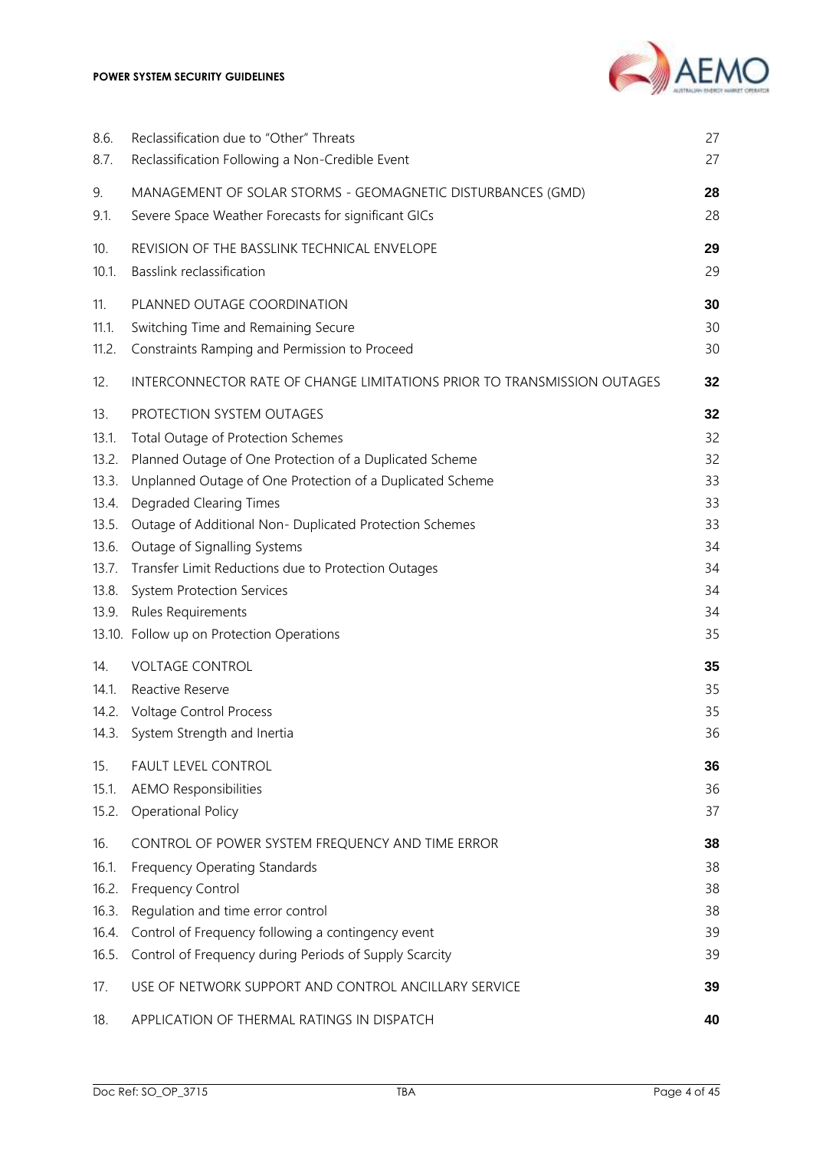

| 8.6.                                                                                                                   | Reclassification due to "Other" Threats                                                                                                                                                                                                                                                                                                                                                                                                                                                                                                                                                     | 27                                                                                     |
|------------------------------------------------------------------------------------------------------------------------|---------------------------------------------------------------------------------------------------------------------------------------------------------------------------------------------------------------------------------------------------------------------------------------------------------------------------------------------------------------------------------------------------------------------------------------------------------------------------------------------------------------------------------------------------------------------------------------------|----------------------------------------------------------------------------------------|
| 8.7.                                                                                                                   | Reclassification Following a Non-Credible Event                                                                                                                                                                                                                                                                                                                                                                                                                                                                                                                                             | 27                                                                                     |
| 9.                                                                                                                     | MANAGEMENT OF SOLAR STORMS - GEOMAGNETIC DISTURBANCES (GMD)                                                                                                                                                                                                                                                                                                                                                                                                                                                                                                                                 | 28                                                                                     |
| 9.1.                                                                                                                   | Severe Space Weather Forecasts for significant GICs                                                                                                                                                                                                                                                                                                                                                                                                                                                                                                                                         | 28                                                                                     |
| 10.                                                                                                                    | REVISION OF THE BASSLINK TECHNICAL ENVELOPE                                                                                                                                                                                                                                                                                                                                                                                                                                                                                                                                                 | 29                                                                                     |
| 10.1.                                                                                                                  | Basslink reclassification                                                                                                                                                                                                                                                                                                                                                                                                                                                                                                                                                                   | 29                                                                                     |
| 11.                                                                                                                    | PLANNED OUTAGE COORDINATION                                                                                                                                                                                                                                                                                                                                                                                                                                                                                                                                                                 | 30                                                                                     |
| 11.1.                                                                                                                  | Switching Time and Remaining Secure                                                                                                                                                                                                                                                                                                                                                                                                                                                                                                                                                         | 30                                                                                     |
| 11.2.                                                                                                                  | Constraints Ramping and Permission to Proceed                                                                                                                                                                                                                                                                                                                                                                                                                                                                                                                                               | 30                                                                                     |
| 12.                                                                                                                    | INTERCONNECTOR RATE OF CHANGE LIMITATIONS PRIOR TO TRANSMISSION OUTAGES                                                                                                                                                                                                                                                                                                                                                                                                                                                                                                                     | 32                                                                                     |
| 13.<br>13.1.<br>13.2.<br>13.3.<br>13.4.<br>13.5.<br>13.6.<br>13.7.<br>13.8.<br>13.9.<br>14.<br>14.1.<br>14.2.<br>14.3. | PROTECTION SYSTEM OUTAGES<br>Total Outage of Protection Schemes<br>Planned Outage of One Protection of a Duplicated Scheme<br>Unplanned Outage of One Protection of a Duplicated Scheme<br>Degraded Clearing Times<br>Outage of Additional Non- Duplicated Protection Schemes<br>Outage of Signalling Systems<br>Transfer Limit Reductions due to Protection Outages<br><b>System Protection Services</b><br>Rules Requirements<br>13.10. Follow up on Protection Operations<br><b>VOLTAGE CONTROL</b><br>Reactive Reserve<br><b>Voltage Control Process</b><br>System Strength and Inertia | 32<br>32<br>32<br>33<br>33<br>33<br>34<br>34<br>34<br>34<br>35<br>35<br>35<br>35<br>36 |
| 15.                                                                                                                    | FAULT LEVEL CONTROL                                                                                                                                                                                                                                                                                                                                                                                                                                                                                                                                                                         | 36                                                                                     |
| 15.1.                                                                                                                  | <b>AEMO Responsibilities</b>                                                                                                                                                                                                                                                                                                                                                                                                                                                                                                                                                                | 36                                                                                     |
| 15.2.                                                                                                                  | <b>Operational Policy</b>                                                                                                                                                                                                                                                                                                                                                                                                                                                                                                                                                                   | 37                                                                                     |
| 16.                                                                                                                    | CONTROL OF POWER SYSTEM FREQUENCY AND TIME ERROR                                                                                                                                                                                                                                                                                                                                                                                                                                                                                                                                            | 38                                                                                     |
| 16.1.                                                                                                                  | Frequency Operating Standards                                                                                                                                                                                                                                                                                                                                                                                                                                                                                                                                                               | 38                                                                                     |
| 16.2.                                                                                                                  | Frequency Control                                                                                                                                                                                                                                                                                                                                                                                                                                                                                                                                                                           | 38                                                                                     |
| 16.3.                                                                                                                  | Regulation and time error control                                                                                                                                                                                                                                                                                                                                                                                                                                                                                                                                                           | 38                                                                                     |
| 16.4.                                                                                                                  | Control of Frequency following a contingency event                                                                                                                                                                                                                                                                                                                                                                                                                                                                                                                                          | 39                                                                                     |
| 16.5.                                                                                                                  | Control of Frequency during Periods of Supply Scarcity                                                                                                                                                                                                                                                                                                                                                                                                                                                                                                                                      | 39                                                                                     |
| 17.                                                                                                                    | USE OF NETWORK SUPPORT AND CONTROL ANCILLARY SERVICE                                                                                                                                                                                                                                                                                                                                                                                                                                                                                                                                        | 39                                                                                     |
| 18.                                                                                                                    | APPLICATION OF THERMAL RATINGS IN DISPATCH                                                                                                                                                                                                                                                                                                                                                                                                                                                                                                                                                  | 40                                                                                     |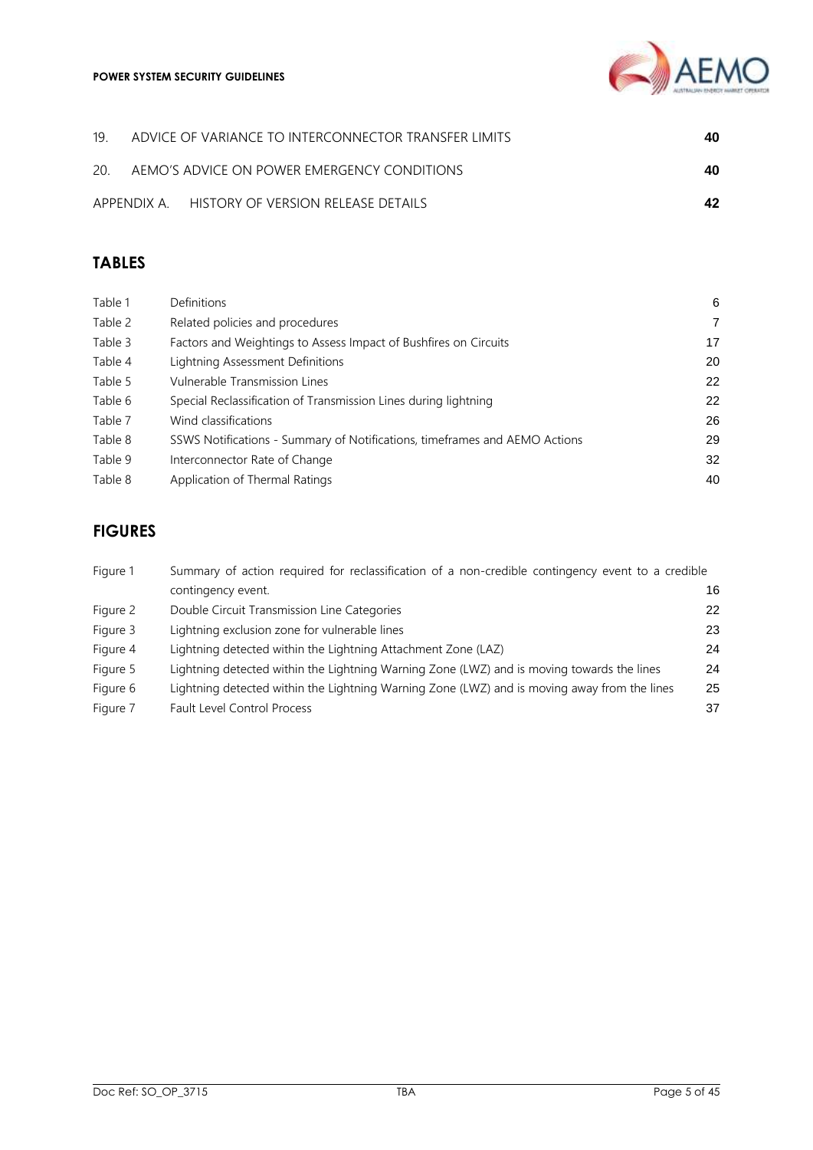

|  | 19. ADVICE OF VARIANCE TO INTERCONNECTOR TRANSFER LIMITS | 40 |
|--|----------------------------------------------------------|----|
|  | 20. AEMO'S ADVICE ON POWER EMERGENCY CONDITIONS          | 40 |
|  | APPENDIX A. HISTORY OF VERSION RELEASE DETAILS           | 42 |

# **TABLES**

| Table 1 | Definitions                                                                | 6              |
|---------|----------------------------------------------------------------------------|----------------|
| Table 2 | Related policies and procedures                                            | $\overline{7}$ |
| Table 3 | Factors and Weightings to Assess Impact of Bushfires on Circuits           | 17             |
| Table 4 | Lightning Assessment Definitions                                           | 20             |
| Table 5 | Vulnerable Transmission Lines                                              | 22             |
| Table 6 | Special Reclassification of Transmission Lines during lightning            | 22             |
| Table 7 | Wind classifications                                                       | 26             |
| Table 8 | SSWS Notifications - Summary of Notifications, timeframes and AEMO Actions | 29             |
| Table 9 | Interconnector Rate of Change                                              | 32             |
| Table 8 | Application of Thermal Ratings                                             | 40             |
|         |                                                                            |                |

# **FIGURES**

| Figure 1 | Summary of action required for reclassification of a non-credible contingency event to a credible |    |
|----------|---------------------------------------------------------------------------------------------------|----|
|          | contingency event.                                                                                | 16 |
| Figure 2 | Double Circuit Transmission Line Categories                                                       | 22 |
| Figure 3 | Lightning exclusion zone for vulnerable lines                                                     | 23 |
| Figure 4 | Lightning detected within the Lightning Attachment Zone (LAZ)                                     | 24 |
| Figure 5 | Lightning detected within the Lightning Warning Zone (LWZ) and is moving towards the lines        | 24 |
| Figure 6 | Lightning detected within the Lightning Warning Zone (LWZ) and is moving away from the lines      | 25 |
| Figure 7 | <b>Fault Level Control Process</b>                                                                | 37 |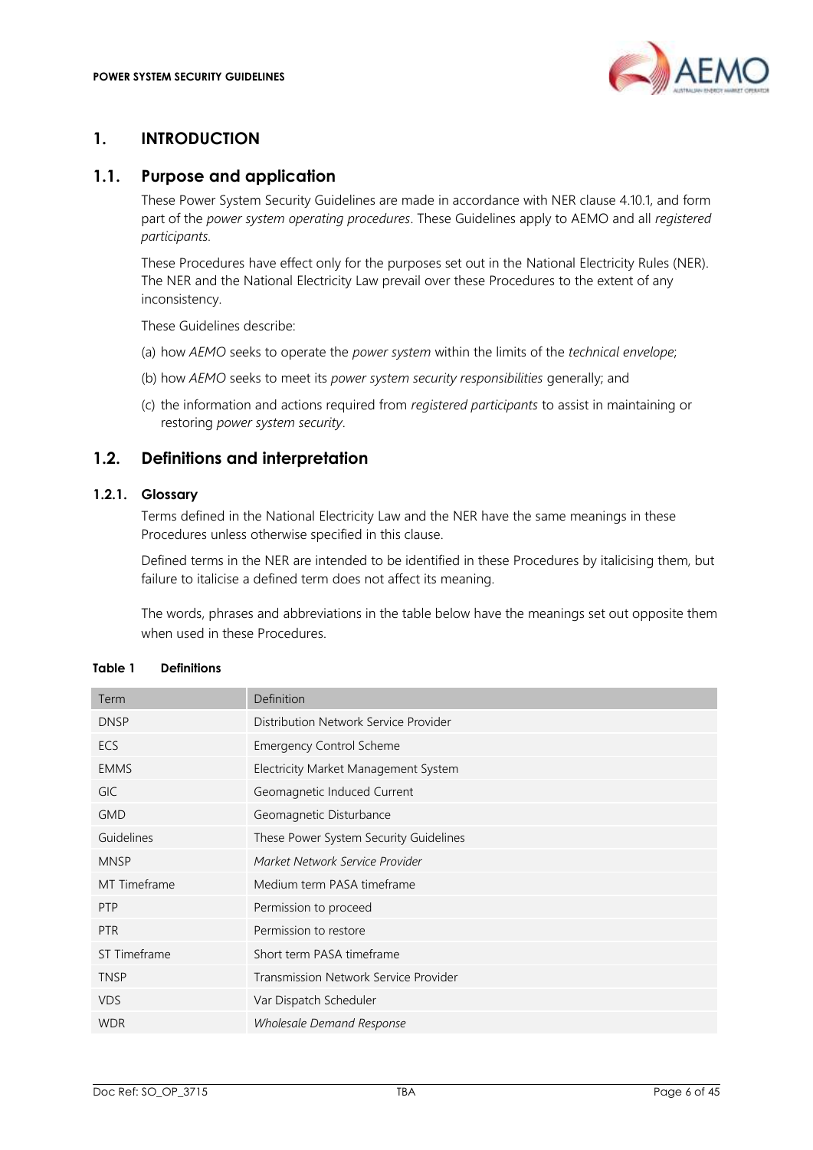

# <span id="page-5-0"></span>**1. INTRODUCTION**

### <span id="page-5-1"></span>**1.1. Purpose and application**

These Power System Security Guidelines are made in accordance with NER clause 4.10.1, and form part of the *power system operating procedures*. These Guidelines apply to AEMO and all *registered participants.*

These Procedures have effect only for the purposes set out in the National Electricity Rules (NER). The NER and the National Electricity Law prevail over these Procedures to the extent of any inconsistency.

These Guidelines describe:

- (a) how *AEMO* seeks to operate the *power system* within the limits of the *technical envelope*;
- (b) how *AEMO* seeks to meet its *power system security responsibilities* generally; and
- (c) the information and actions required from *registered participants* to assist in maintaining or restoring *power system security*.

# <span id="page-5-2"></span>**1.2. Definitions and interpretation**

### **1.2.1. Glossary**

Terms defined in the National Electricity Law and the NER have the same meanings in these Procedures unless otherwise specified in this clause.

Defined terms in the NER are intended to be identified in these Procedures by italicising them, but failure to italicise a defined term does not affect its meaning.

The words, phrases and abbreviations in the table below have the meanings set out opposite them when used in these Procedures.

| Term         | Definition                             |
|--------------|----------------------------------------|
| <b>DNSP</b>  | Distribution Network Service Provider  |
| <b>ECS</b>   | <b>Emergency Control Scheme</b>        |
| <b>EMMS</b>  | Electricity Market Management System   |
| <b>GIC</b>   | Geomagnetic Induced Current            |
| <b>GMD</b>   | Geomagnetic Disturbance                |
| Guidelines   | These Power System Security Guidelines |
| <b>MNSP</b>  | Market Network Service Provider        |
| MT Timeframe | Medium term PASA timeframe             |
| <b>PTP</b>   | Permission to proceed                  |
| <b>PTR</b>   | Permission to restore                  |
| ST Timeframe | Short term PASA timeframe              |
| <b>TNSP</b>  | Transmission Network Service Provider  |
| <b>VDS</b>   | Var Dispatch Scheduler                 |
| <b>WDR</b>   | <b>Wholesale Demand Response</b>       |

#### <span id="page-5-3"></span>**Table 1 Definitions**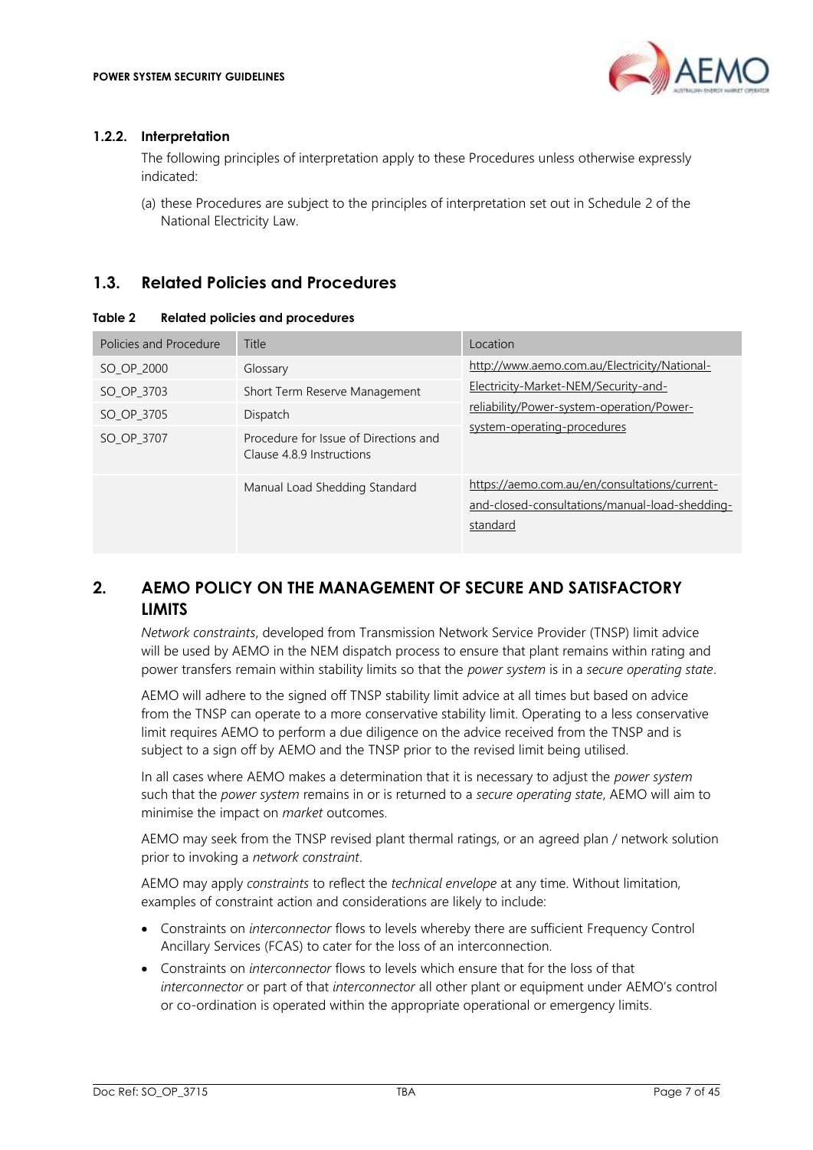

### **1.2.2. Interpretation**

The following principles of interpretation apply to these Procedures unless otherwise expressly indicated:

(a) these Procedures are subject to the principles of interpretation set out in Schedule 2 of the National Electricity Law.

### <span id="page-6-0"></span>**1.3. Related Policies and Procedures**

#### <span id="page-6-2"></span>**Table 2 Related policies and procedures**

| Policies and Procedure | Title                                                              | Location                                                                                                    |
|------------------------|--------------------------------------------------------------------|-------------------------------------------------------------------------------------------------------------|
| SO OP 2000             | Glossary                                                           | http://www.aemo.com.au/Electricity/National-                                                                |
| SO OP 3703             | Short Term Reserve Management                                      | Electricity-Market-NEM/Security-and-                                                                        |
| SO_OP_3705             | Dispatch                                                           | reliability/Power-system-operation/Power-                                                                   |
| SO_OP_3707             | Procedure for Issue of Directions and<br>Clause 4.8.9 Instructions | system-operating-procedures                                                                                 |
|                        | Manual Load Shedding Standard                                      | https://aemo.com.au/en/consultations/current-<br>and-closed-consultations/manual-load-shedding-<br>standard |

# <span id="page-6-1"></span>**2. AEMO POLICY ON THE MANAGEMENT OF SECURE AND SATISFACTORY LIMITS**

*Network constraints*, developed from Transmission Network Service Provider (TNSP) limit advice will be used by AEMO in the NEM dispatch process to ensure that plant remains within rating and power transfers remain within stability limits so that the *power system* is in a *secure operating state*.

AEMO will adhere to the signed off TNSP stability limit advice at all times but based on advice from the TNSP can operate to a more conservative stability limit. Operating to a less conservative limit requires AEMO to perform a due diligence on the advice received from the TNSP and is subject to a sign off by AEMO and the TNSP prior to the revised limit being utilised.

In all cases where AEMO makes a determination that it is necessary to adjust the *power system* such that the *power system* remains in or is returned to a *secure operating state*, AEMO will aim to minimise the impact on *market* outcomes.

AEMO may seek from the TNSP revised plant thermal ratings, or an agreed plan / network solution prior to invoking a *network constraint*.

AEMO may apply *constraints* to reflect the *technical envelope* at any time. Without limitation, examples of constraint action and considerations are likely to include:

- Constraints on *interconnector* flows to levels whereby there are sufficient Frequency Control Ancillary Services (FCAS) to cater for the loss of an interconnection.
- Constraints on *interconnector* flows to levels which ensure that for the loss of that *interconnector* or part of that *interconnector* all other plant or equipment under AEMO's control or co-ordination is operated within the appropriate operational or emergency limits.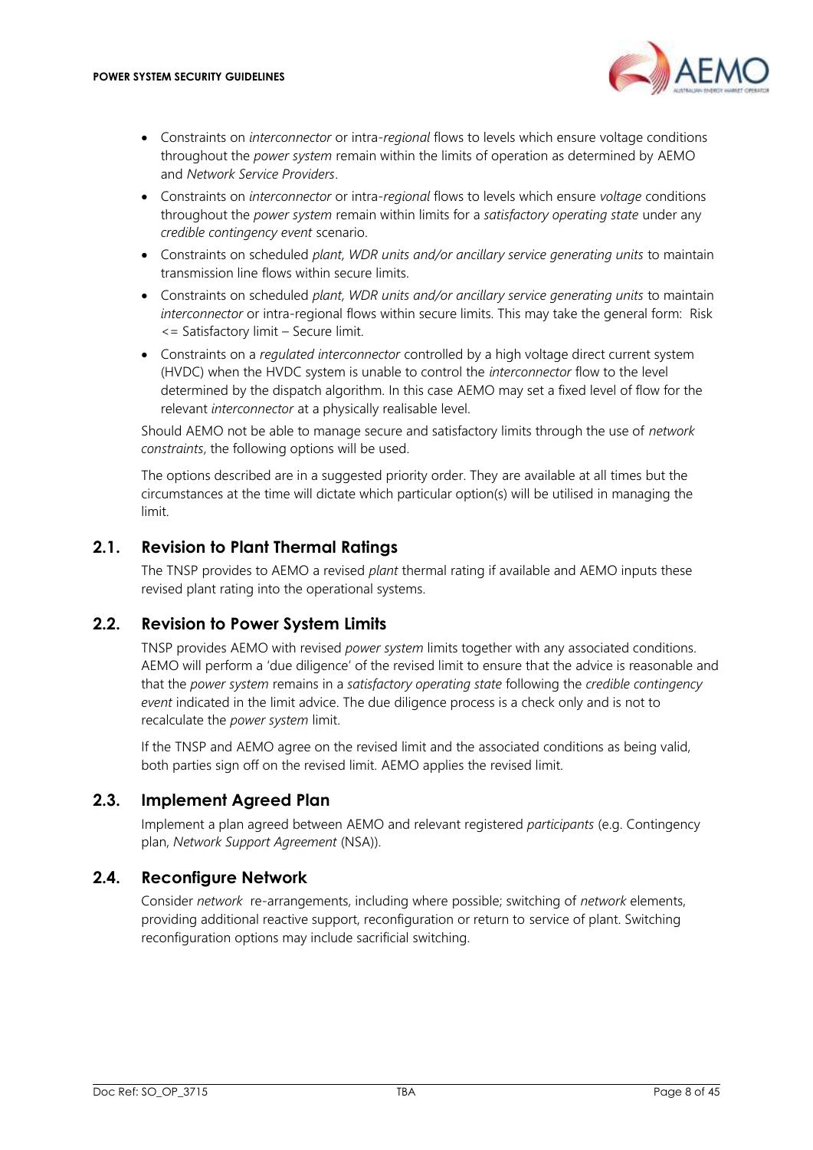

- Constraints on *interconnector* or intra*-regional* flows to levels which ensure voltage conditions throughout the *power system* remain within the limits of operation as determined by AEMO and *Network Service Providers*.
- Constraints on *interconnector* or intra-*regional* flows to levels which ensure *voltage* conditions throughout the *power system* remain within limits for a *satisfactory operating state* under any *credible contingency event* scenario.
- Constraints on scheduled *plant, WDR units and/or ancillary service generating units* to maintain transmission line flows within secure limits.
- Constraints on scheduled *plant, WDR units and/or ancillary service generating units* to maintain *interconnector* or intra-regional flows within secure limits. This may take the general form: Risk <= Satisfactory limit – Secure limit.
- Constraints on a *regulated interconnector* controlled by a high voltage direct current system (HVDC) when the HVDC system is unable to control the *interconnector* flow to the level determined by the dispatch algorithm. In this case AEMO may set a fixed level of flow for the relevant *interconnector* at a physically realisable level.

Should AEMO not be able to manage secure and satisfactory limits through the use of *network constraints*, the following options will be used.

The options described are in a suggested priority order. They are available at all times but the circumstances at the time will dictate which particular option(s) will be utilised in managing the limit.

# <span id="page-7-0"></span>**2.1. Revision to Plant Thermal Ratings**

The TNSP provides to AEMO a revised *plant* thermal rating if available and AEMO inputs these revised plant rating into the operational systems.

# <span id="page-7-1"></span>**2.2. Revision to Power System Limits**

TNSP provides AEMO with revised *power system* limits together with any associated conditions. AEMO will perform a 'due diligence' of the revised limit to ensure that the advice is reasonable and that the *power system* remains in a *satisfactory operating state* following the *credible contingency event* indicated in the limit advice. The due diligence process is a check only and is not to recalculate the *power system* limit.

If the TNSP and AEMO agree on the revised limit and the associated conditions as being valid, both parties sign off on the revised limit. AEMO applies the revised limit.

# <span id="page-7-2"></span>**2.3. Implement Agreed Plan**

Implement a plan agreed between AEMO and relevant registered *participants* (e.g. Contingency plan, *Network Support Agreement* (NSA)).

### <span id="page-7-3"></span>**2.4. Reconfigure Network**

Consider *network* re-arrangements, including where possible; switching of *network* elements, providing additional reactive support, reconfiguration or return to service of plant. Switching reconfiguration options may include sacrificial switching.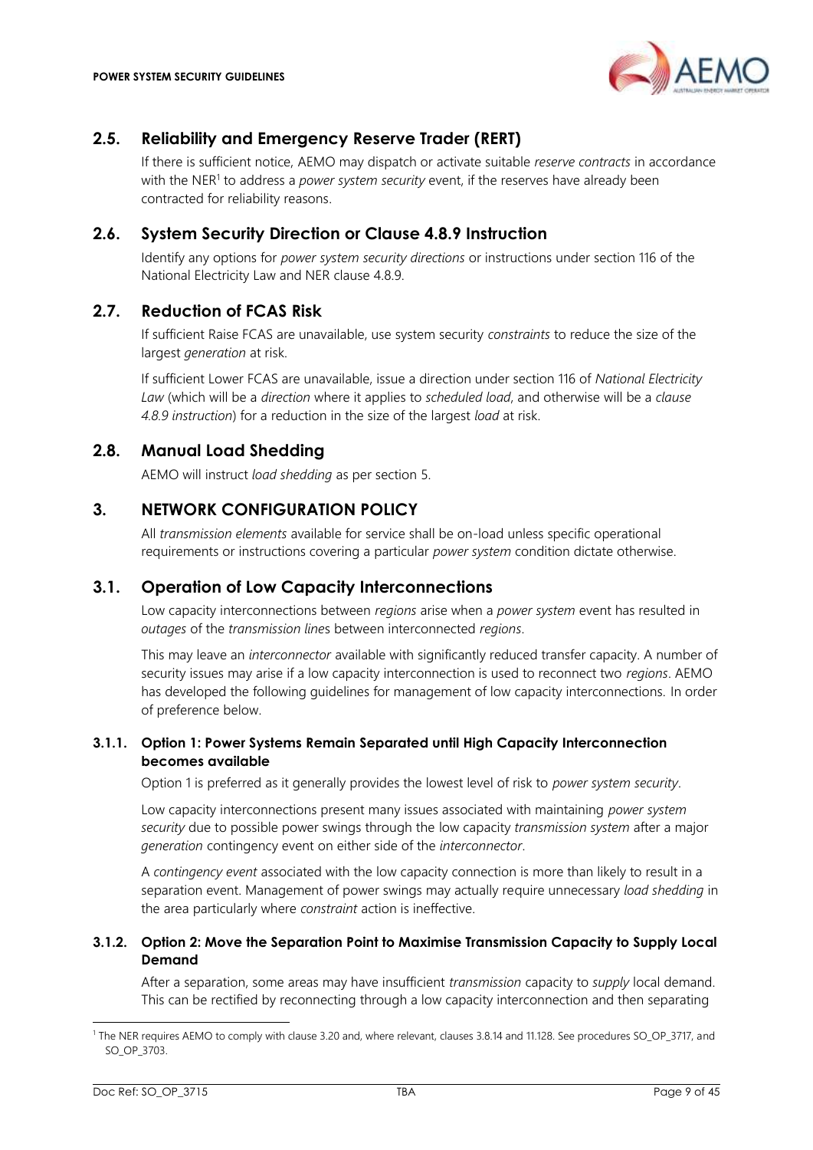

# <span id="page-8-0"></span>**2.5. Reliability and Emergency Reserve Trader (RERT)**

If there is sufficient notice, AEMO may dispatch or activate suitable *reserve contracts* in accordance with the NER<sup>1</sup> to address a *power system security* event, if the reserves have already been contracted for reliability reasons.

### <span id="page-8-1"></span>**2.6. System Security Direction or Clause 4.8.9 Instruction**

Identify any options for *power system security directions* or instructions under section 116 of the National Electricity Law and NER clause 4.8.9.

### <span id="page-8-2"></span>**2.7. Reduction of FCAS Risk**

If sufficient Raise FCAS are unavailable, use system security *constraints* to reduce the size of the largest *generation* at risk.

If sufficient Lower FCAS are unavailable, issue a direction under section 116 of *National Electricity Law* (which will be a *direction* where it applies to *scheduled load*, and otherwise will be a *clause 4.8.9 instruction*) for a reduction in the size of the largest *load* at risk.

### <span id="page-8-3"></span>**2.8. Manual Load Shedding**

AEMO will instruct *load shedding* as per section [5.](#page-10-1)

### <span id="page-8-4"></span>**3. NETWORK CONFIGURATION POLICY**

All *transmission elements* available for service shall be on-load unless specific operational requirements or instructions covering a particular *power system* condition dictate otherwise.

# <span id="page-8-5"></span>**3.1. Operation of Low Capacity Interconnections**

Low capacity interconnections between *regions* arise when a *power system* event has resulted in *outages* of the *transmission line*s between interconnected *regions*.

This may leave an *interconnector* available with significantly reduced transfer capacity. A number of security issues may arise if a low capacity interconnection is used to reconnect two *regions*. AEMO has developed the following guidelines for management of low capacity interconnections. In order of preference below.

### **3.1.1. Option 1: Power Systems Remain Separated until High Capacity Interconnection becomes available**

Option 1 is preferred as it generally provides the lowest level of risk to *power system security*.

Low capacity interconnections present many issues associated with maintaining *power system security* due to possible power swings through the low capacity *transmission system* after a major *generation* contingency event on either side of the *interconnector*.

A *contingency event* associated with the low capacity connection is more than likely to result in a separation event. Management of power swings may actually require unnecessary *load shedding* in the area particularly where *constraint* action is ineffective.

#### **3.1.2. Option 2: Move the Separation Point to Maximise Transmission Capacity to Supply Local Demand**

After a separation, some areas may have insufficient *transmission* capacity to *supply* local demand. This can be rectified by reconnecting through a low capacity interconnection and then separating

<sup>&</sup>lt;sup>1</sup> The NER requires AEMO to comply with clause 3.20 and, where relevant, clauses 3.8.14 and 11.128. See procedures SO\_OP\_3717, and SO\_OP\_3703.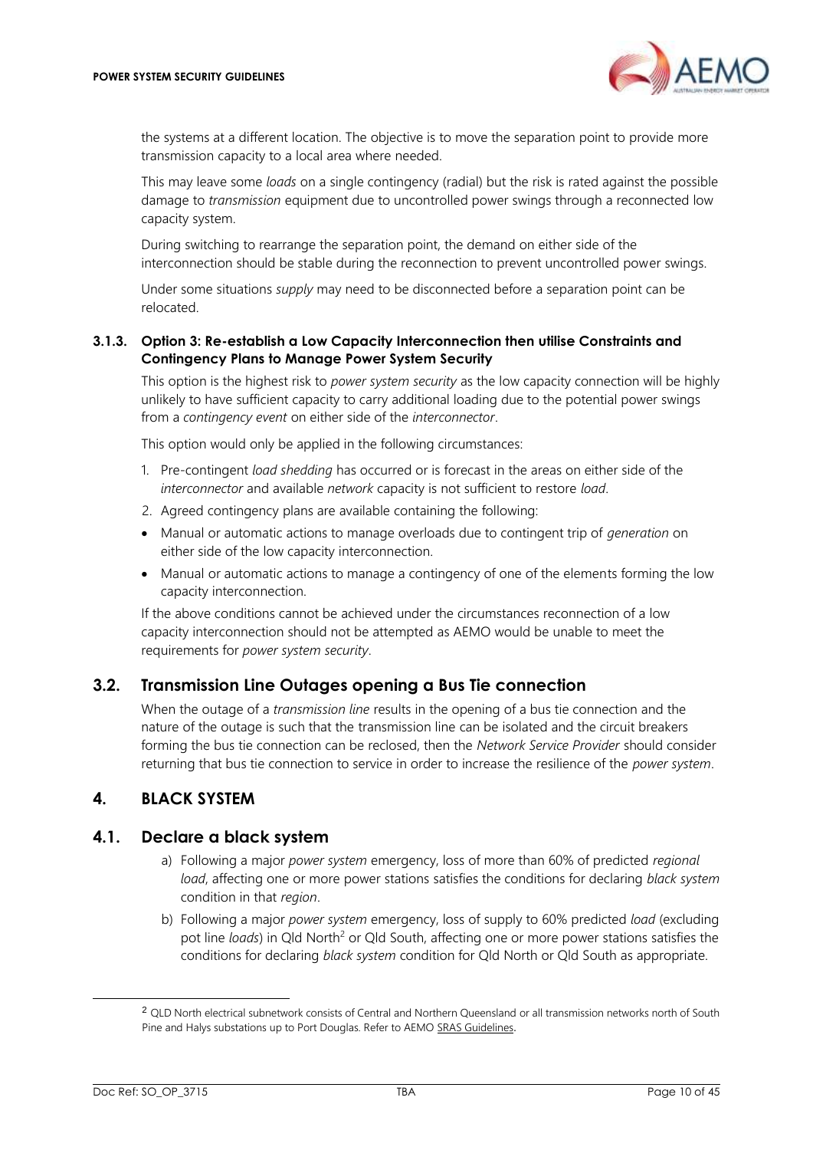

the systems at a different location. The objective is to move the separation point to provide more transmission capacity to a local area where needed.

This may leave some *loads* on a single contingency (radial) but the risk is rated against the possible damage to *transmission* equipment due to uncontrolled power swings through a reconnected low capacity system.

During switching to rearrange the separation point, the demand on either side of the interconnection should be stable during the reconnection to prevent uncontrolled power swings.

Under some situations *supply* may need to be disconnected before a separation point can be relocated.

#### **3.1.3. Option 3: Re-establish a Low Capacity Interconnection then utilise Constraints and Contingency Plans to Manage Power System Security**

This option is the highest risk to *power system security* as the low capacity connection will be highly unlikely to have sufficient capacity to carry additional loading due to the potential power swings from a *contingency event* on either side of the *interconnector*.

This option would only be applied in the following circumstances:

- 1. Pre-contingent *load shedding* has occurred or is forecast in the areas on either side of the *interconnector* and available *network* capacity is not sufficient to restore *load*.
- 2. Agreed contingency plans are available containing the following:
- Manual or automatic actions to manage overloads due to contingent trip of *generation* on either side of the low capacity interconnection.
- Manual or automatic actions to manage a contingency of one of the elements forming the low capacity interconnection.

If the above conditions cannot be achieved under the circumstances reconnection of a low capacity interconnection should not be attempted as AEMO would be unable to meet the requirements for *power system security*.

# <span id="page-9-0"></span>**3.2. Transmission Line Outages opening a Bus Tie connection**

When the outage of a *transmission line* results in the opening of a bus tie connection and the nature of the outage is such that the transmission line can be isolated and the circuit breakers forming the bus tie connection can be reclosed, then the *Network Service Provider* should consider returning that bus tie connection to service in order to increase the resilience of the *power system*.

# <span id="page-9-1"></span>**4. BLACK SYSTEM**

### <span id="page-9-2"></span>**4.1. Declare a black system**

- a) Following a major *power system* emergency, loss of more than 60% of predicted *regional load*, affecting one or more power stations satisfies the conditions for declaring *black system* condition in that *region*.
- b) Following a major *power system* emergency, loss of supply to 60% predicted *load* (excluding pot line *loads*) in Qld North<sup>2</sup> or Qld South, affecting one or more power stations satisfies the conditions for declaring *black system* condition for Qld North or Qld South as appropriate.

<sup>2</sup> QLD North electrical subnetwork consists of Central and Northern Queensland or all transmission networks north of South Pine and Halys substations up to Port Douglas. Refer to AEMO [SRAS Guidelines](https://aemo.com.au/energy-systems/electricity/national-electricity-market-nem/system-operations/ancillary-services/system-restart-ancillary-services-guideline).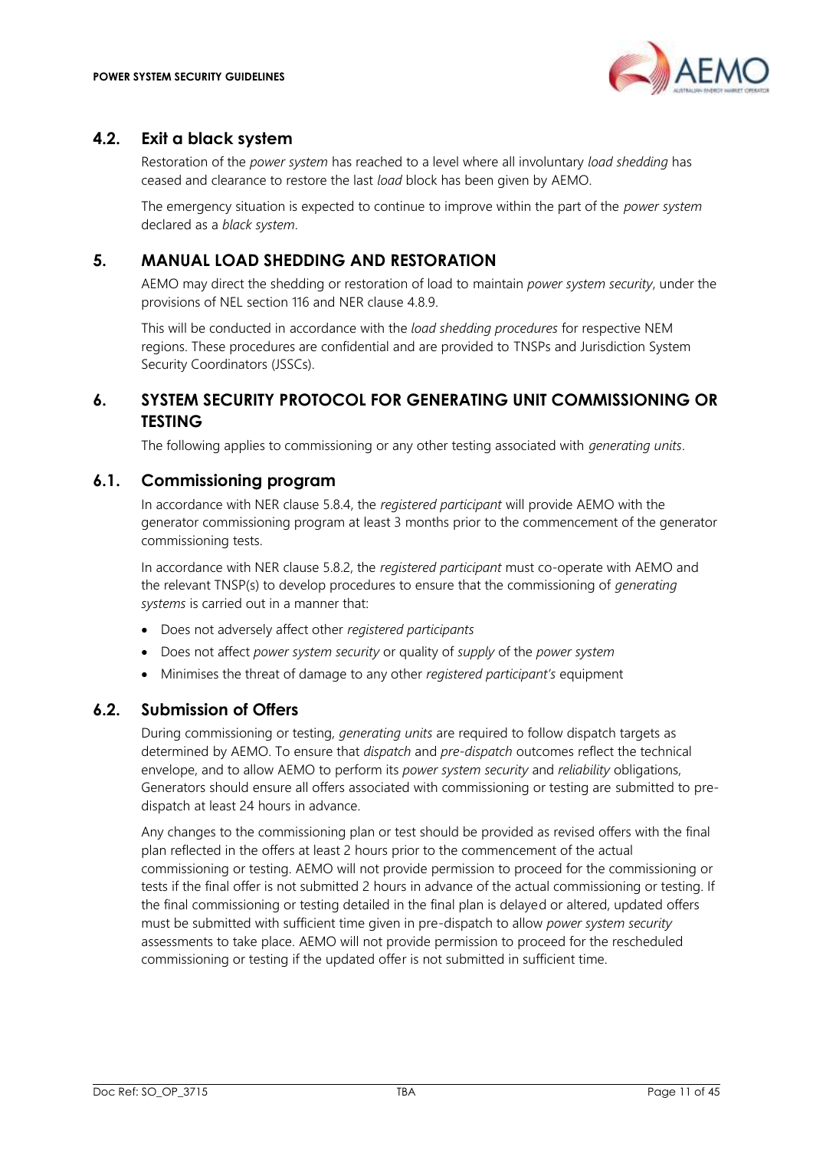

### <span id="page-10-0"></span>**4.2. Exit a black system**

Restoration of the *power system* has reached to a level where all involuntary *load shedding* has ceased and clearance to restore the last *load* block has been given by AEMO.

The emergency situation is expected to continue to improve within the part of the *power system* declared as a *black system*.

### <span id="page-10-1"></span>**5. MANUAL LOAD SHEDDING AND RESTORATION**

AEMO may direct the shedding or restoration of load to maintain *power system security*, under the provisions of NEL section 116 and NER clause 4.8.9.

This will be conducted in accordance with the *load shedding procedures* for respective NEM regions. These procedures are confidential and are provided to TNSPs and Jurisdiction System Security Coordinators (JSSCs).

# <span id="page-10-2"></span>**6. SYSTEM SECURITY PROTOCOL FOR GENERATING UNIT COMMISSIONING OR TESTING**

The following applies to commissioning or any other testing associated with *generating units*.

### <span id="page-10-3"></span>**6.1. Commissioning program**

In accordance with NER clause 5.8.4, the *registered participant* will provide AEMO with the generator commissioning program at least 3 months prior to the commencement of the generator commissioning tests.

In accordance with NER clause 5.8.2, the *registered participant* must co-operate with AEMO and the relevant TNSP(s) to develop procedures to ensure that the commissioning of *generating systems* is carried out in a manner that:

- Does not adversely affect other *registered participants*
- Does not affect *power system security* or quality of *supply* of the *power system*
- Minimises the threat of damage to any other *registered participant's* equipment

### <span id="page-10-4"></span>**6.2. Submission of Offers**

During commissioning or testing, *generating units* are required to follow dispatch targets as determined by AEMO. To ensure that *dispatch* and *pre-dispatch* outcomes reflect the technical envelope, and to allow AEMO to perform its *power system security* and *reliability* obligations, Generators should ensure all offers associated with commissioning or testing are submitted to predispatch at least 24 hours in advance.

Any changes to the commissioning plan or test should be provided as revised offers with the final plan reflected in the offers at least 2 hours prior to the commencement of the actual commissioning or testing. AEMO will not provide permission to proceed for the commissioning or tests if the final offer is not submitted 2 hours in advance of the actual commissioning or testing. If the final commissioning or testing detailed in the final plan is delayed or altered, updated offers must be submitted with sufficient time given in pre-dispatch to allow *power system security* assessments to take place. AEMO will not provide permission to proceed for the rescheduled commissioning or testing if the updated offer is not submitted in sufficient time.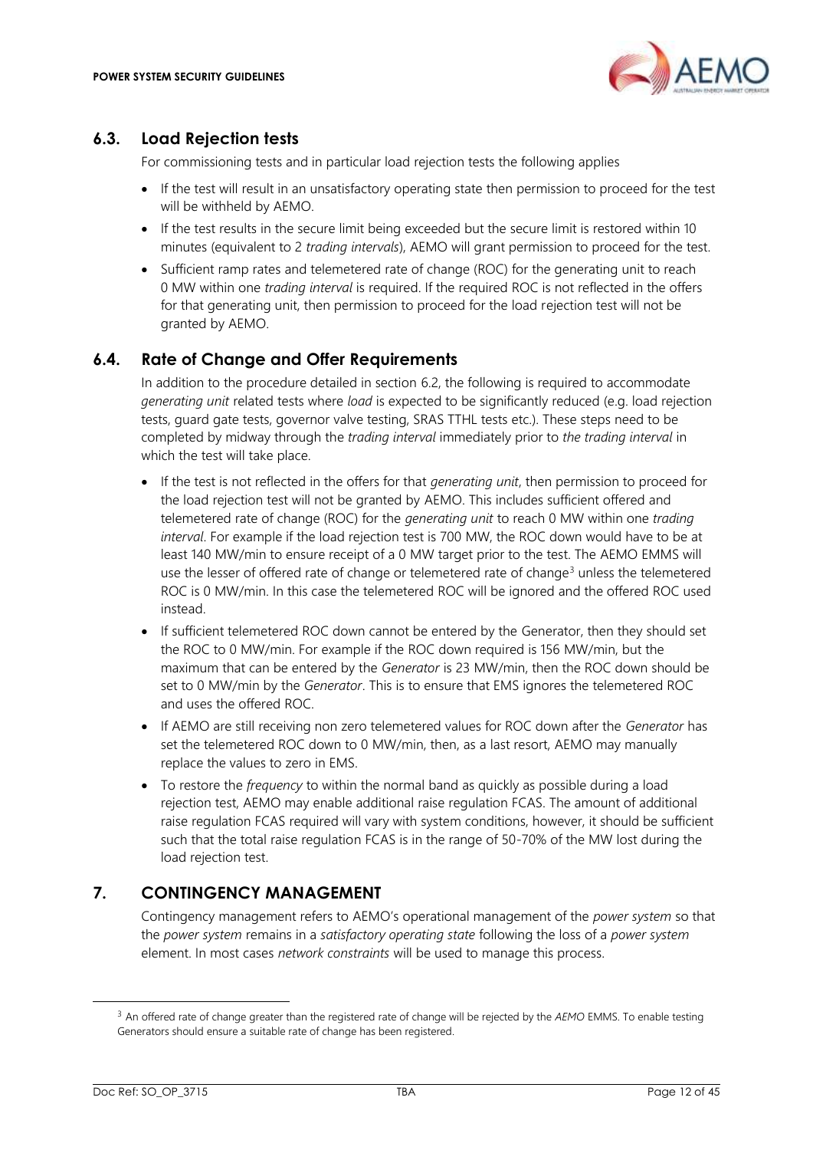

### <span id="page-11-0"></span>**6.3. Load Rejection tests**

For commissioning tests and in particular load rejection tests the following applies

- If the test will result in an unsatisfactory operating state then permission to proceed for the test will be withheld by AEMO.
- If the test results in the secure limit being exceeded but the secure limit is restored within 10 minutes (equivalent to 2 *trading intervals*), AEMO will grant permission to proceed for the test.
- Sufficient ramp rates and telemetered rate of change (ROC) for the generating unit to reach 0 MW within one *trading interval* is required. If the required ROC is not reflected in the offers for that generating unit, then permission to proceed for the load rejection test will not be granted by AEMO.

# <span id="page-11-1"></span>**6.4. Rate of Change and Offer Requirements**

In addition to the procedure detailed in section [6.2,](#page-10-4) the following is required to accommodate *generating unit* related tests where *load* is expected to be significantly reduced (e.g. load rejection tests, guard gate tests, governor valve testing, SRAS TTHL tests etc.). These steps need to be completed by midway through the *trading interval* immediately prior to *the trading interval* in which the test will take place.

- If the test is not reflected in the offers for that *generating unit*, then permission to proceed for the load rejection test will not be granted by AEMO. This includes sufficient offered and telemetered rate of change (ROC) for the *generating unit* to reach 0 MW within one *trading interval*. For example if the load rejection test is 700 MW, the ROC down would have to be at least 140 MW/min to ensure receipt of a 0 MW target prior to the test. The AEMO EMMS will use the lesser of offered rate of change or telemetered rate of change<sup>3</sup> unless the telemetered ROC is 0 MW/min. In this case the telemetered ROC will be ignored and the offered ROC used instead.
- If sufficient telemetered ROC down cannot be entered by the Generator, then they should set the ROC to 0 MW/min. For example if the ROC down required is 156 MW/min, but the maximum that can be entered by the *Generator* is 23 MW/min, then the ROC down should be set to 0 MW/min by the *Generator*. This is to ensure that EMS ignores the telemetered ROC and uses the offered ROC.
- If AEMO are still receiving non zero telemetered values for ROC down after the *Generator* has set the telemetered ROC down to 0 MW/min, then, as a last resort, AEMO may manually replace the values to zero in EMS.
- To restore the *frequency* to within the normal band as quickly as possible during a load rejection test, AEMO may enable additional raise regulation FCAS. The amount of additional raise regulation FCAS required will vary with system conditions, however, it should be sufficient such that the total raise regulation FCAS is in the range of 50-70% of the MW lost during the load rejection test.

# <span id="page-11-2"></span>**7. CONTINGENCY MANAGEMENT**

Contingency management refers to AEMO's operational management of the *power system* so that the *power system* remains in a *satisfactory operating state* following the loss of a *power system* element. In most cases *network constraints* will be used to manage this process.

<sup>3</sup> An offered rate of change greater than the registered rate of change will be rejected by the *AEMO* EMMS. To enable testing Generators should ensure a suitable rate of change has been registered.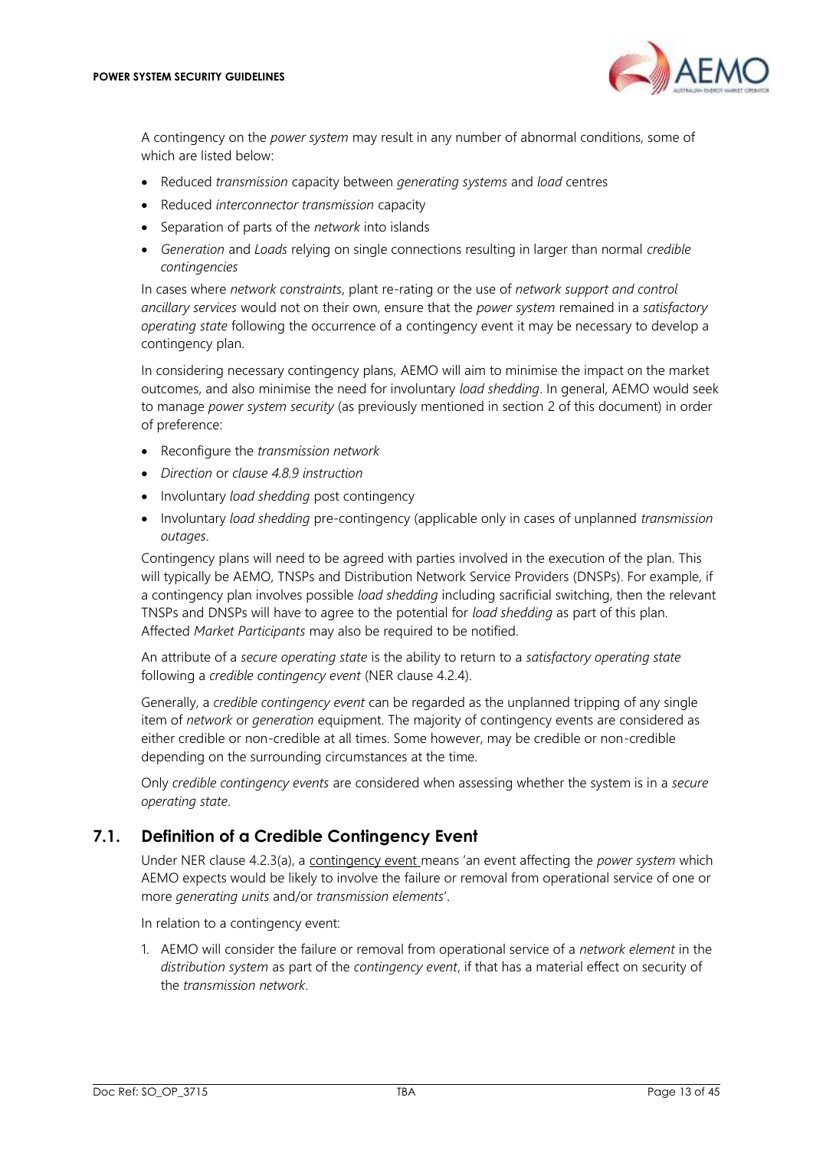

A contingency on the *power system* may result in any number of abnormal conditions, some of which are listed below:

- Reduced *transmission* capacity between *generating systems* and *load* centres
- Reduced *interconnector transmission* capacity
- Separation of parts of the *network* into islands
- *Generation* and *Loads* relying on single connections resulting in larger than normal *credible contingencies*

In cases where *network constraints*, plant re-rating or the use of *network support and control ancillary services* would not on their own, ensure that the *power system* remained in a *satisfactory operating state* following the occurrence of a contingency event it may be necessary to develop a contingency plan.

In considering necessary contingency plans, AEMO will aim to minimise the impact on the market outcomes, and also minimise the need for involuntary *load shedding*. In general, AEMO would seek to manage *power system security* (as previously mentioned in section [2](#page-6-1) of this document) in order of preference:

- Reconfigure the *transmission network*
- *Direction* or *clause 4.8.9 instruction*
- Involuntary *load shedding* post contingency
- Involuntary *load shedding* pre-contingency (applicable only in cases of unplanned *transmission outages*.

Contingency plans will need to be agreed with parties involved in the execution of the plan. This will typically be AEMO, TNSPs and Distribution Network Service Providers (DNSPs). For example, if a contingency plan involves possible *load shedding* including sacrificial switching, then the relevant TNSPs and DNSPs will have to agree to the potential for *load shedding* as part of this plan. Affected *Market Participants* may also be required to be notified.

An attribute of a *secure operating state* is the ability to return to a *satisfactory operating state* following a *credible contingency event* (NER clause 4.2.4).

Generally, a *credible contingency event* can be regarded as the unplanned tripping of any single item of *network* or *generation* equipment. The majority of contingency events are considered as either credible or non-credible at all times. Some however, may be credible or non-credible depending on the surrounding circumstances at the time.

Only *credible contingency events* are considered when assessing whether the system is in a *secure operating state*.

# <span id="page-12-0"></span>**7.1. Definition of a Credible Contingency Event**

Under NER clause 4.2.3(a), a contingency event means 'an event affecting the *power system* which AEMO expects would be likely to involve the failure or removal from operational service of one or more *generating units* and/or *transmission elements*'.

In relation to a contingency event:

1. AEMO will consider the failure or removal from operational service of a *network element* in the *distribution system* as part of the *contingency event*, if that has a material effect on security of the *transmission network*.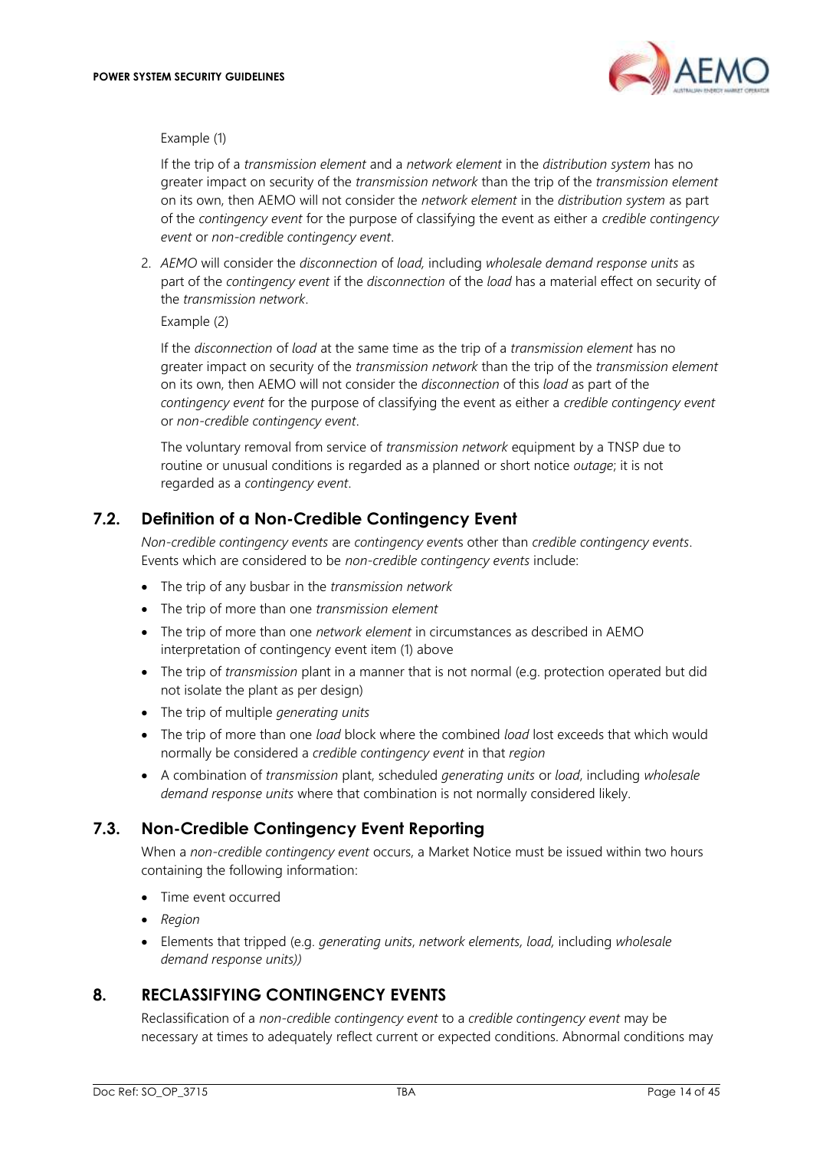

#### Example (1)

If the trip of a *transmission element* and a *network element* in the *distribution system* has no greater impact on security of the *transmission network* than the trip of the *transmission element* on its own, then AEMO will not consider the *network element* in the *distribution system* as part of the *contingency event* for the purpose of classifying the event as either a *credible contingency event* or *non-credible contingency event*.

2. *AEMO* will consider the *disconnection* of *load,* including *wholesale demand response units* as part of the *contingency event* if the *disconnection* of the *load* has a material effect on security of the *transmission network*.

Example (2)

If the *disconnection* of *load* at the same time as the trip of a *transmission element* has no greater impact on security of the *transmission network* than the trip of the *transmission element* on its own, then AEMO will not consider the *disconnection* of this *load* as part of the *contingency event* for the purpose of classifying the event as either a *credible contingency event* or *non-credible contingency event*.

The voluntary removal from service of *transmission network* equipment by a TNSP due to routine or unusual conditions is regarded as a planned or short notice *outage*; it is not regarded as a *contingency event*.

# <span id="page-13-0"></span>**7.2. Definition of a Non-Credible Contingency Event**

*Non-credible contingency events* are *contingency event*s other than *credible contingency events*. Events which are considered to be *non-credible contingency events* include:

- The trip of any busbar in the *transmission network*
- The trip of more than one *transmission element*
- The trip of more than one *network element* in circumstances as described in AEMO interpretation of contingency event item (1) above
- The trip of *transmission* plant in a manner that is not normal (e.g. protection operated but did not isolate the plant as per design)
- The trip of multiple *generating units*
- The trip of more than one *load* block where the combined *load* lost exceeds that which would normally be considered a *credible contingency event* in that *region*
- A combination of *transmission* plant, scheduled *generating units* or *load*, including *wholesale demand response units* where that combination is not normally considered likely.

# <span id="page-13-1"></span>**7.3. Non-Credible Contingency Event Reporting**

When a *non-credible contingency event* occurs, a Market Notice must be issued within two hours containing the following information:

- Time event occurred
- *Region*
- Elements that tripped (e.g. *generating units*, *network elements, load,* including *wholesale demand response units))*

# <span id="page-13-2"></span>**8. RECLASSIFYING CONTINGENCY EVENTS**

Reclassification of a *non-credible contingency event* to a *credible contingency event* may be necessary at times to adequately reflect current or expected conditions. Abnormal conditions may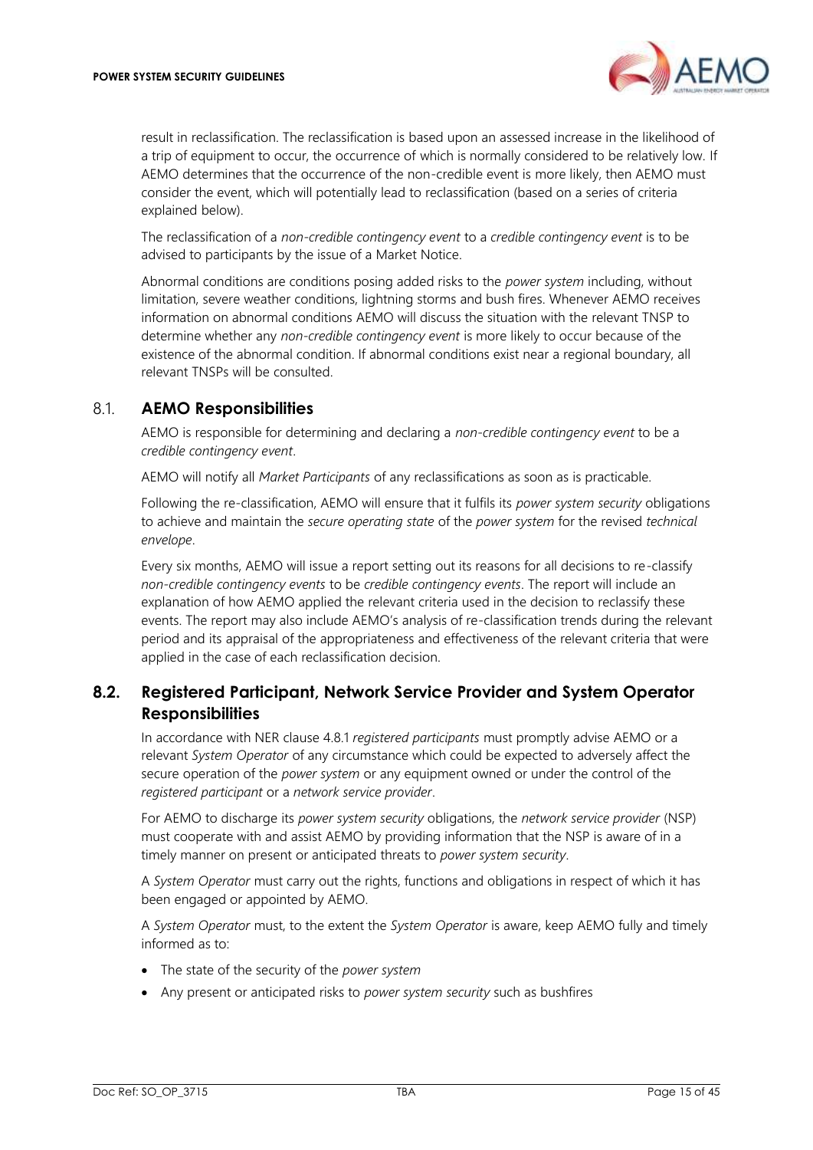

result in reclassification. The reclassification is based upon an assessed increase in the likelihood of a trip of equipment to occur, the occurrence of which is normally considered to be relatively low. If AEMO determines that the occurrence of the non-credible event is more likely, then AEMO must consider the event, which will potentially lead to reclassification (based on a series of criteria explained below).

The reclassification of a *non-credible contingency event* to a *credible contingency event* is to be advised to participants by the issue of a Market Notice.

Abnormal conditions are conditions posing added risks to the *power system* including, without limitation, severe weather conditions, lightning storms and bush fires. Whenever AEMO receives information on abnormal conditions AEMO will discuss the situation with the relevant TNSP to determine whether any *non-credible contingency event* is more likely to occur because of the existence of the abnormal condition. If abnormal conditions exist near a regional boundary, all relevant TNSPs will be consulted.

### <span id="page-14-0"></span>8.1. **AEMO Responsibilities**

AEMO is responsible for determining and declaring a *non-credible contingency event* to be a *credible contingency event*.

AEMO will notify all *Market Participants* of any reclassifications as soon as is practicable.

Following the re-classification, AEMO will ensure that it fulfils its *power system security* obligations to achieve and maintain the *secure operating state* of the *power system* for the revised *technical envelope*.

Every six months, AEMO will issue a report setting out its reasons for all decisions to re-classify *non-credible contingency events* to be *credible contingency events*. The report will include an explanation of how AEMO applied the relevant criteria used in the decision to reclassify these events. The report may also include AEMO's analysis of re-classification trends during the relevant period and its appraisal of the appropriateness and effectiveness of the relevant criteria that were applied in the case of each reclassification decision.

# <span id="page-14-1"></span>**8.2. Registered Participant, Network Service Provider and System Operator Responsibilities**

In accordance with NER clause 4.8.1 *registered participants* must promptly advise AEMO or a relevant *System Operator* of any circumstance which could be expected to adversely affect the secure operation of the *power system* or any equipment owned or under the control of the *registered participant* or a *network service provider*.

For AEMO to discharge its *power system security* obligations, the *network service provider* (NSP) must cooperate with and assist AEMO by providing information that the NSP is aware of in a timely manner on present or anticipated threats to *power system security*.

A *System Operator* must carry out the rights, functions and obligations in respect of which it has been engaged or appointed by AEMO.

A *System Operator* must, to the extent the *System Operator* is aware, keep AEMO fully and timely informed as to:

- The state of the security of the *power system*
- Any present or anticipated risks to *power system security* such as bushfires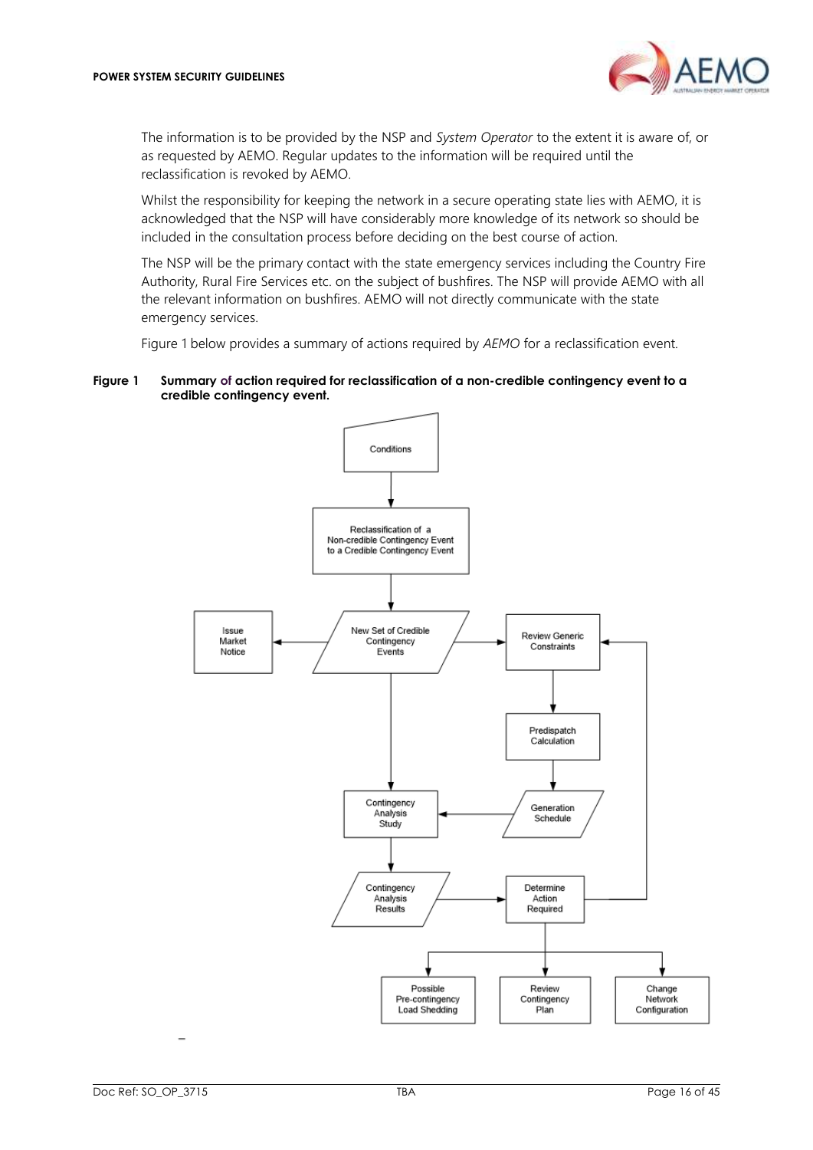

The information is to be provided by the NSP and *System Operator* to the extent it is aware of, or as requested by AEMO. Regular updates to the information will be required until the reclassification is revoked by AEMO.

Whilst the responsibility for keeping the network in a secure operating state lies with AEMO, it is acknowledged that the NSP will have considerably more knowledge of its network so should be included in the consultation process before deciding on the best course of action.

The NSP will be the primary contact with the state emergency services including the Country Fire Authority, Rural Fire Services etc. on the subject of bushfires. The NSP will provide AEMO with all the relevant information on bushfires. AEMO will not directly communicate with the state emergency services.

[Figure 1](#page-15-0) below provides a summary of actions required by *AEMO* for a reclassification event.

#### <span id="page-15-0"></span>**Figure 1 Summary of action required for reclassification of a non-credible contingency event to a credible contingency event.**

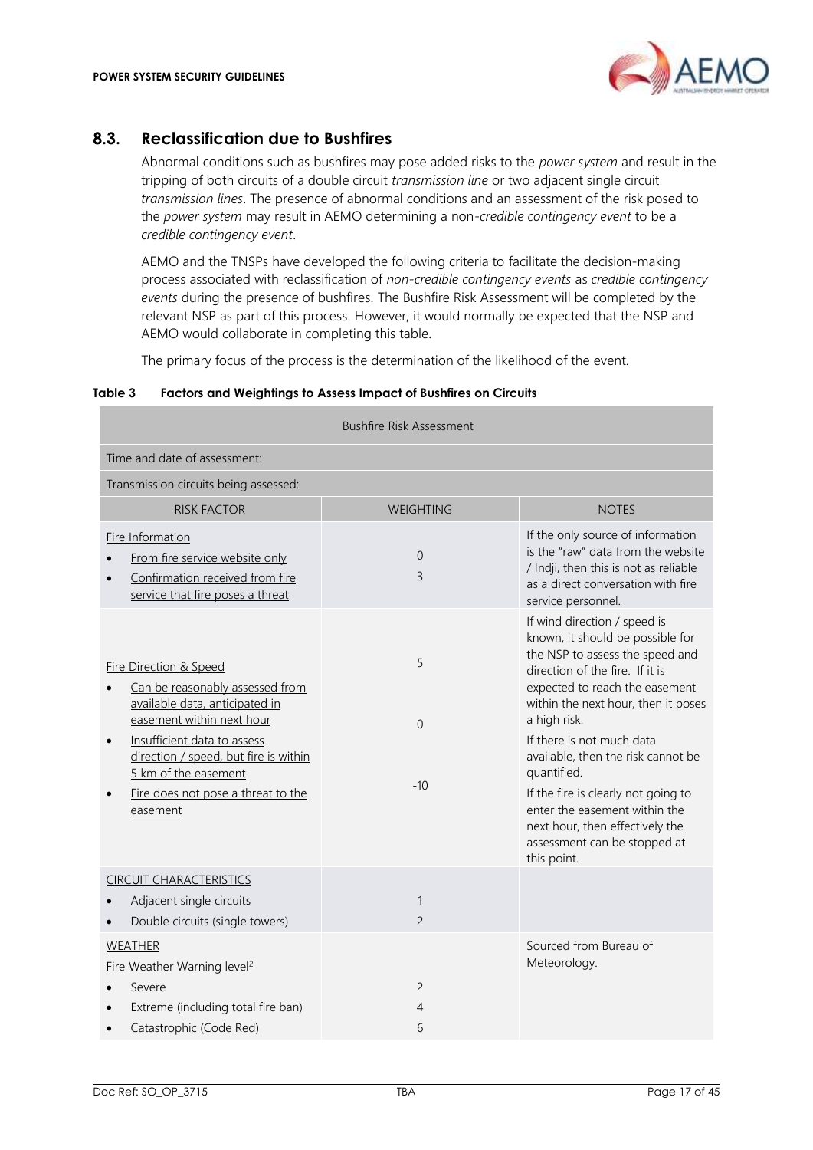# <span id="page-16-0"></span>**8.3. Reclassification due to Bushfires**

Abnormal conditions such as bushfires may pose added risks to the *power system* and result in the tripping of both circuits of a double circuit *transmission line* or two adjacent single circuit *transmission lines*. The presence of abnormal conditions and an assessment of the risk posed to the *power system* may result in AEMO determining a non-*credible contingency event* to be a *credible contingency event*.

AEMO and the TNSPs have developed the following criteria to facilitate the decision-making process associated with reclassification of *non-credible contingency events* as *credible contingency events* during the presence of bushfires. The Bushfire Risk Assessment will be completed by the relevant NSP as part of this process. However, it would normally be expected that the NSP and AEMO would collaborate in completing this table.

The primary focus of the process is the determination of the likelihood of the event.

#### <span id="page-16-1"></span>**Table 3 Factors and Weightings to Assess Impact of Bushfires on Circuits**

| <b>Bushfire Risk Assessment</b>                                                                                                                                                                                                                                                                    |                                |                                                                                                                                                                                                                                                                                                                                                                                                                                                                             |
|----------------------------------------------------------------------------------------------------------------------------------------------------------------------------------------------------------------------------------------------------------------------------------------------------|--------------------------------|-----------------------------------------------------------------------------------------------------------------------------------------------------------------------------------------------------------------------------------------------------------------------------------------------------------------------------------------------------------------------------------------------------------------------------------------------------------------------------|
| Time and date of assessment:                                                                                                                                                                                                                                                                       |                                |                                                                                                                                                                                                                                                                                                                                                                                                                                                                             |
| Transmission circuits being assessed:                                                                                                                                                                                                                                                              |                                |                                                                                                                                                                                                                                                                                                                                                                                                                                                                             |
| <b>RISK FACTOR</b>                                                                                                                                                                                                                                                                                 | WEIGHTING                      | <b>NOTES</b>                                                                                                                                                                                                                                                                                                                                                                                                                                                                |
| Fire Information<br>From fire service website only<br>Confirmation received from fire<br>service that fire poses a threat                                                                                                                                                                          | $\mathbf 0$<br>3               | If the only source of information<br>is the "raw" data from the website<br>/ Indji, then this is not as reliable<br>as a direct conversation with fire<br>service personnel.                                                                                                                                                                                                                                                                                                |
| <b>Fire Direction &amp; Speed</b><br>Can be reasonably assessed from<br>available data, anticipated in<br>easement within next hour<br>Insufficient data to assess<br>$\bullet$<br>direction / speed, but fire is within<br>5 km of the easement<br>Fire does not pose a threat to the<br>easement | 5<br>$\Omega$<br>$-10$         | If wind direction / speed is<br>known, it should be possible for<br>the NSP to assess the speed and<br>direction of the fire. If it is<br>expected to reach the easement<br>within the next hour, then it poses<br>a high risk.<br>If there is not much data<br>available, then the risk cannot be<br>quantified.<br>If the fire is clearly not going to<br>enter the easement within the<br>next hour, then effectively the<br>assessment can be stopped at<br>this point. |
| <b>CIRCUIT CHARACTERISTICS</b><br>Adjacent single circuits<br>Double circuits (single towers)                                                                                                                                                                                                      | $\mathbf{1}$<br>$\overline{c}$ |                                                                                                                                                                                                                                                                                                                                                                                                                                                                             |
| <b>WEATHER</b><br>Fire Weather Warning level <sup>2</sup><br>Severe<br>Extreme (including total fire ban)<br>Catastrophic (Code Red)                                                                                                                                                               | $\overline{c}$<br>4<br>6       | Sourced from Bureau of<br>Meteorology.                                                                                                                                                                                                                                                                                                                                                                                                                                      |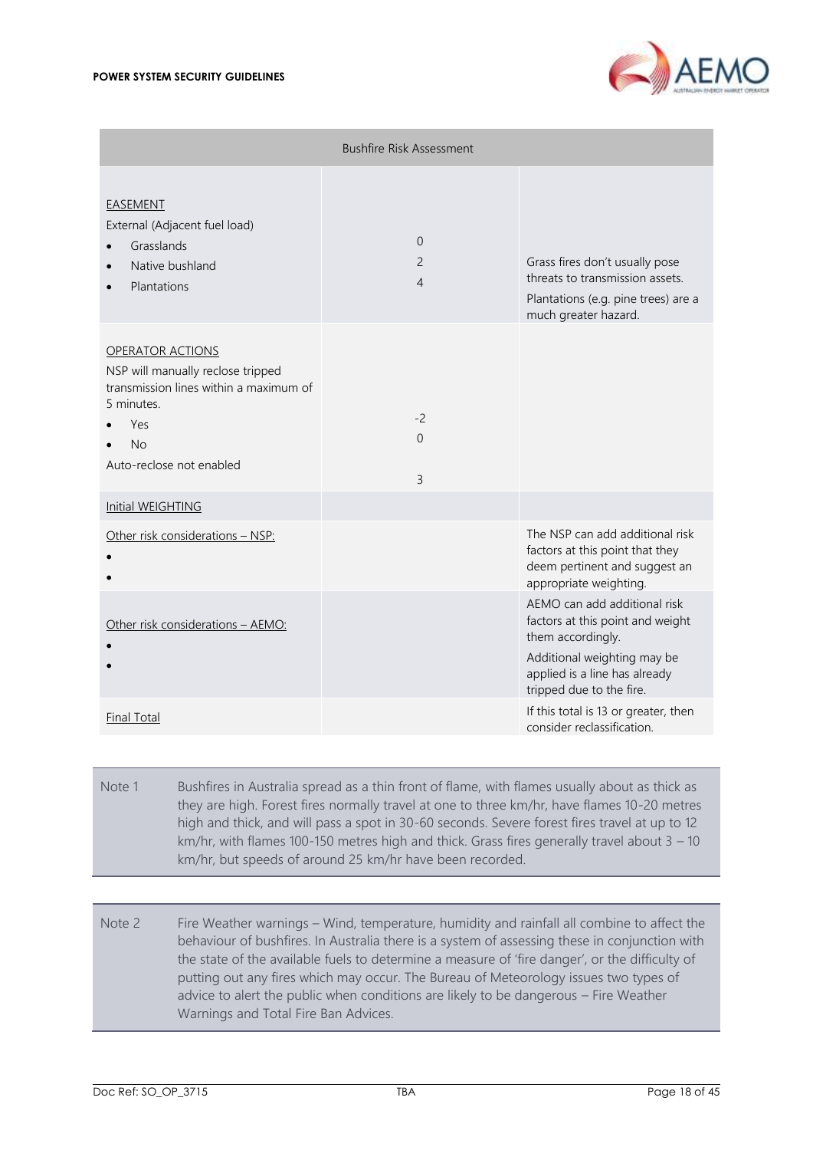

|                                                                                                                                                               | <b>Bushfire Risk Assessment</b>              |                                                                                                                                                                                   |
|---------------------------------------------------------------------------------------------------------------------------------------------------------------|----------------------------------------------|-----------------------------------------------------------------------------------------------------------------------------------------------------------------------------------|
| EASEMENT<br>External (Adjacent fuel load)<br>Grasslands<br>Native bushland<br>Plantations                                                                     | $\Omega$<br>$\overline{2}$<br>$\overline{4}$ | Grass fires don't usually pose<br>threats to transmission assets.<br>Plantations (e.g. pine trees) are a<br>much greater hazard.                                                  |
| <b>OPERATOR ACTIONS</b><br>NSP will manually reclose tripped<br>transmission lines within a maximum of<br>5 minutes.<br>Yes<br>No<br>Auto-reclose not enabled | $-2$<br>$\Omega$<br>$\overline{3}$           |                                                                                                                                                                                   |
| Initial WEIGHTING                                                                                                                                             |                                              |                                                                                                                                                                                   |
| Other risk considerations - NSP:                                                                                                                              |                                              | The NSP can add additional risk<br>factors at this point that they<br>deem pertinent and suggest an<br>appropriate weighting.                                                     |
| Other risk considerations - AEMO:                                                                                                                             |                                              | AEMO can add additional risk<br>factors at this point and weight<br>them accordingly.<br>Additional weighting may be<br>applied is a line has already<br>tripped due to the fire. |
| <b>Final Total</b>                                                                                                                                            |                                              | If this total is 13 or greater, then<br>consider reclassification.                                                                                                                |

- Note 1 Bushfires in Australia spread as a thin front of flame, with flames usually about as thick as they are high. Forest fires normally travel at one to three km/hr, have flames 10-20 metres high and thick, and will pass a spot in 30-60 seconds. Severe forest fires travel at up to 12 km/hr, with flames 100-150 metres high and thick. Grass fires generally travel about 3 – 10 km/hr, but speeds of around 25 km/hr have been recorded.
- Note 2 Fire Weather warnings Wind, temperature, humidity and rainfall all combine to affect the behaviour of bushfires. In Australia there is a system of assessing these in conjunction with the state of the available fuels to determine a measure of 'fire danger', or the difficulty of putting out any fires which may occur. The Bureau of Meteorology issues two types of advice to alert the public when conditions are likely to be dangerous – Fire Weather Warnings and Total Fire Ban Advices.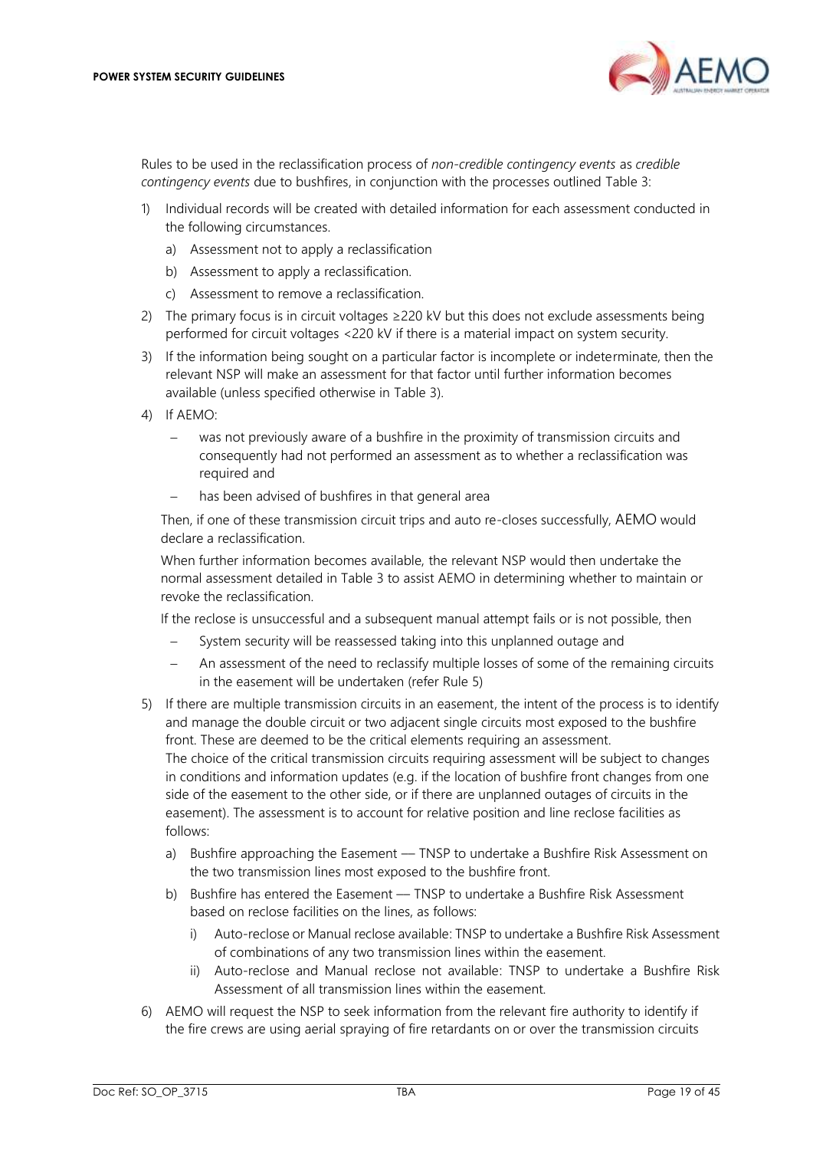

Rules to be used in the reclassification process of *non-credible contingency events* as *credible contingency events* due to bushfires, in conjunction with the processes outlined [Table 3:](#page-16-1)

- 1) Individual records will be created with detailed information for each assessment conducted in the following circumstances.
	- a) Assessment not to apply a reclassification
	- b) Assessment to apply a reclassification.
	- c) Assessment to remove a reclassification.
- 2) The primary focus is in circuit voltages  $\geq$  220 kV but this does not exclude assessments being performed for circuit voltages <220 kV if there is a material impact on system security.
- 3) If the information being sought on a particular factor is incomplete or indeterminate, then the relevant NSP will make an assessment for that factor until further information becomes available (unless specified otherwise in [Table 3\)](#page-16-1).
- 4) If AEMO:
	- was not previously aware of a bushfire in the proximity of transmission circuits and consequently had not performed an assessment as to whether a reclassification was required and
	- has been advised of bushfires in that general area

Then, if one of these transmission circuit trips and auto re-closes successfully, AEMO would declare a reclassification.

When further information becomes available, the relevant NSP would then undertake the normal assessment detailed i[n Table 3](#page-16-1) to assist AEMO in determining whether to maintain or revoke the reclassification.

If the reclose is unsuccessful and a subsequent manual attempt fails or is not possible, then

- System security will be reassessed taking into this unplanned outage and
- An assessment of the need to reclassify multiple losses of some of the remaining circuits in the easement will be undertaken (refer Rule 5)
- 5) If there are multiple transmission circuits in an easement, the intent of the process is to identify and manage the double circuit or two adjacent single circuits most exposed to the bushfire front. These are deemed to be the critical elements requiring an assessment. The choice of the critical transmission circuits requiring assessment will be subject to changes in conditions and information updates (e.g. if the location of bushfire front changes from one side of the easement to the other side, or if there are unplanned outages of circuits in the easement). The assessment is to account for relative position and line reclose facilities as follows:
	- a) Bushfire approaching the Easement TNSP to undertake a Bushfire Risk Assessment on the two transmission lines most exposed to the bushfire front.
	- b) Bushfire has entered the Easement –– TNSP to undertake a Bushfire Risk Assessment based on reclose facilities on the lines, as follows:
		- i) Auto-reclose or Manual reclose available: TNSP to undertake a Bushfire Risk Assessment of combinations of any two transmission lines within the easement.
		- ii) Auto-reclose and Manual reclose not available: TNSP to undertake a Bushfire Risk Assessment of all transmission lines within the easement.
- 6) AEMO will request the NSP to seek information from the relevant fire authority to identify if the fire crews are using aerial spraying of fire retardants on or over the transmission circuits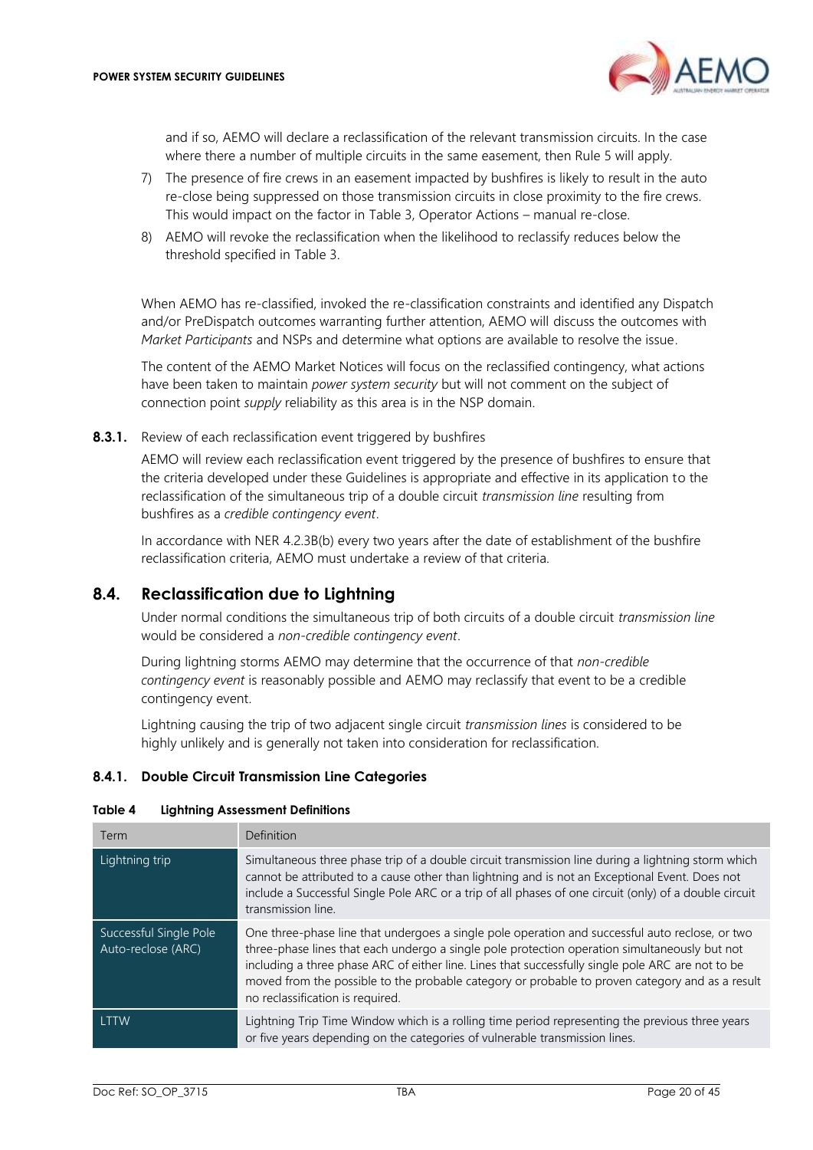

and if so, AEMO will declare a reclassification of the relevant transmission circuits. In the case where there a number of multiple circuits in the same easement, then Rule 5 will apply.

- 7) The presence of fire crews in an easement impacted by bushfires is likely to result in the auto re-close being suppressed on those transmission circuits in close proximity to the fire crews. This would impact on the factor in [Table 3,](#page-16-1) Operator Actions – manual re-close.
- 8) AEMO will revoke the reclassification when the likelihood to reclassify reduces below the threshold specified in [Table 3.](#page-16-1)

When AEMO has re-classified, invoked the re-classification constraints and identified any Dispatch and/or PreDispatch outcomes warranting further attention, AEMO will discuss the outcomes with *Market Participants* and NSPs and determine what options are available to resolve the issue.

The content of the AEMO Market Notices will focus on the reclassified contingency, what actions have been taken to maintain *power system security* but will not comment on the subject of connection point *supply* reliability as this area is in the NSP domain.

**8.3.1.** Review of each reclassification event triggered by bushfires

AEMO will review each reclassification event triggered by the presence of bushfires to ensure that the criteria developed under these Guidelines is appropriate and effective in its application to the reclassification of the simultaneous trip of a double circuit *transmission line* resulting from bushfires as a *credible contingency event*.

In accordance with NER 4.2.3B(b) every two years after the date of establishment of the bushfire reclassification criteria, AEMO must undertake a review of that criteria.

# <span id="page-19-0"></span>**8.4. Reclassification due to Lightning**

Under normal conditions the simultaneous trip of both circuits of a double circuit *transmission line* would be considered a *non-credible contingency event*.

During lightning storms AEMO may determine that the occurrence of that *non-credible contingency event* is reasonably possible and AEMO may reclassify that event to be a credible contingency event.

Lightning causing the trip of two adjacent single circuit *transmission lines* is considered to be highly unlikely and is generally not taken into consideration for reclassification.

### **8.4.1. Double Circuit Transmission Line Categories**

#### <span id="page-19-1"></span>**Table 4 Lightning Assessment Definitions**

| Term                                         | <b>Definition</b>                                                                                                                                                                                                                                                                                                                                                                                                                            |
|----------------------------------------------|----------------------------------------------------------------------------------------------------------------------------------------------------------------------------------------------------------------------------------------------------------------------------------------------------------------------------------------------------------------------------------------------------------------------------------------------|
| Lightning trip                               | Simultaneous three phase trip of a double circuit transmission line during a lightning storm which<br>cannot be attributed to a cause other than lightning and is not an Exceptional Event. Does not<br>include a Successful Single Pole ARC or a trip of all phases of one circuit (only) of a double circuit<br>transmission line.                                                                                                         |
| Successful Single Pole<br>Auto-reclose (ARC) | One three-phase line that undergoes a single pole operation and successful auto reclose, or two<br>three-phase lines that each undergo a single pole protection operation simultaneously but not<br>including a three phase ARC of either line. Lines that successfully single pole ARC are not to be<br>moved from the possible to the probable category or probable to proven category and as a result<br>no reclassification is required. |
| <b>ITTW</b>                                  | Lightning Trip Time Window which is a rolling time period representing the previous three years<br>or five years depending on the categories of vulnerable transmission lines.                                                                                                                                                                                                                                                               |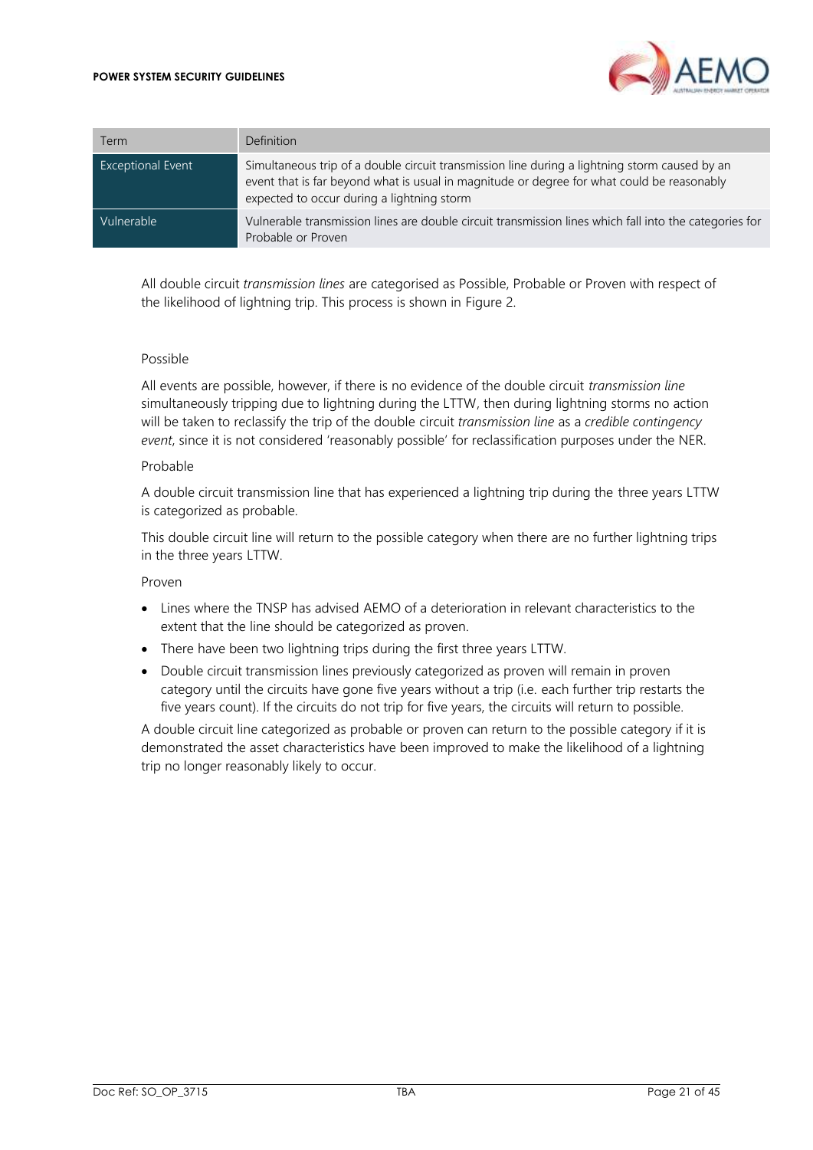

| Term                     | <b>Definition</b>                                                                                                                                                                                                                         |
|--------------------------|-------------------------------------------------------------------------------------------------------------------------------------------------------------------------------------------------------------------------------------------|
| <b>Exceptional Event</b> | Simultaneous trip of a double circuit transmission line during a lightning storm caused by an<br>event that is far beyond what is usual in magnitude or degree for what could be reasonably<br>expected to occur during a lightning storm |
| Vulnerable               | Vulnerable transmission lines are double circuit transmission lines which fall into the categories for<br>Probable or Proven                                                                                                              |

All double circuit *transmission lines* are categorised as Possible, Probable or Proven with respect of the likelihood of lightning trip. This process is shown in [Figure 2.](#page-21-2)

#### Possible

All events are possible, however, if there is no evidence of the double circuit *transmission line* simultaneously tripping due to lightning during the LTTW, then during lightning storms no action will be taken to reclassify the trip of the double circuit *transmission line* as a *credible contingency event*, since it is not considered 'reasonably possible' for reclassification purposes under the NER.

#### Probable

A double circuit transmission line that has experienced a lightning trip during the three years LTTW is categorized as probable.

This double circuit line will return to the possible category when there are no further lightning trips in the three years LTTW.

#### Proven

- Lines where the TNSP has advised AEMO of a deterioration in relevant characteristics to the extent that the line should be categorized as proven.
- There have been two lightning trips during the first three years LTTW.
- Double circuit transmission lines previously categorized as proven will remain in proven category until the circuits have gone five years without a trip (i.e. each further trip restarts the five years count). If the circuits do not trip for five years, the circuits will return to possible.

A double circuit line categorized as probable or proven can return to the possible category if it is demonstrated the asset characteristics have been improved to make the likelihood of a lightning trip no longer reasonably likely to occur.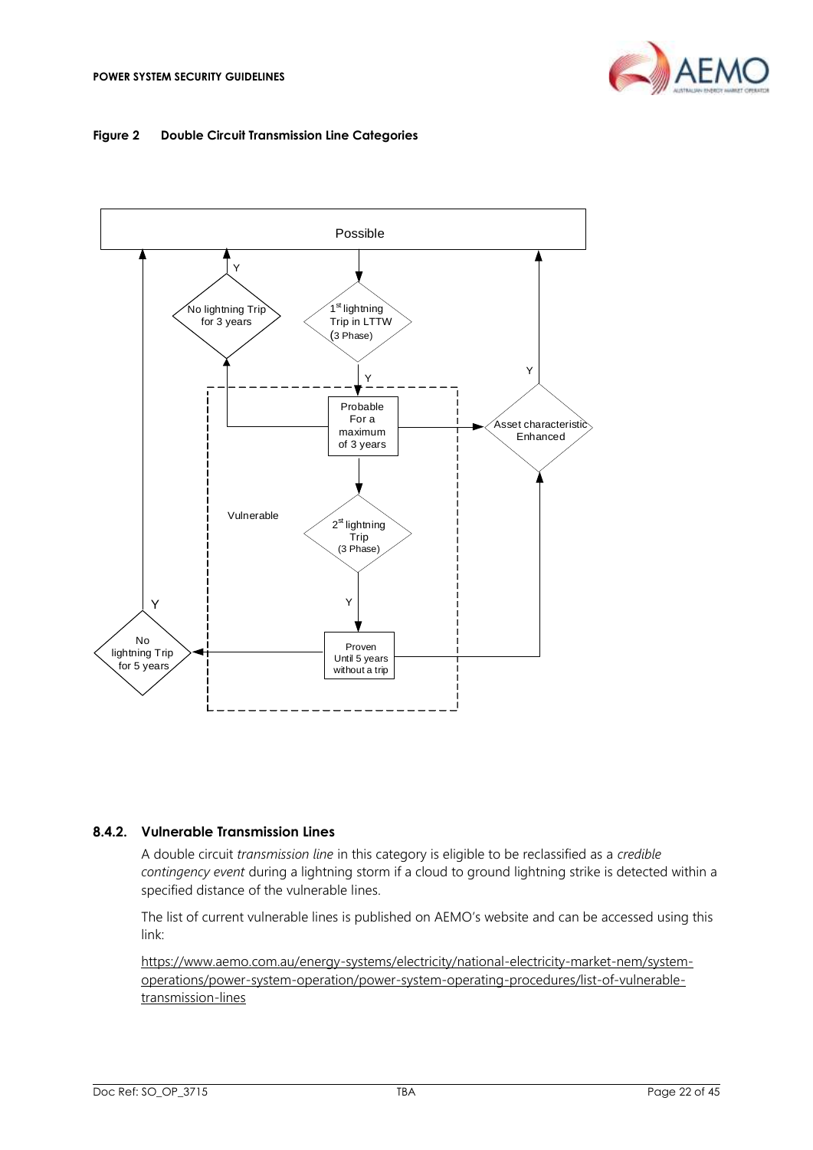

#### <span id="page-21-2"></span><span id="page-21-0"></span>**Figure 2 Double Circuit Transmission Line Categories**



#### **8.4.2. Vulnerable Transmission Lines**

A double circuit *transmission line* in this category is eligible to be reclassified as a *credible contingency event* during a lightning storm if a cloud to ground lightning strike is detected within a specified distance of the vulnerable lines.

The list of current vulnerable lines is published on AEMO's website and can be accessed using this link:

<span id="page-21-1"></span>[https://www.aemo.com.au/energy-systems/electricity/national-electricity-market-nem/system](https://www.aemo.com.au/energy-systems/electricity/national-electricity-market-nem/system-operations/power-system-operation/power-system-operating-procedures/list-of-vulnerable-transmission-lines)[operations/power-system-operation/power-system-operating-procedures/list-of-vulnerable](https://www.aemo.com.au/energy-systems/electricity/national-electricity-market-nem/system-operations/power-system-operation/power-system-operating-procedures/list-of-vulnerable-transmission-lines)[transmission-lines](https://www.aemo.com.au/energy-systems/electricity/national-electricity-market-nem/system-operations/power-system-operation/power-system-operating-procedures/list-of-vulnerable-transmission-lines)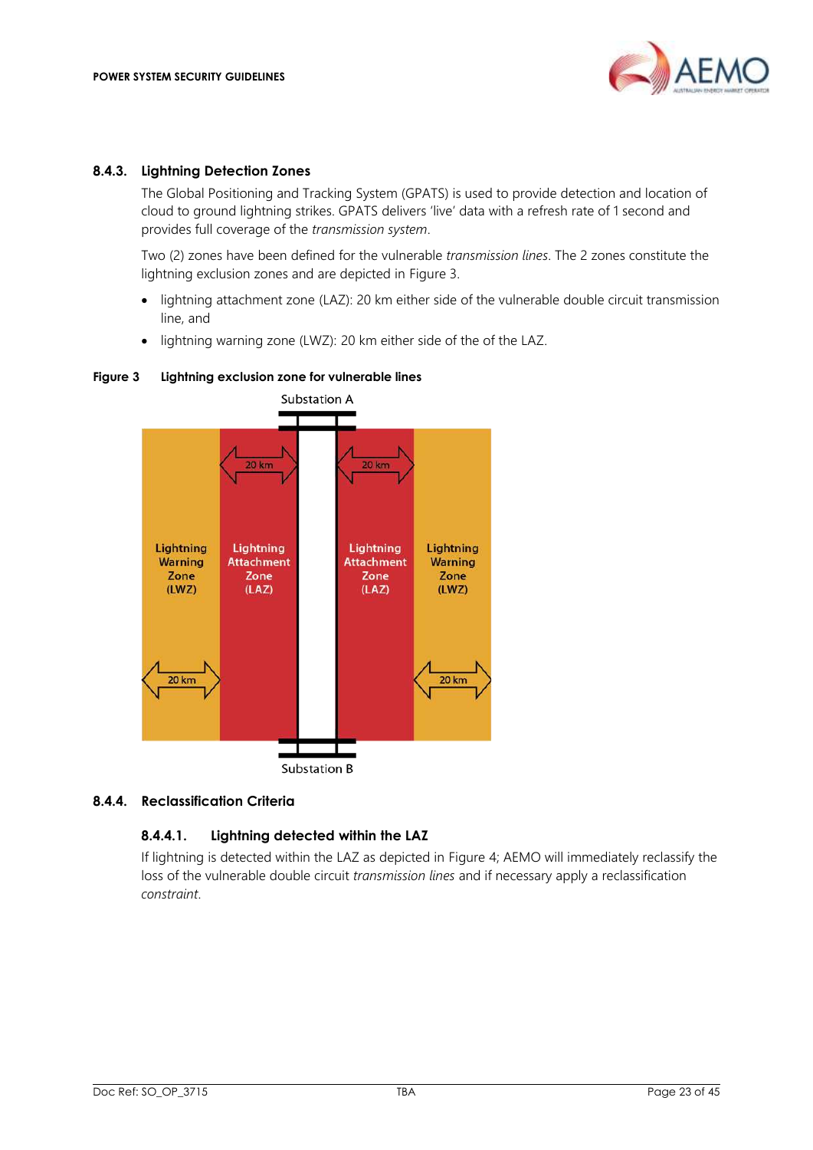

#### **8.4.3. Lightning Detection Zones**

The Global Positioning and Tracking System (GPATS) is used to provide detection and location of cloud to ground lightning strikes. GPATS delivers 'live' data with a refresh rate of 1 second and provides full coverage of the *transmission system*.

Two (2) zones have been defined for the vulnerable *transmission lines*. The 2 zones constitute the lightning exclusion zones and are depicted in [Figure 3.](#page-22-0)

- lightning attachment zone (LAZ): 20 km either side of the vulnerable double circuit transmission line, and
- lightning warning zone (LWZ): 20 km either side of the of the LAZ.

#### <span id="page-22-0"></span>**Figure 3 Lightning exclusion zone for vulnerable lines**



### **8.4.4. Reclassification Criteria**

### **8.4.4.1. Lightning detected within the LAZ**

If lightning is detected within the LAZ as depicted in [Figure 4;](#page-23-0) AEMO will immediately reclassify the loss of the vulnerable double circuit *transmission lines* and if necessary apply a reclassification *constraint*.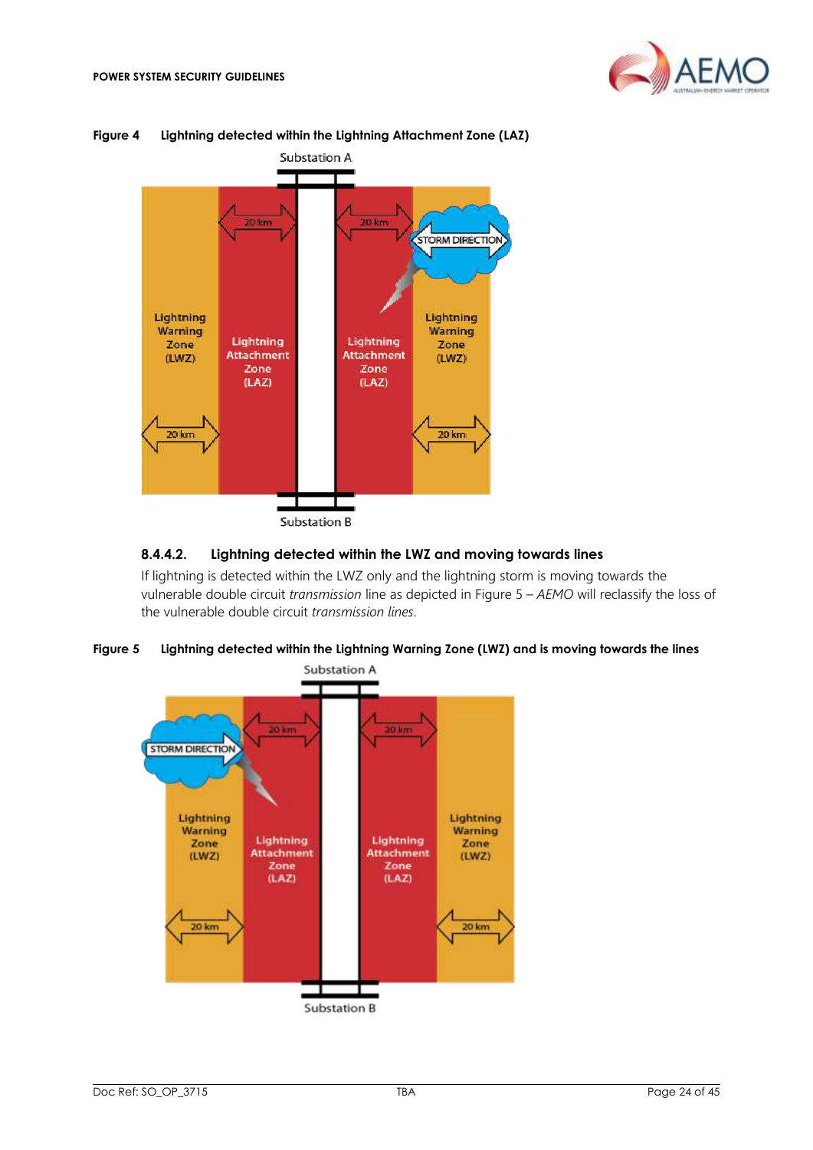



<span id="page-23-0"></span>**Figure 4 Lightning detected within the Lightning Attachment Zone (LAZ)**

#### Substation B

#### **8.4.4.2. Lightning detected within the LWZ and moving towards lines**

If lightning is detected within the LWZ only and the lightning storm is moving towards the vulnerable double circuit *transmission* line as depicted in [Figure 5](#page-23-1) – *AEMO* will reclassify the loss of the vulnerable double circuit *transmission lines*.

<span id="page-23-1"></span>

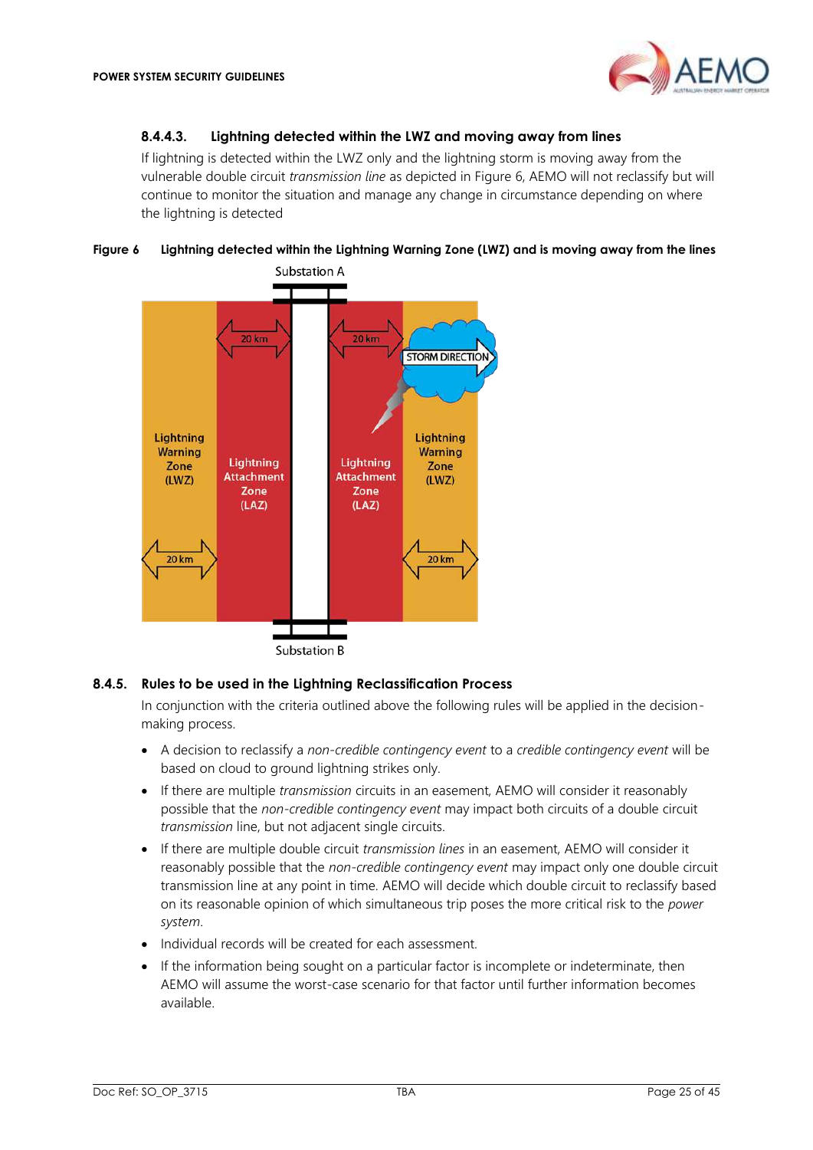#### **8.4.4.3. Lightning detected within the LWZ and moving away from lines**

If lightning is detected within the LWZ only and the lightning storm is moving away from the vulnerable double circuit *transmission line* as depicted i[n Figure 6,](#page-24-0) AEMO will not reclassify but will continue to monitor the situation and manage any change in circumstance depending on where the lightning is detected

<span id="page-24-0"></span>



#### **8.4.5. Rules to be used in the Lightning Reclassification Process**

In conjunction with the criteria outlined above the following rules will be applied in the decisionmaking process.

- A decision to reclassify a *non-credible contingency event* to a *credible contingency event* will be based on cloud to ground lightning strikes only.
- If there are multiple *transmission* circuits in an easement, AEMO will consider it reasonably possible that the *non-credible contingency event* may impact both circuits of a double circuit *transmission* line, but not adjacent single circuits.
- If there are multiple double circuit *transmission lines* in an easement, AEMO will consider it reasonably possible that the *non-credible contingency event* may impact only one double circuit transmission line at any point in time. AEMO will decide which double circuit to reclassify based on its reasonable opinion of which simultaneous trip poses the more critical risk to the *power system*.
- Individual records will be created for each assessment.
- If the information being sought on a particular factor is incomplete or indeterminate, then AEMO will assume the worst-case scenario for that factor until further information becomes available.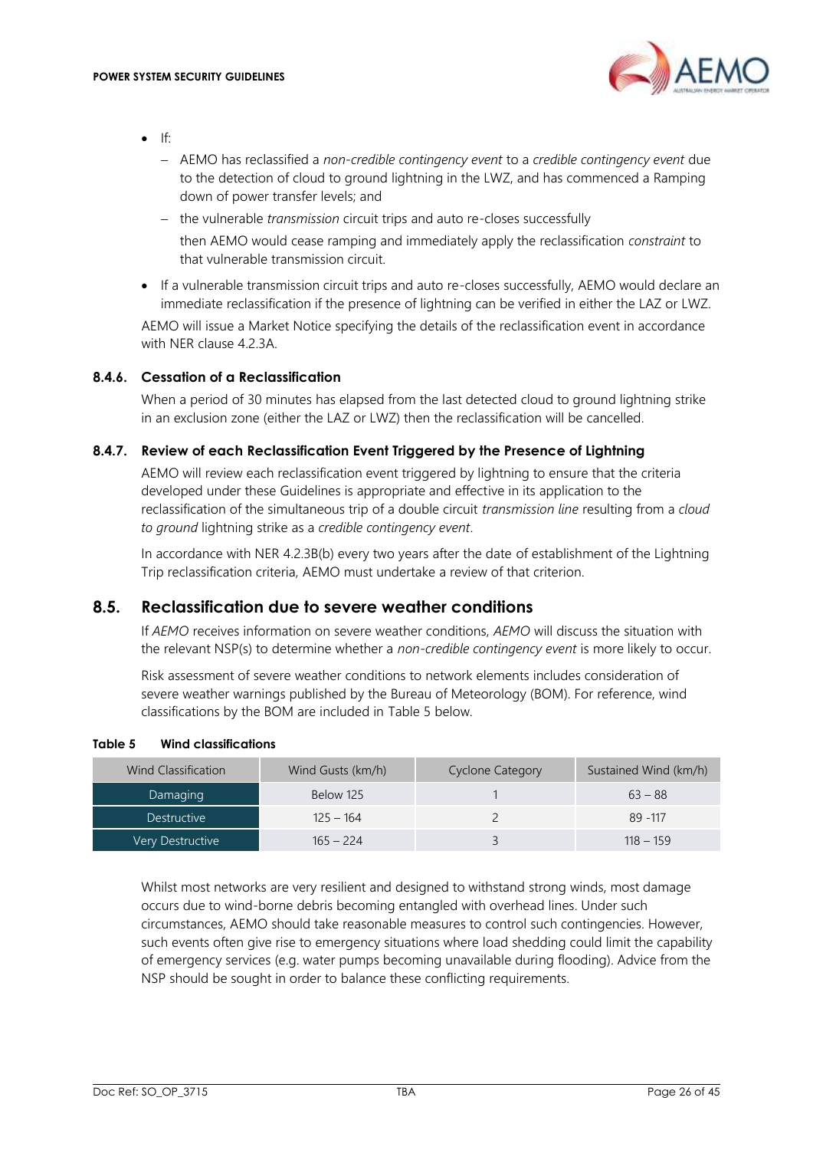

- $\mathsf{If}^{\mathsf{f}}$ 
	- − AEMO has reclassified a *non-credible contingency event* to a *credible contingency event* due to the detection of cloud to ground lightning in the LWZ, and has commenced a Ramping down of power transfer levels; and
	- − the vulnerable *transmission* circuit trips and auto re-closes successfully then AEMO would cease ramping and immediately apply the reclassification *constraint* to that vulnerable transmission circuit.
- If a vulnerable transmission circuit trips and auto re-closes successfully, AEMO would declare an immediate reclassification if the presence of lightning can be verified in either the LAZ or LWZ.

AEMO will issue a Market Notice specifying the details of the reclassification event in accordance with NER clause 4.2.3A.

### **8.4.6. Cessation of a Reclassification**

When a period of 30 minutes has elapsed from the last detected cloud to ground lightning strike in an exclusion zone (either the LAZ or LWZ) then the reclassification will be cancelled.

### **8.4.7. Review of each Reclassification Event Triggered by the Presence of Lightning**

AEMO will review each reclassification event triggered by lightning to ensure that the criteria developed under these Guidelines is appropriate and effective in its application to the reclassification of the simultaneous trip of a double circuit *transmission line* resulting from a *cloud to ground* lightning strike as a *credible contingency event*.

In accordance with NER 4.2.3B(b) every two years after the date of establishment of the Lightning Trip reclassification criteria, AEMO must undertake a review of that criterion.

### <span id="page-25-0"></span>**8.5. Reclassification due to severe weather conditions**

If *AEMO* receives information on severe weather conditions, *AEMO* will discuss the situation with the relevant NSP(s) to determine whether a *non-credible contingency event* is more likely to occur.

Risk assessment of severe weather conditions to network elements includes consideration of severe weather warnings published by the Bureau of Meteorology (BOM). For reference, wind classifications by the BOM are included in [Table 5](#page-25-1) below.

| <b>Wind Classification</b> | Wind Gusts (km/h) | <b>Cyclone Category</b> | Sustained Wind (km/h) |
|----------------------------|-------------------|-------------------------|-----------------------|
| Damaging                   | Below 125         |                         | $63 - 88$             |
| <b>Destructive</b>         | $125 - 164$       |                         | 89 - 117              |
| Very Destructive           | $165 - 224$       |                         | $118 - 159$           |

#### <span id="page-25-1"></span>**Table 5 Wind classifications**

Whilst most networks are very resilient and designed to withstand strong winds, most damage occurs due to wind-borne debris becoming entangled with overhead lines. Under such circumstances, AEMO should take reasonable measures to control such contingencies. However, such events often give rise to emergency situations where load shedding could limit the capability of emergency services (e.g. water pumps becoming unavailable during flooding). Advice from the NSP should be sought in order to balance these conflicting requirements.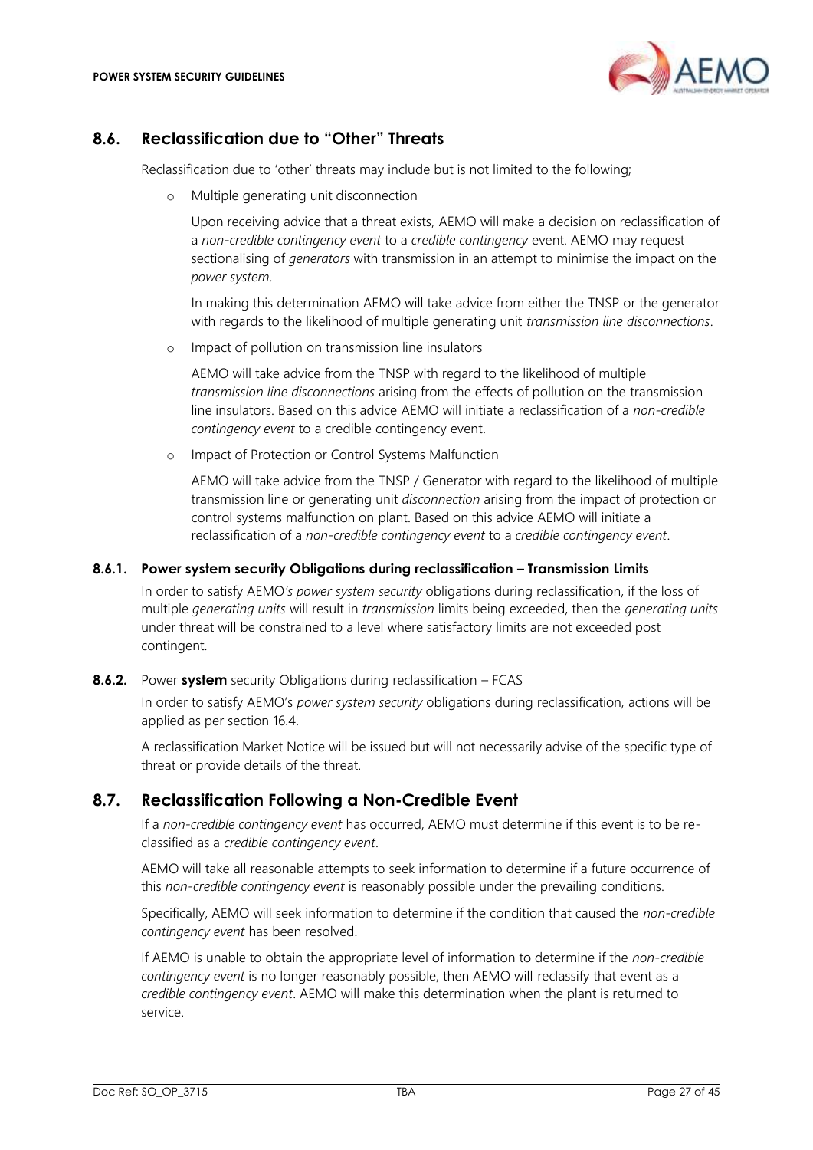

# <span id="page-26-0"></span>**8.6. Reclassification due to "Other" Threats**

Reclassification due to 'other' threats may include but is not limited to the following;

o Multiple generating unit disconnection

Upon receiving advice that a threat exists, AEMO will make a decision on reclassification of a *non-credible contingency event* to a *credible contingency* event. AEMO may request sectionalising of *generators* with transmission in an attempt to minimise the impact on the *power system*.

In making this determination AEMO will take advice from either the TNSP or the generator with regards to the likelihood of multiple generating unit *transmission line disconnections*.

o Impact of pollution on transmission line insulators

AEMO will take advice from the TNSP with regard to the likelihood of multiple *transmission line disconnections* arising from the effects of pollution on the transmission line insulators. Based on this advice AEMO will initiate a reclassification of a *non-credible contingency event* to a credible contingency event.

o Impact of Protection or Control Systems Malfunction

AEMO will take advice from the TNSP / Generator with regard to the likelihood of multiple transmission line or generating unit *disconnection* arising from the impact of protection or control systems malfunction on plant. Based on this advice AEMO will initiate a reclassification of a *non-credible contingency event* to a *credible contingency event*.

#### **8.6.1. Power system security Obligations during reclassification – Transmission Limits**

In order to satisfy AEMO*'s power system security* obligations during reclassification, if the loss of multiple *generating units* will result in *transmission* limits being exceeded, then the *generating units*  under threat will be constrained to a level where satisfactory limits are not exceeded post contingent.

### **8.6.2.** Power **system** security Obligations during reclassification – FCAS

In order to satisfy AEMO's *power system security* obligations during reclassification, actions will be applied as per section [16.4.](#page-38-0) 

A reclassification Market Notice will be issued but will not necessarily advise of the specific type of threat or provide details of the threat.

### <span id="page-26-1"></span>**8.7. Reclassification Following a Non-Credible Event**

If a *non-credible contingency event* has occurred, AEMO must determine if this event is to be reclassified as a *credible contingency event*.

AEMO will take all reasonable attempts to seek information to determine if a future occurrence of this *non-credible contingency event* is reasonably possible under the prevailing conditions.

Specifically, AEMO will seek information to determine if the condition that caused the *non-credible contingency event* has been resolved.

If AEMO is unable to obtain the appropriate level of information to determine if the *non-credible contingency event* is no longer reasonably possible, then AEMO will reclassify that event as a *credible contingency event*. AEMO will make this determination when the plant is returned to service.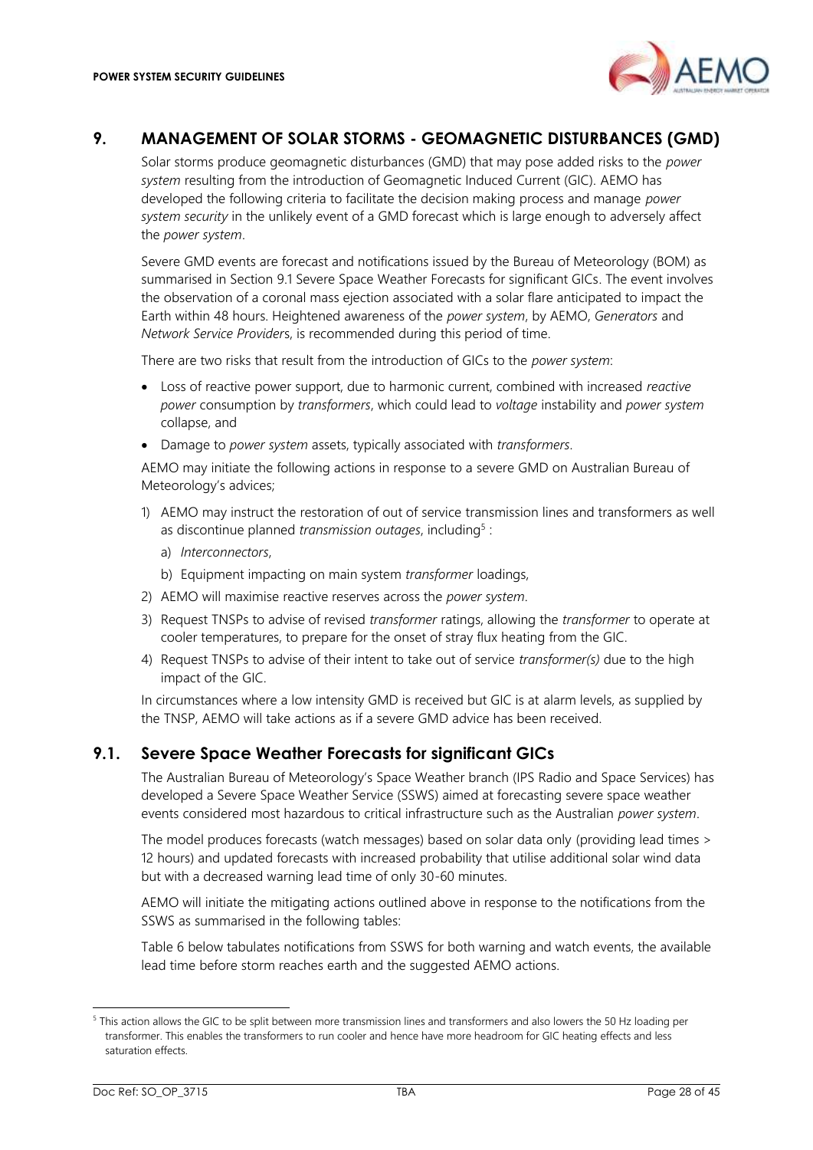

### <span id="page-27-0"></span>**9. MANAGEMENT OF SOLAR STORMS - GEOMAGNETIC DISTURBANCES (GMD)**

Solar storms produce geomagnetic disturbances (GMD) that may pose added risks to the *power system* resulting from the introduction of Geomagnetic Induced Current (GIC). AEMO has developed the following criteria to facilitate the decision making process and manage *power system security* in the unlikely event of a GMD forecast which is large enough to adversely affect the *power system*.

Severe GMD events are forecast and notifications issued by the Bureau of Meteorology (BOM) as summarised in Section [9.1](#page-27-1) [Severe Space Weather Forecasts for significant GICs.](#page-27-1) The event involves the observation of a coronal mass ejection associated with a solar flare anticipated to impact the Earth within 48 hours. Heightened awareness of the *power system*, by AEMO, *Generators* and *Network Service Provider*s, is recommended during this period of time.

There are two risks that result from the introduction of GICs to the *power system*:

- Loss of reactive power support, due to harmonic current, combined with increased *reactive power* consumption by *transformers*, which could lead to *voltage* instability and *power system* collapse, and
- Damage to *power system* assets, typically associated with *transformers*.

AEMO may initiate the following actions in response to a severe GMD on Australian Bureau of Meteorology's advices;

- 1) AEMO may instruct the restoration of out of service transmission lines and transformers as well as discontinue planned *transmission outages*, including<sup>5</sup>:
	- a) *Interconnectors*,
	- b) Equipment impacting on main system *transformer* loadings,
- 2) AEMO will maximise reactive reserves across the *power system*.
- 3) Request TNSPs to advise of revised *transformer* ratings, allowing the *transformer* to operate at cooler temperatures, to prepare for the onset of stray flux heating from the GIC.
- 4) Request TNSPs to advise of their intent to take out of service *transformer(s)* due to the high impact of the GIC.

In circumstances where a low intensity GMD is received but GIC is at alarm levels, as supplied by the TNSP, AEMO will take actions as if a severe GMD advice has been received.

### <span id="page-27-1"></span>**9.1. Severe Space Weather Forecasts for significant GICs**

The Australian Bureau of Meteorology's Space Weather branch (IPS Radio and Space Services) has developed a Severe Space Weather Service (SSWS) aimed at forecasting severe space weather events considered most hazardous to critical infrastructure such as the Australian *power system*.

The model produces forecasts (watch messages) based on solar data only (providing lead times > 12 hours) and updated forecasts with increased probability that utilise additional solar wind data but with a decreased warning lead time of only 30-60 minutes.

AEMO will initiate the mitigating actions outlined above in response to the notifications from the SSWS as summarised in the following tables:

[Table 6](#page-28-2) below tabulates notifications from SSWS for both warning and watch events, the available lead time before storm reaches earth and the suggested AEMO actions.

<sup>5</sup> This action allows the GIC to be split between more transmission lines and transformers and also lowers the 50 Hz loading per transformer. This enables the transformers to run cooler and hence have more headroom for GIC heating effects and less saturation effects.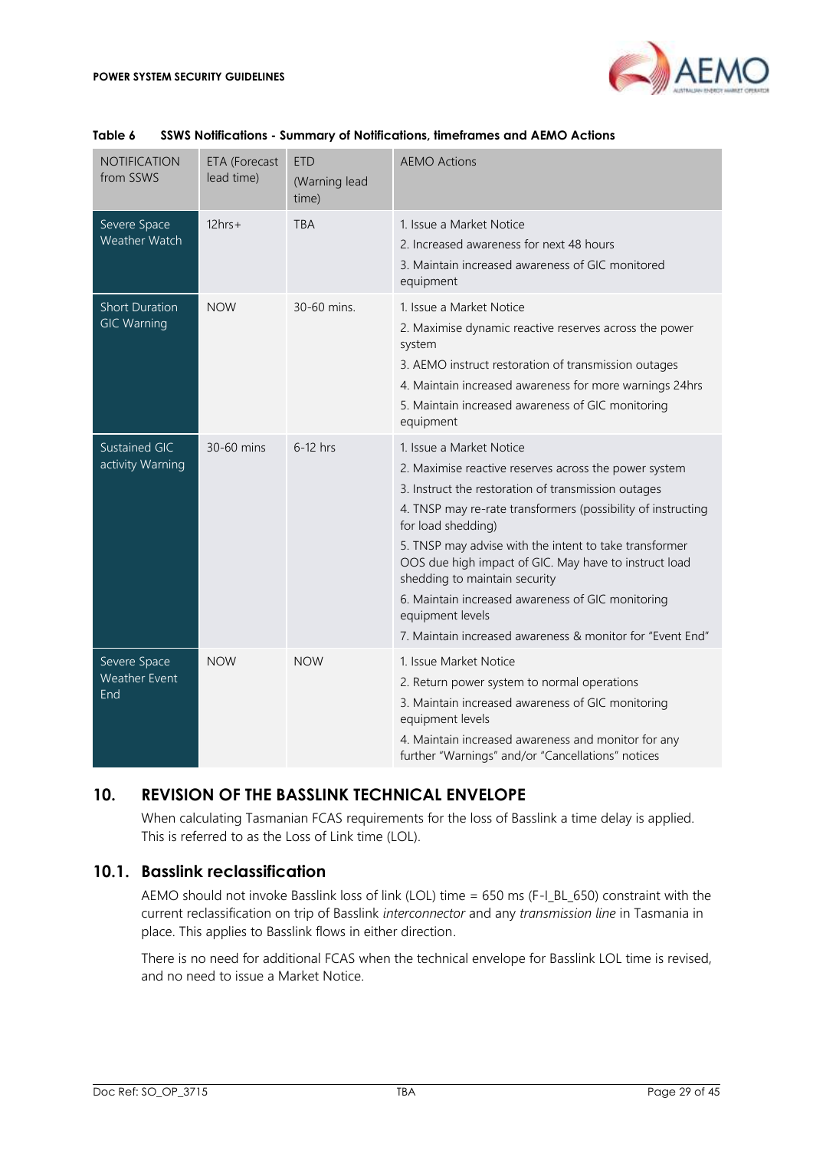

| <b>NOTIFICATION</b><br>from SSWS            | ETA (Forecast<br>lead time) | <b>ETD</b><br>(Warning lead<br>time) | <b>AEMO Actions</b>                                                                                                                                                                                                                                                                                                                                                                                                                                                                                                      |
|---------------------------------------------|-----------------------------|--------------------------------------|--------------------------------------------------------------------------------------------------------------------------------------------------------------------------------------------------------------------------------------------------------------------------------------------------------------------------------------------------------------------------------------------------------------------------------------------------------------------------------------------------------------------------|
| Severe Space<br>Weather Watch               | $12hrs+$                    | <b>TBA</b>                           | 1. Issue a Market Notice<br>2. Increased awareness for next 48 hours<br>3. Maintain increased awareness of GIC monitored<br>equipment                                                                                                                                                                                                                                                                                                                                                                                    |
| <b>Short Duration</b><br><b>GIC Warning</b> | <b>NOW</b>                  | 30-60 mins.                          | 1. Issue a Market Notice<br>2. Maximise dynamic reactive reserves across the power<br>system<br>3. AEMO instruct restoration of transmission outages<br>4. Maintain increased awareness for more warnings 24hrs<br>5. Maintain increased awareness of GIC monitoring<br>equipment                                                                                                                                                                                                                                        |
| <b>Sustained GIC</b><br>activity Warning    | 30-60 mins                  | $6-12$ hrs                           | 1. Issue a Market Notice<br>2. Maximise reactive reserves across the power system<br>3. Instruct the restoration of transmission outages<br>4. TNSP may re-rate transformers (possibility of instructing<br>for load shedding)<br>5. TNSP may advise with the intent to take transformer<br>OOS due high impact of GIC. May have to instruct load<br>shedding to maintain security<br>6. Maintain increased awareness of GIC monitoring<br>equipment levels<br>7. Maintain increased awareness & monitor for "Event End" |
| Severe Space<br><b>Weather Event</b><br>End | <b>NOW</b>                  | <b>NOW</b>                           | 1. Issue Market Notice<br>2. Return power system to normal operations<br>3. Maintain increased awareness of GIC monitoring<br>equipment levels<br>4. Maintain increased awareness and monitor for any<br>further "Warnings" and/or "Cancellations" notices                                                                                                                                                                                                                                                               |

#### <span id="page-28-2"></span>**Table 6 SSWS Notifications - Summary of Notifications, timeframes and AEMO Actions**

# <span id="page-28-0"></span>**10. REVISION OF THE BASSLINK TECHNICAL ENVELOPE**

When calculating Tasmanian FCAS requirements for the loss of Basslink a time delay is applied. This is referred to as the Loss of Link time (LOL).

### <span id="page-28-1"></span>**10.1. Basslink reclassification**

AEMO should not invoke Basslink loss of link (LOL) time = 650 ms (F-I\_BL\_650) constraint with the current reclassification on trip of Basslink *interconnector* and any *transmission line* in Tasmania in place. This applies to Basslink flows in either direction.

There is no need for additional FCAS when the technical envelope for Basslink LOL time is revised, and no need to issue a Market Notice.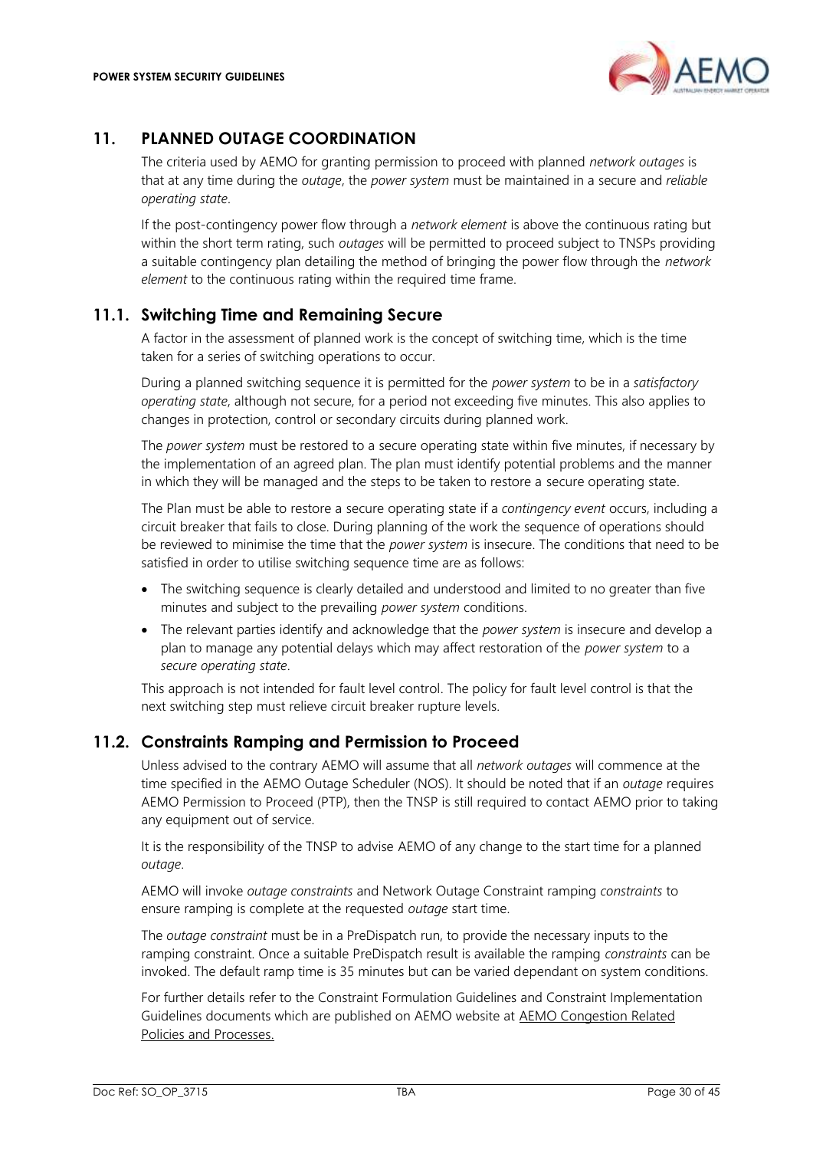

# <span id="page-29-0"></span>**11. PLANNED OUTAGE COORDINATION**

The criteria used by AEMO for granting permission to proceed with planned *network outages* is that at any time during the *outage*, the *power system* must be maintained in a secure and *reliable operating state*.

If the post-contingency power flow through a *network element* is above the continuous rating but within the short term rating, such *outages* will be permitted to proceed subject to TNSPs providing a suitable contingency plan detailing the method of bringing the power flow through the *network element* to the continuous rating within the required time frame.

# <span id="page-29-1"></span>**11.1. Switching Time and Remaining Secure**

A factor in the assessment of planned work is the concept of switching time, which is the time taken for a series of switching operations to occur.

During a planned switching sequence it is permitted for the *power system* to be in a *satisfactory operating state*, although not secure, for a period not exceeding five minutes. This also applies to changes in protection, control or secondary circuits during planned work.

The *power system* must be restored to a secure operating state within five minutes, if necessary by the implementation of an agreed plan. The plan must identify potential problems and the manner in which they will be managed and the steps to be taken to restore a secure operating state.

The Plan must be able to restore a secure operating state if a *contingency event* occurs, including a circuit breaker that fails to close. During planning of the work the sequence of operations should be reviewed to minimise the time that the *power system* is insecure. The conditions that need to be satisfied in order to utilise switching sequence time are as follows:

- The switching sequence is clearly detailed and understood and limited to no greater than five minutes and subject to the prevailing *power system* conditions.
- The relevant parties identify and acknowledge that the *power system* is insecure and develop a plan to manage any potential delays which may affect restoration of the *power system* to a *secure operating state*.

This approach is not intended for fault level control. The policy for fault level control is that the next switching step must relieve circuit breaker rupture levels.

### <span id="page-29-2"></span>**11.2. Constraints Ramping and Permission to Proceed**

Unless advised to the contrary AEMO will assume that all *network outages* will commence at the time specified in the AEMO Outage Scheduler (NOS). It should be noted that if an *outage* requires AEMO Permission to Proceed (PTP), then the TNSP is still required to contact AEMO prior to taking any equipment out of service.

It is the responsibility of the TNSP to advise AEMO of any change to the start time for a planned *outage*.

AEMO will invoke *outage constraints* and Network Outage Constraint ramping *constraints* to ensure ramping is complete at the requested *outage* start time.

The *outage constraint* must be in a PreDispatch run, to provide the necessary inputs to the ramping constraint. Once a suitable PreDispatch result is available the ramping *constraints* can be invoked. The default ramp time is 35 minutes but can be varied dependant on system conditions.

For further details refer to the Constraint Formulation Guidelines and Constraint Implementation Guidelines documents which are published on AEMO website at [AEMO Congestion Related](http://www.aemo.com.au/Electricity/National-Electricity-Market-NEM/Security-and-reliability/Congestion-information)  [Policies and Processes.](http://www.aemo.com.au/Electricity/National-Electricity-Market-NEM/Security-and-reliability/Congestion-information)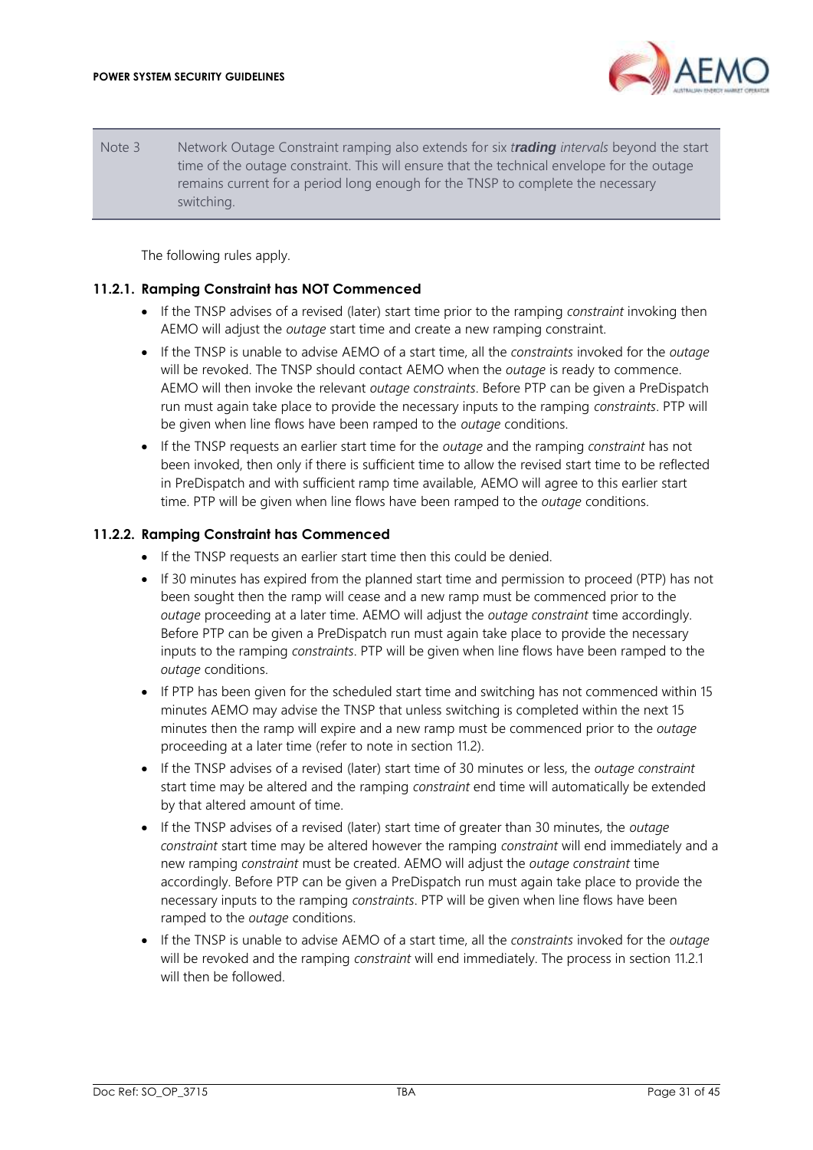

Note 3 Network Outage Constraint ramping also extends for six *trading intervals* beyond the start time of the outage constraint. This will ensure that the technical envelope for the outage remains current for a period long enough for the TNSP to complete the necessary switching.

The following rules apply.

#### <span id="page-30-0"></span>**11.2.1. Ramping Constraint has NOT Commenced**

- If the TNSP advises of a revised (later) start time prior to the ramping *constraint* invoking then AEMO will adjust the *outage* start time and create a new ramping constraint.
- If the TNSP is unable to advise AEMO of a start time, all the *constraints* invoked for the *outage* will be revoked. The TNSP should contact AEMO when the *outage* is ready to commence. AEMO will then invoke the relevant *outage constraints*. Before PTP can be given a PreDispatch run must again take place to provide the necessary inputs to the ramping *constraints*. PTP will be given when line flows have been ramped to the *outage* conditions.
- If the TNSP requests an earlier start time for the *outage* and the ramping *constraint* has not been invoked, then only if there is sufficient time to allow the revised start time to be reflected in PreDispatch and with sufficient ramp time available, AEMO will agree to this earlier start time. PTP will be given when line flows have been ramped to the *outage* conditions.

#### **11.2.2. Ramping Constraint has Commenced**

- If the TNSP requests an earlier start time then this could be denied.
- If 30 minutes has expired from the planned start time and permission to proceed (PTP) has not been sought then the ramp will cease and a new ramp must be commenced prior to the *outage* proceeding at a later time. AEMO will adjust the *outage constraint* time accordingly. Before PTP can be given a PreDispatch run must again take place to provide the necessary inputs to the ramping *constraints*. PTP will be given when line flows have been ramped to the *outage* conditions.
- If PTP has been given for the scheduled start time and switching has not commenced within 15 minutes AEMO may advise the TNSP that unless switching is completed within the next 15 minutes then the ramp will expire and a new ramp must be commenced prior to the *outage* proceeding at a later time (refer to note in section [11.2\)](#page-29-2).
- If the TNSP advises of a revised (later) start time of 30 minutes or less, the *outage constraint*  start time may be altered and the ramping *constraint* end time will automatically be extended by that altered amount of time.
- If the TNSP advises of a revised (later) start time of greater than 30 minutes, the *outage constraint* start time may be altered however the ramping *constraint* will end immediately and a new ramping *constraint* must be created. AEMO will adjust the *outage constraint* time accordingly. Before PTP can be given a PreDispatch run must again take place to provide the necessary inputs to the ramping *constraints*. PTP will be given when line flows have been ramped to the *outage* conditions.
- If the TNSP is unable to advise AEMO of a start time, all the *constraints* invoked for the *outage* will be revoked and the ramping *constraint* will end immediately. The process in section [11.2.1](#page-30-0) will then be followed.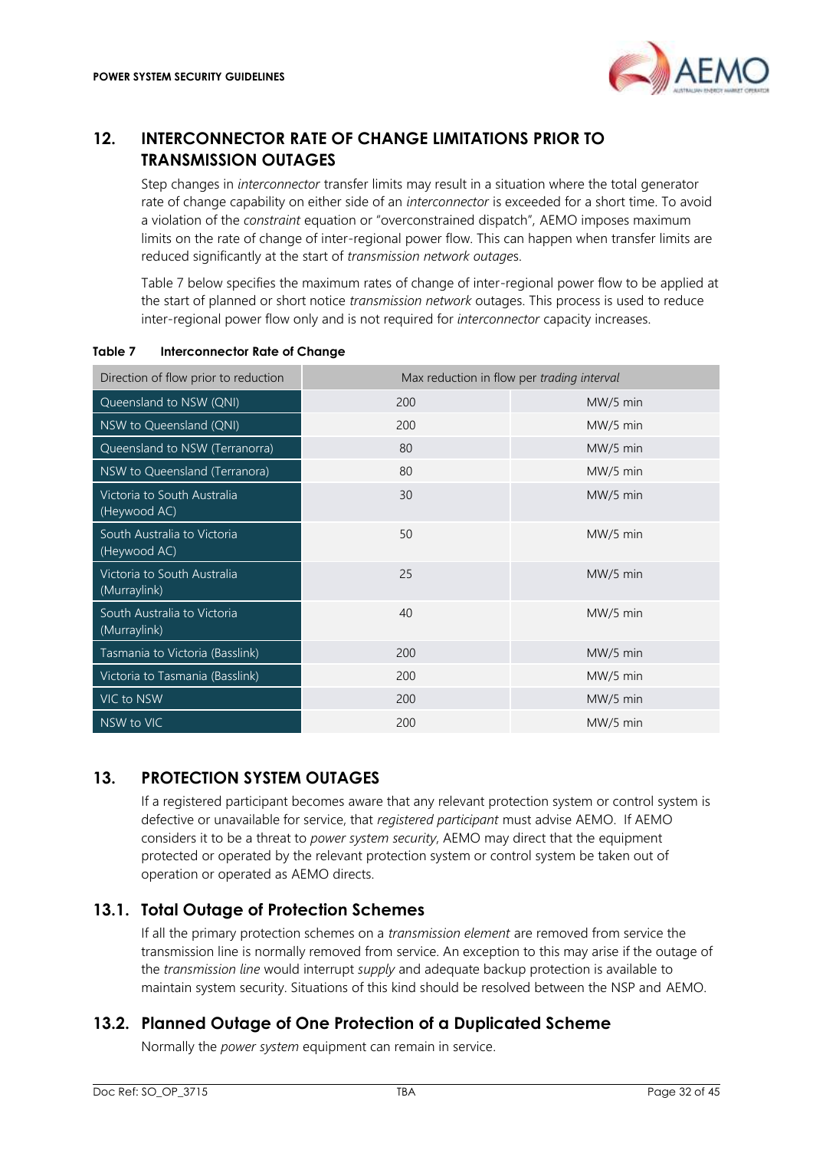

# <span id="page-31-0"></span>**12. INTERCONNECTOR RATE OF CHANGE LIMITATIONS PRIOR TO TRANSMISSION OUTAGES**

Step changes in *interconnector* transfer limits may result in a situation where the total generator rate of change capability on either side of an *interconnector* is exceeded for a short time. To avoid a violation of the *constraint* equation or "overconstrained dispatch", AEMO imposes maximum limits on the rate of change of inter-regional power flow. This can happen when transfer limits are reduced significantly at the start of *transmission network outage*s.

[Table 7](#page-31-4) below specifies the maximum rates of change of inter-regional power flow to be applied at the start of planned or short notice *transmission network* outages. This process is used to reduce inter-regional power flow only and is not required for *interconnector* capacity increases.

| Direction of flow prior to reduction        | Max reduction in flow per trading interval |          |
|---------------------------------------------|--------------------------------------------|----------|
| Queensland to NSW (QNI)                     | 200                                        | MW/5 min |
| NSW to Queensland (QNI)                     | 200                                        | MW/5 min |
| Queensland to NSW (Terranorra)              | 80                                         | MW/5 min |
| NSW to Queensland (Terranora)               | 80                                         | MW/5 min |
| Victoria to South Australia<br>(Heywood AC) | 30                                         | MW/5 min |
| South Australia to Victoria<br>(Heywood AC) | 50                                         | MW/5 min |
| Victoria to South Australia<br>(Murraylink) | 25                                         | MW/5 min |
| South Australia to Victoria<br>(Murraylink) | 40                                         | MW/5 min |
| Tasmania to Victoria (Basslink)             | 200                                        | MW/5 min |
| Victoria to Tasmania (Basslink)             | 200                                        | MW/5 min |
| VIC to NSW                                  | 200                                        | MW/5 min |
| NSW to VIC                                  | 200                                        | MW/5 min |

#### <span id="page-31-4"></span>**Table 7 Interconnector Rate of Change**

# <span id="page-31-1"></span>**13. PROTECTION SYSTEM OUTAGES**

If a registered participant becomes aware that any relevant protection system or control system is defective or unavailable for service, that *registered participant* must advise AEMO. If AEMO considers it to be a threat to *power system security*, AEMO may direct that the equipment protected or operated by the relevant protection system or control system be taken out of operation or operated as AEMO directs.

# <span id="page-31-2"></span>**13.1. Total Outage of Protection Schemes**

If all the primary protection schemes on a *transmission element* are removed from service the transmission line is normally removed from service. An exception to this may arise if the outage of the *transmission line* would interrupt *supply* and adequate backup protection is available to maintain system security. Situations of this kind should be resolved between the NSP and AEMO.

# <span id="page-31-3"></span>**13.2. Planned Outage of One Protection of a Duplicated Scheme**

Normally the *power system* equipment can remain in service.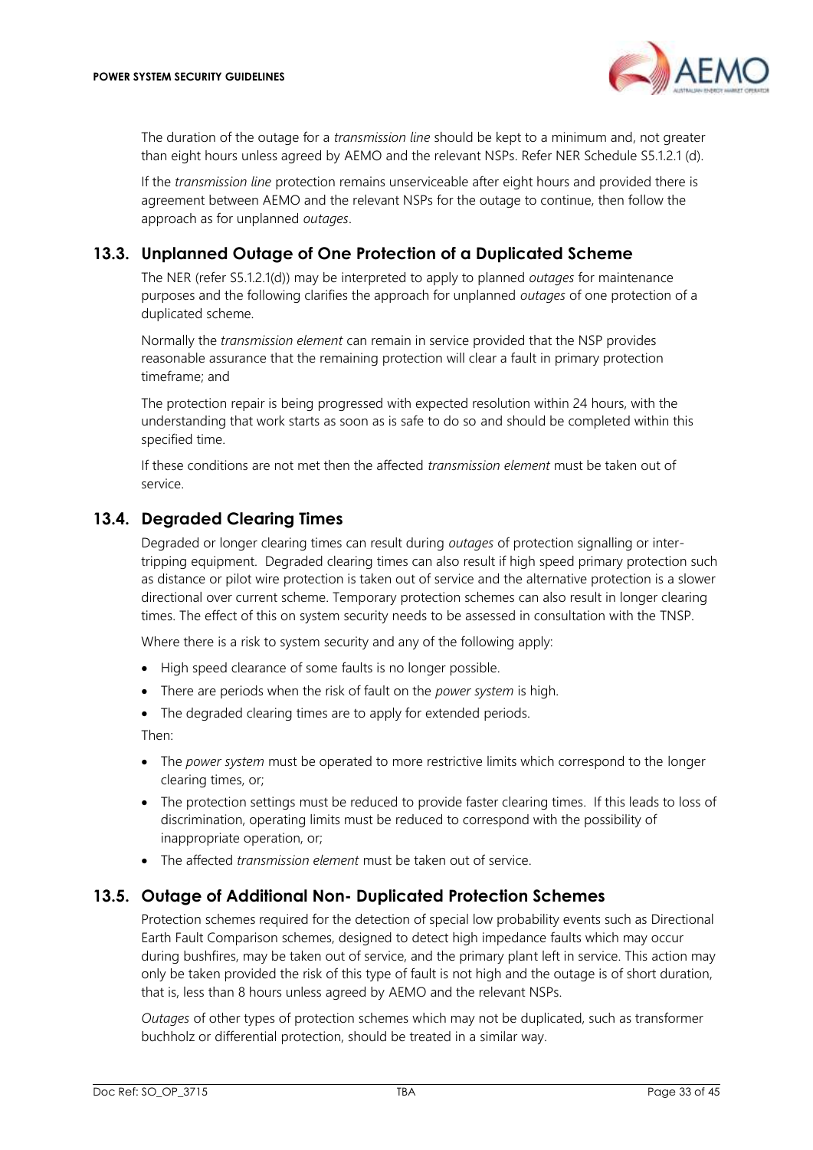

The duration of the outage for a *transmission line* should be kept to a minimum and, not greater than eight hours unless agreed by AEMO and the relevant NSPs. Refer NER Schedule S5.1.2.1 (d).

If the *transmission line* protection remains unserviceable after eight hours and provided there is agreement between AEMO and the relevant NSPs for the outage to continue, then follow the approach as for unplanned *outages*.

# <span id="page-32-0"></span>**13.3. Unplanned Outage of One Protection of a Duplicated Scheme**

The NER (refer S5.1.2.1(d)) may be interpreted to apply to planned *outages* for maintenance purposes and the following clarifies the approach for unplanned *outages* of one protection of a duplicated scheme.

Normally the *transmission element* can remain in service provided that the NSP provides reasonable assurance that the remaining protection will clear a fault in primary protection timeframe; and

The protection repair is being progressed with expected resolution within 24 hours, with the understanding that work starts as soon as is safe to do so and should be completed within this specified time.

If these conditions are not met then the affected *transmission element* must be taken out of service.

# <span id="page-32-1"></span>**13.4. Degraded Clearing Times**

Degraded or longer clearing times can result during *outages* of protection signalling or intertripping equipment. Degraded clearing times can also result if high speed primary protection such as distance or pilot wire protection is taken out of service and the alternative protection is a slower directional over current scheme. Temporary protection schemes can also result in longer clearing times. The effect of this on system security needs to be assessed in consultation with the TNSP.

Where there is a risk to system security and any of the following apply:

- High speed clearance of some faults is no longer possible.
- There are periods when the risk of fault on the *power system* is high.
- The degraded clearing times are to apply for extended periods.

Then:

- The *power system* must be operated to more restrictive limits which correspond to the longer clearing times, or;
- The protection settings must be reduced to provide faster clearing times. If this leads to loss of discrimination, operating limits must be reduced to correspond with the possibility of inappropriate operation, or;
- The affected *transmission element* must be taken out of service.

### <span id="page-32-2"></span>**13.5. Outage of Additional Non- Duplicated Protection Schemes**

Protection schemes required for the detection of special low probability events such as Directional Earth Fault Comparison schemes, designed to detect high impedance faults which may occur during bushfires, may be taken out of service, and the primary plant left in service. This action may only be taken provided the risk of this type of fault is not high and the outage is of short duration, that is, less than 8 hours unless agreed by AEMO and the relevant NSPs.

*Outages* of other types of protection schemes which may not be duplicated, such as transformer buchholz or differential protection, should be treated in a similar way.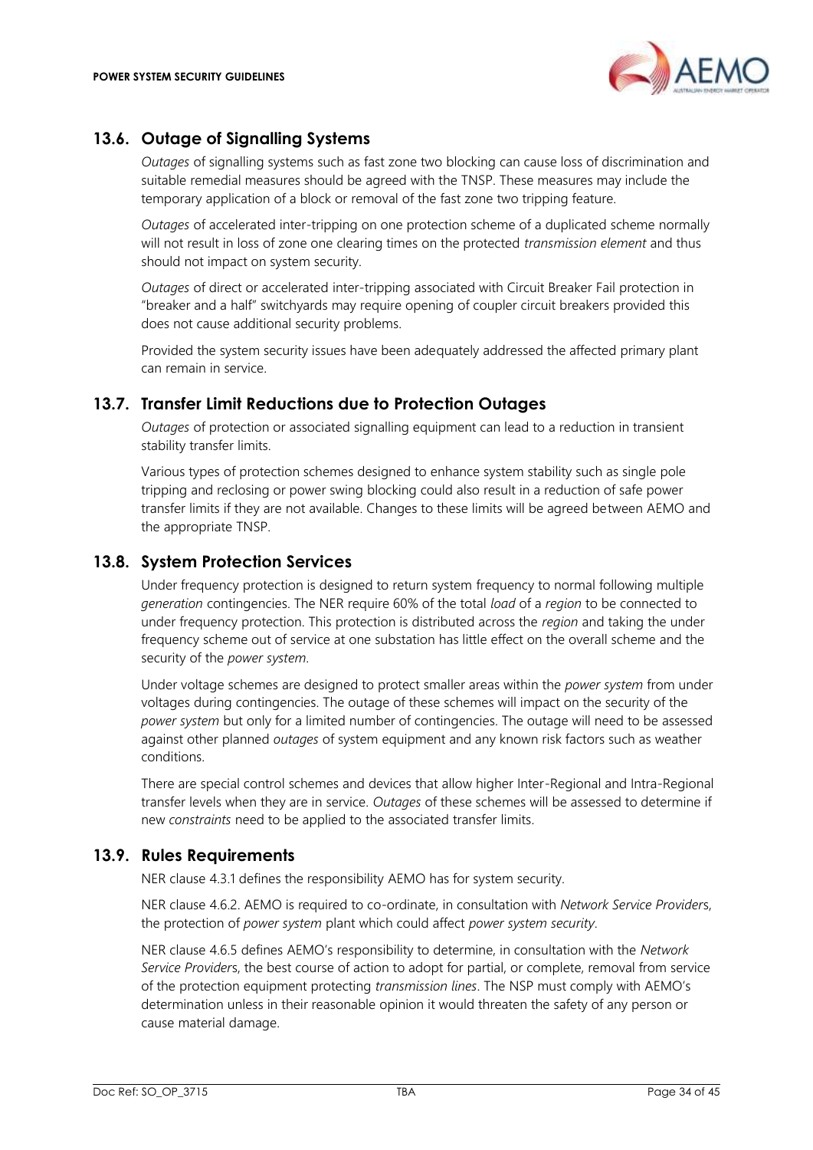

# <span id="page-33-0"></span>**13.6. Outage of Signalling Systems**

*Outages* of signalling systems such as fast zone two blocking can cause loss of discrimination and suitable remedial measures should be agreed with the TNSP. These measures may include the temporary application of a block or removal of the fast zone two tripping feature.

*Outages* of accelerated inter-tripping on one protection scheme of a duplicated scheme normally will not result in loss of zone one clearing times on the protected *transmission element* and thus should not impact on system security.

*Outages* of direct or accelerated inter-tripping associated with Circuit Breaker Fail protection in "breaker and a half" switchyards may require opening of coupler circuit breakers provided this does not cause additional security problems.

Provided the system security issues have been adequately addressed the affected primary plant can remain in service.

### <span id="page-33-1"></span>**13.7. Transfer Limit Reductions due to Protection Outages**

*Outages* of protection or associated signalling equipment can lead to a reduction in transient stability transfer limits.

Various types of protection schemes designed to enhance system stability such as single pole tripping and reclosing or power swing blocking could also result in a reduction of safe power transfer limits if they are not available. Changes to these limits will be agreed between AEMO and the appropriate TNSP.

### <span id="page-33-2"></span>**13.8. System Protection Services**

Under frequency protection is designed to return system frequency to normal following multiple *generation* contingencies. The NER require 60% of the total *load* of a *region* to be connected to under frequency protection. This protection is distributed across the *region* and taking the under frequency scheme out of service at one substation has little effect on the overall scheme and the security of the *power system*.

Under voltage schemes are designed to protect smaller areas within the *power system* from under voltages during contingencies. The outage of these schemes will impact on the security of the *power system* but only for a limited number of contingencies. The outage will need to be assessed against other planned *outages* of system equipment and any known risk factors such as weather conditions.

There are special control schemes and devices that allow higher Inter-Regional and Intra-Regional transfer levels when they are in service. *Outages* of these schemes will be assessed to determine if new *constraints* need to be applied to the associated transfer limits.

### <span id="page-33-3"></span>**13.9. Rules Requirements**

NER clause 4.3.1 defines the responsibility AEMO has for system security.

NER clause 4.6.2. AEMO is required to co-ordinate, in consultation with *Network Service Provider*s, the protection of *power system* plant which could affect *power system security*.

NER clause 4.6.5 defines AEMO's responsibility to determine, in consultation with the *Network Service Provider*s, the best course of action to adopt for partial, or complete, removal from service of the protection equipment protecting *transmission lines*. The NSP must comply with AEMO's determination unless in their reasonable opinion it would threaten the safety of any person or cause material damage.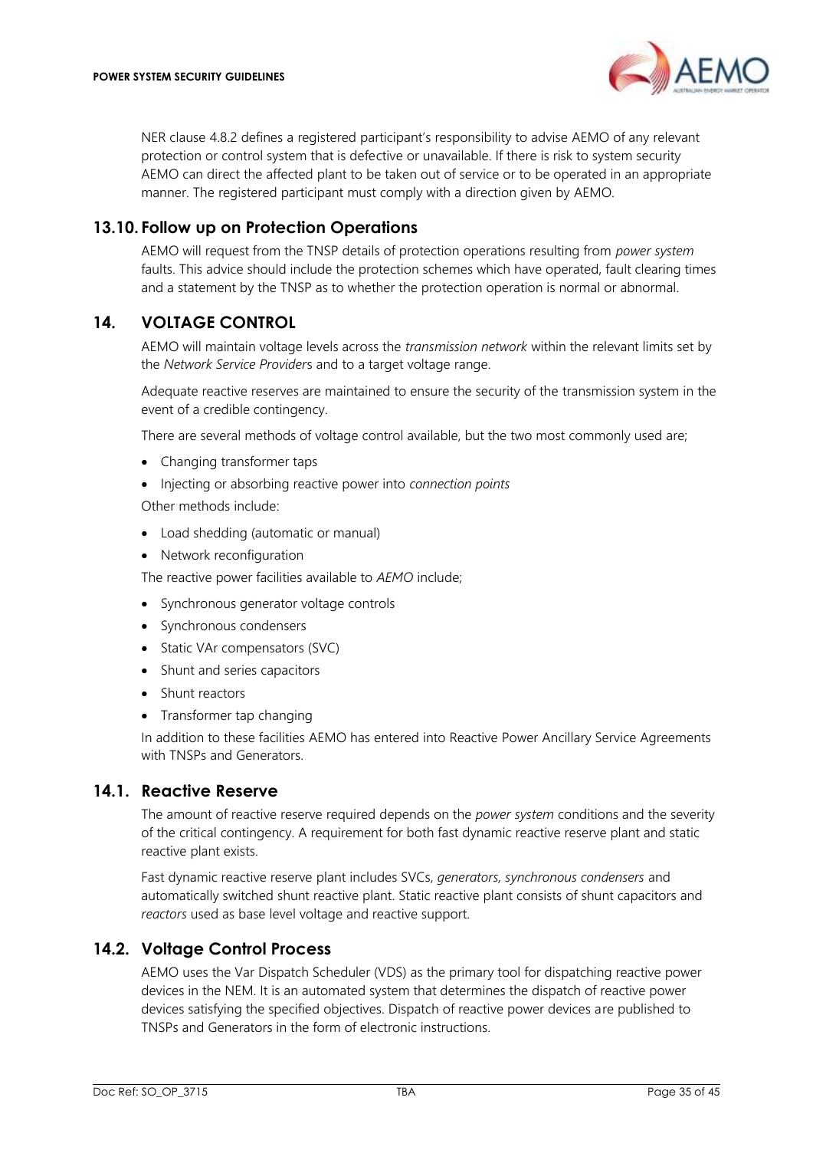NER clause 4.8.2 defines a registered participant's responsibility to advise AEMO of any relevant protection or control system that is defective or unavailable. If there is risk to system security AEMO can direct the affected plant to be taken out of service or to be operated in an appropriate manner. The registered participant must comply with a direction given by AEMO.

### <span id="page-34-0"></span>**13.10. Follow up on Protection Operations**

AEMO will request from the TNSP details of protection operations resulting from *power system* faults. This advice should include the protection schemes which have operated, fault clearing times and a statement by the TNSP as to whether the protection operation is normal or abnormal.

### <span id="page-34-1"></span>**14. VOLTAGE CONTROL**

AEMO will maintain voltage levels across the *transmission network* within the relevant limits set by the *Network Service Provider*s and to a target voltage range.

Adequate reactive reserves are maintained to ensure the security of the transmission system in the event of a credible contingency.

There are several methods of voltage control available, but the two most commonly used are;

- Changing transformer taps
- Injecting or absorbing reactive power into *connection points*

Other methods include:

- Load shedding (automatic or manual)
- Network reconfiguration

The reactive power facilities available to *AEMO* include;

- Synchronous generator voltage controls
- Synchronous condensers
- Static VAr compensators (SVC)
- Shunt and series capacitors
- Shunt reactors
- Transformer tap changing

In addition to these facilities AEMO has entered into Reactive Power Ancillary Service Agreements with TNSPs and Generators.

### <span id="page-34-2"></span>**14.1. Reactive Reserve**

The amount of reactive reserve required depends on the *power system* conditions and the severity of the critical contingency. A requirement for both fast dynamic reactive reserve plant and static reactive plant exists.

Fast dynamic reactive reserve plant includes SVCs, *generators, synchronous condensers* and automatically switched shunt reactive plant. Static reactive plant consists of shunt capacitors and *reactors* used as base level voltage and reactive support.

### <span id="page-34-3"></span>**14.2. Voltage Control Process**

AEMO uses the Var Dispatch Scheduler (VDS) as the primary tool for dispatching reactive power devices in the NEM. It is an automated system that determines the dispatch of reactive power devices satisfying the specified objectives. Dispatch of reactive power devices are published to TNSPs and Generators in the form of electronic instructions.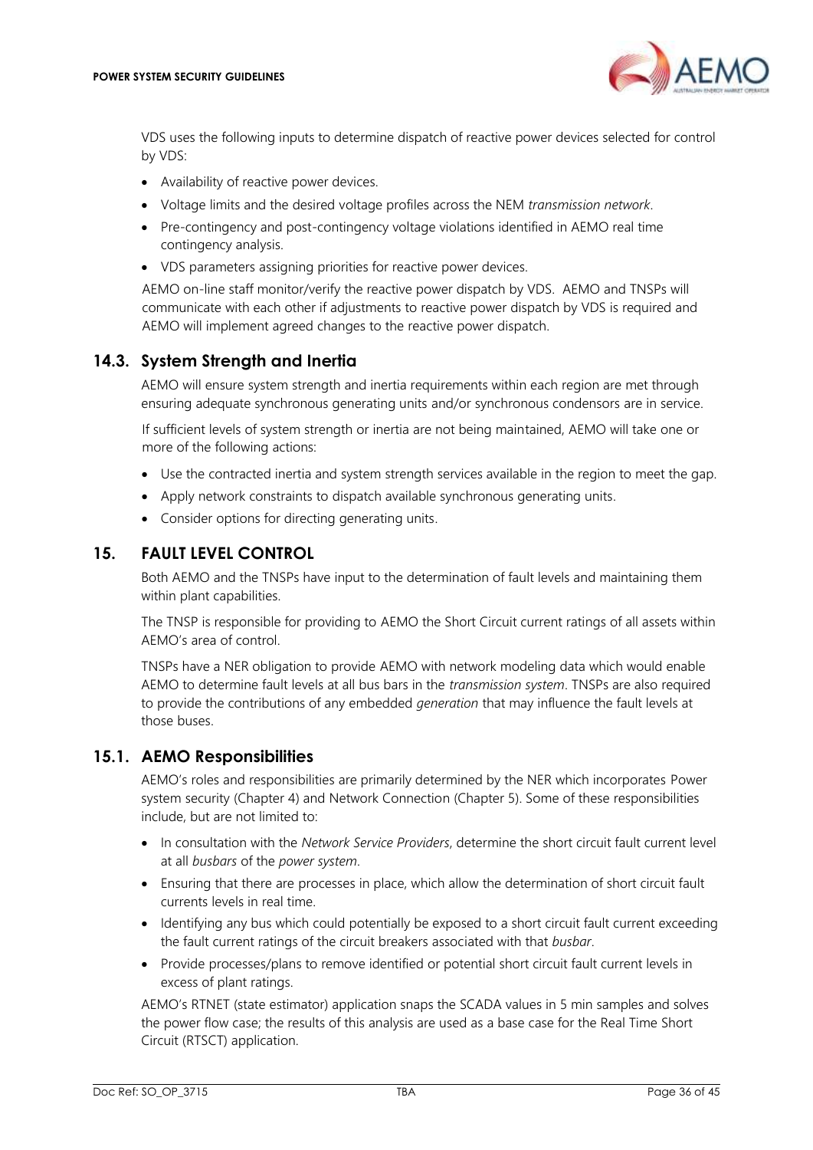

VDS uses the following inputs to determine dispatch of reactive power devices selected for control by VDS:

- Availability of reactive power devices.
- Voltage limits and the desired voltage profiles across the NEM *transmission network*.
- Pre-contingency and post-contingency voltage violations identified in AEMO real time contingency analysis.
- VDS parameters assigning priorities for reactive power devices.

AEMO on-line staff monitor/verify the reactive power dispatch by VDS. AEMO and TNSPs will communicate with each other if adjustments to reactive power dispatch by VDS is required and AEMO will implement agreed changes to the reactive power dispatch.

# <span id="page-35-0"></span>**14.3. System Strength and Inertia**

AEMO will ensure system strength and inertia requirements within each region are met through ensuring adequate synchronous generating units and/or synchronous condensors are in service.

If sufficient levels of system strength or inertia are not being maintained, AEMO will take one or more of the following actions:

- Use the contracted inertia and system strength services available in the region to meet the gap.
- Apply network constraints to dispatch available synchronous generating units.
- Consider options for directing generating units.

### <span id="page-35-1"></span>**15. FAULT LEVEL CONTROL**

Both AEMO and the TNSPs have input to the determination of fault levels and maintaining them within plant capabilities.

The TNSP is responsible for providing to AEMO the Short Circuit current ratings of all assets within AEMO's area of control.

TNSPs have a NER obligation to provide AEMO with network modeling data which would enable AEMO to determine fault levels at all bus bars in the *transmission system*. TNSPs are also required to provide the contributions of any embedded *generation* that may influence the fault levels at those buses.

# <span id="page-35-2"></span>**15.1. AEMO Responsibilities**

AEMO's roles and responsibilities are primarily determined by the NER which incorporates Power system security (Chapter 4) and Network Connection (Chapter 5). Some of these responsibilities include, but are not limited to:

- In consultation with the *Network Service Providers*, determine the short circuit fault current level at all *busbars* of the *power system*.
- Ensuring that there are processes in place, which allow the determination of short circuit fault currents levels in real time.
- Identifying any bus which could potentially be exposed to a short circuit fault current exceeding the fault current ratings of the circuit breakers associated with that *busbar*.
- Provide processes/plans to remove identified or potential short circuit fault current levels in excess of plant ratings.

AEMO's RTNET (state estimator) application snaps the SCADA values in 5 min samples and solves the power flow case; the results of this analysis are used as a base case for the Real Time Short Circuit (RTSCT) application.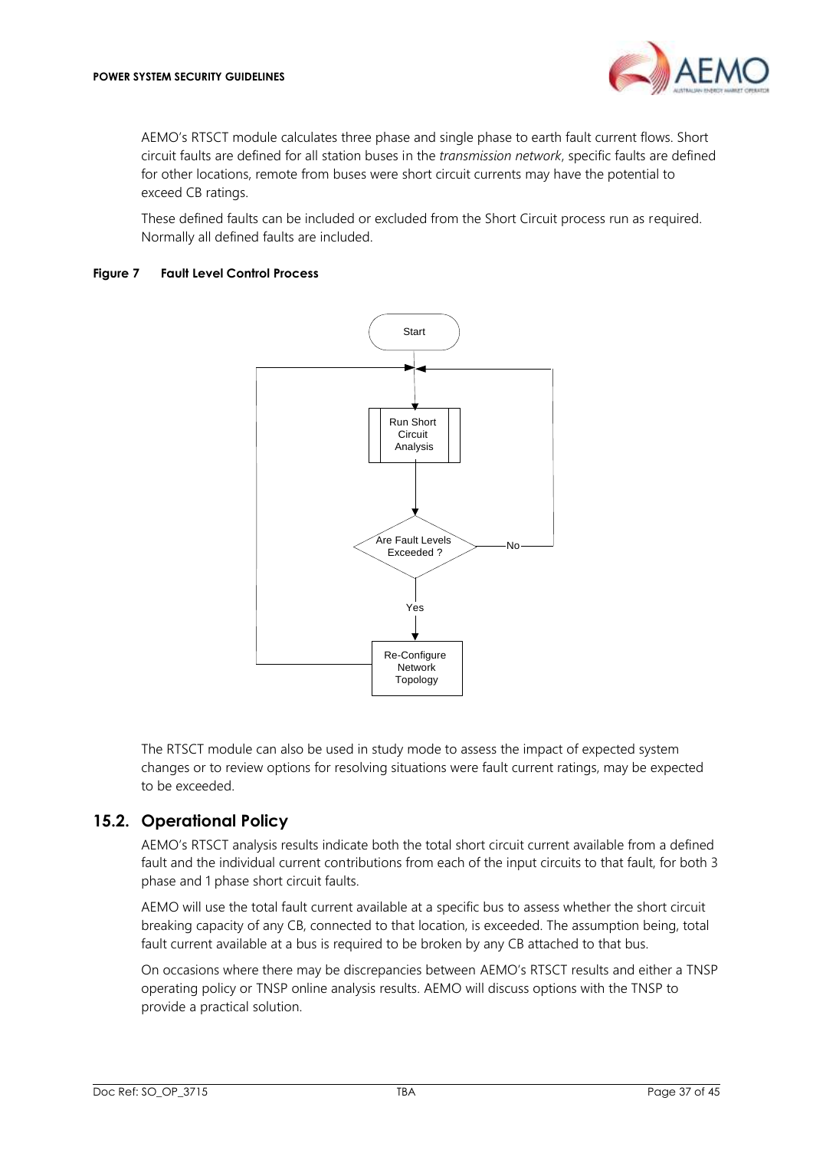

AEMO's RTSCT module calculates three phase and single phase to earth fault current flows. Short circuit faults are defined for all station buses in the *transmission network*, specific faults are defined for other locations, remote from buses were short circuit currents may have the potential to exceed CB ratings.

These defined faults can be included or excluded from the Short Circuit process run as required. Normally all defined faults are included.

#### <span id="page-36-1"></span>**Figure 7 Fault Level Control Process**



The RTSCT module can also be used in study mode to assess the impact of expected system changes or to review options for resolving situations were fault current ratings, may be expected to be exceeded.

### <span id="page-36-0"></span>**15.2. Operational Policy**

AEMO's RTSCT analysis results indicate both the total short circuit current available from a defined fault and the individual current contributions from each of the input circuits to that fault, for both 3 phase and 1 phase short circuit faults.

AEMO will use the total fault current available at a specific bus to assess whether the short circuit breaking capacity of any CB, connected to that location, is exceeded. The assumption being, total fault current available at a bus is required to be broken by any CB attached to that bus.

On occasions where there may be discrepancies between AEMO's RTSCT results and either a TNSP operating policy or TNSP online analysis results. AEMO will discuss options with the TNSP to provide a practical solution.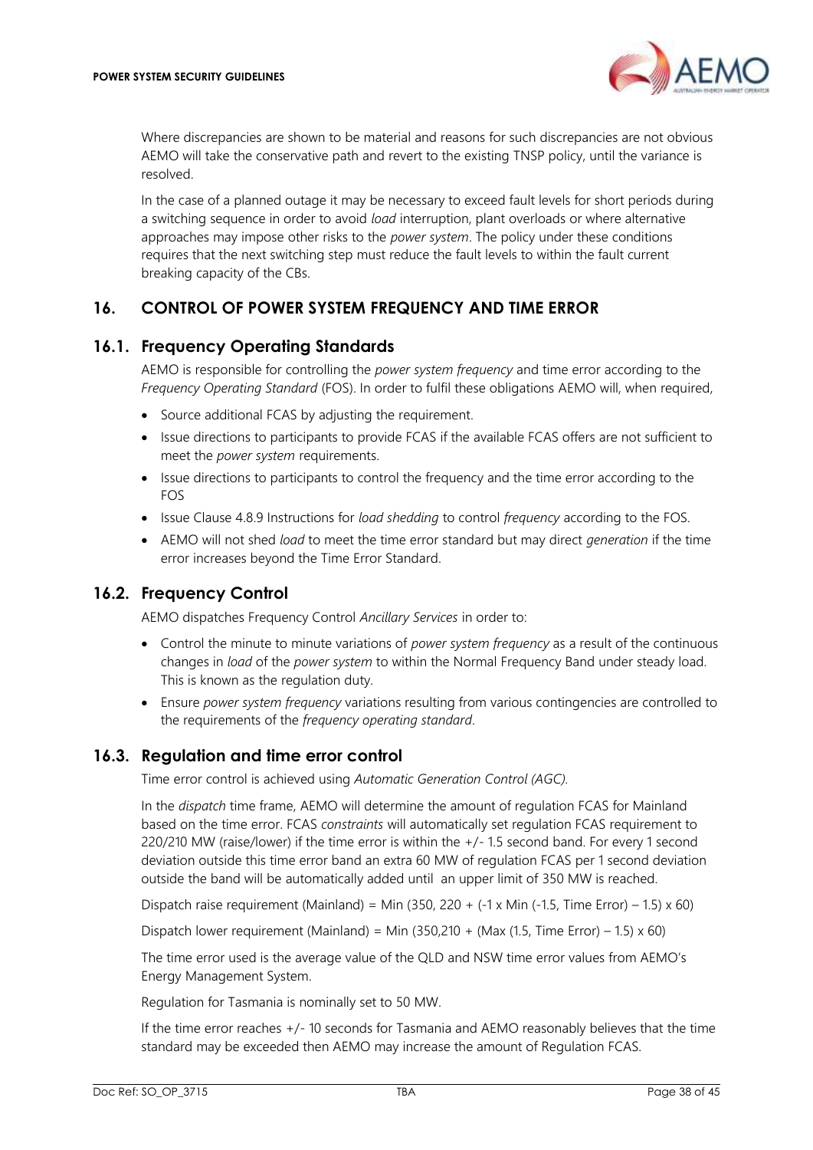

Where discrepancies are shown to be material and reasons for such discrepancies are not obvious AEMO will take the conservative path and revert to the existing TNSP policy, until the variance is resolved.

In the case of a planned outage it may be necessary to exceed fault levels for short periods during a switching sequence in order to avoid *load* interruption, plant overloads or where alternative approaches may impose other risks to the *power system*. The policy under these conditions requires that the next switching step must reduce the fault levels to within the fault current breaking capacity of the CBs.

# <span id="page-37-0"></span>**16. CONTROL OF POWER SYSTEM FREQUENCY AND TIME ERROR**

### <span id="page-37-1"></span>**16.1. Frequency Operating Standards**

AEMO is responsible for controlling the *power system frequency* and time error according to the *Frequency Operating Standard* (FOS). In order to fulfil these obligations AEMO will, when required,

- Source additional FCAS by adjusting the requirement.
- Issue directions to participants to provide FCAS if the available FCAS offers are not sufficient to meet the *power system* requirements.
- Issue directions to participants to control the frequency and the time error according to the FOS
- Issue Clause 4.8.9 Instructions for *load shedding* to control *frequency* according to the FOS.
- AEMO will not shed *load* to meet the time error standard but may direct *generation* if the time error increases beyond the Time Error Standard.

### <span id="page-37-2"></span>**16.2. Frequency Control**

AEMO dispatches Frequency Control *Ancillary Services* in order to:

- Control the minute to minute variations of *power system frequency* as a result of the continuous changes in *load* of the *power system* to within the Normal Frequency Band under steady load. This is known as the regulation duty.
- Ensure *power system frequency* variations resulting from various contingencies are controlled to the requirements of the *frequency operating standard*.

### <span id="page-37-3"></span>**16.3. Regulation and time error control**

Time error control is achieved using *Automatic Generation Control (AGC).*

In the *dispatch* time frame, AEMO will determine the amount of regulation FCAS for Mainland based on the time error. FCAS *constraints* will automatically set regulation FCAS requirement to 220/210 MW (raise/lower) if the time error is within the +/- 1.5 second band. For every 1 second deviation outside this time error band an extra 60 MW of regulation FCAS per 1 second deviation outside the band will be automatically added until an upper limit of 350 MW is reached.

Dispatch raise requirement (Mainland) = Min (350, 220 +  $(-1 \times$  Min  $(-1.5, 1)$  Time Error) - 1.5)  $\times$  60)

Dispatch lower requirement (Mainland) = Min (350,210 + (Max (1.5, Time Error) – 1.5)  $\times$  60)

The time error used is the average value of the QLD and NSW time error values from AEMO's Energy Management System.

Regulation for Tasmania is nominally set to 50 MW.

If the time error reaches +/- 10 seconds for Tasmania and AEMO reasonably believes that the time standard may be exceeded then AEMO may increase the amount of Regulation FCAS.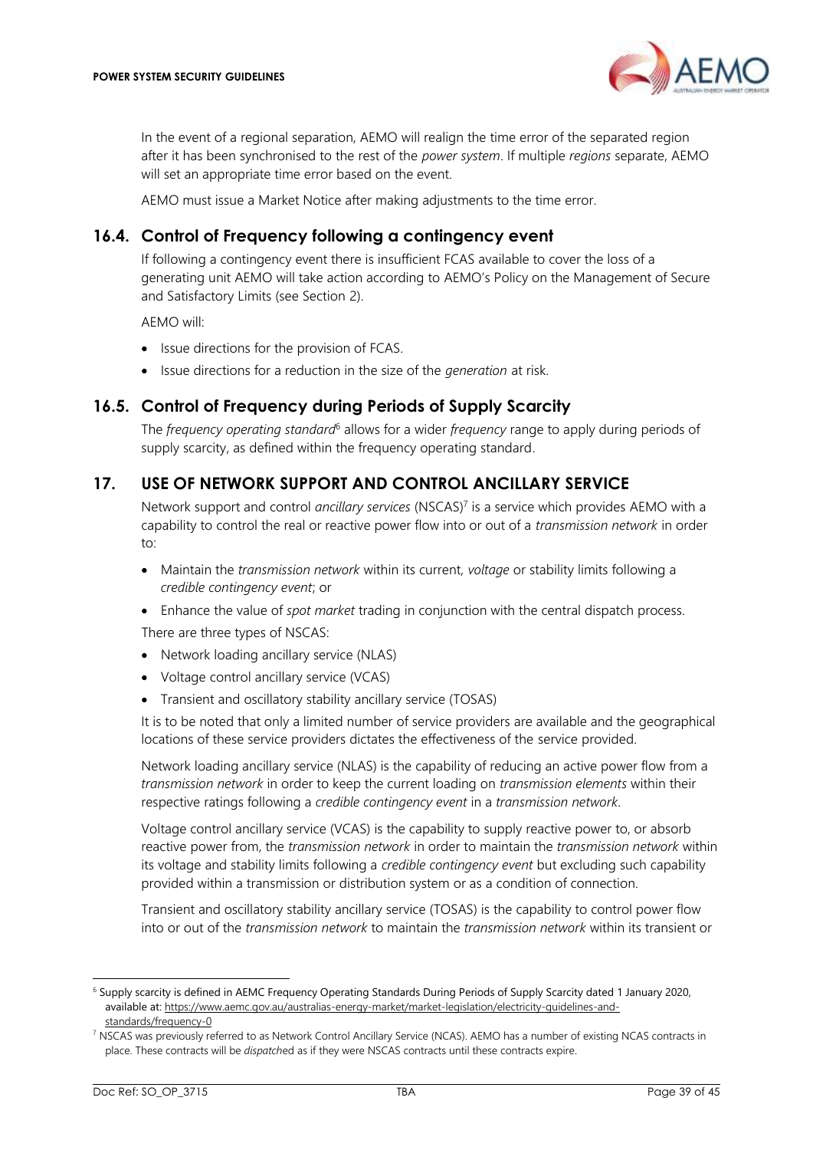

In the event of a regional separation, AEMO will realign the time error of the separated region after it has been synchronised to the rest of the *power system*. If multiple *regions* separate, AEMO will set an appropriate time error based on the event.

AEMO must issue a Market Notice after making adjustments to the time error.

### <span id="page-38-0"></span>**16.4. Control of Frequency following a contingency event**

If following a contingency event there is insufficient FCAS available to cover the loss of a generating unit AEMO will take action according to AEMO's Policy on the Management of Secure and Satisfactory Limits (see Section [2\)](#page-6-1).

AEMO will:

- Issue directions for the provision of FCAS.
- Issue directions for a reduction in the size of the *generation* at risk.

### <span id="page-38-1"></span>**16.5. Control of Frequency during Periods of Supply Scarcity**

The *frequency operating standard*<sup>6</sup> allows for a wider *frequency* range to apply during periods of supply scarcity, as defined within the frequency operating standard.

### <span id="page-38-2"></span>**17. USE OF NETWORK SUPPORT AND CONTROL ANCILLARY SERVICE**

Network support and control *ancillary services* (NSCAS)<sup>7</sup> is a service which provides AEMO with a capability to control the real or reactive power flow into or out of a *transmission network* in order to:

- Maintain the *transmission network* within its current, *voltage* or stability limits following a *credible contingency event*; or
- Enhance the value of *spot market* trading in conjunction with the central dispatch process.

There are three types of NSCAS:

- Network loading ancillary service (NLAS)
- Voltage control ancillary service (VCAS)
- Transient and oscillatory stability ancillary service (TOSAS)

It is to be noted that only a limited number of service providers are available and the geographical locations of these service providers dictates the effectiveness of the service provided.

Network loading ancillary service (NLAS) is the capability of reducing an active power flow from a *transmission network* in order to keep the current loading on *transmission elements* within their respective ratings following a *credible contingency event* in a *transmission network*.

Voltage control ancillary service (VCAS) is the capability to supply reactive power to, or absorb reactive power from, the *transmission network* in order to maintain the *transmission network* within its voltage and stability limits following a *credible contingency event* but excluding such capability provided within a transmission or distribution system or as a condition of connection.

Transient and oscillatory stability ancillary service (TOSAS) is the capability to control power flow into or out of the *transmission network* to maintain the *transmission network* within its transient or

<sup>6</sup> Supply scarcity is defined in AEMC Frequency Operating Standards During Periods of Supply Scarcity dated 1 January 2020, available at: [https://www.aemc.gov.au/australias-energy-market/market-legislation/electricity-guidelines-and](https://www.aemc.gov.au/australias-energy-market/market-legislation/electricity-guidelines-and-standards/frequency-0)[standards/frequency-0](https://www.aemc.gov.au/australias-energy-market/market-legislation/electricity-guidelines-and-standards/frequency-0)

<sup>&</sup>lt;sup>7</sup> NSCAS was previously referred to as Network Control Ancillary Service (NCAS). AEMO has a number of existing NCAS contracts in place. These contracts will be *dispatch*ed as if they were NSCAS contracts until these contracts expire.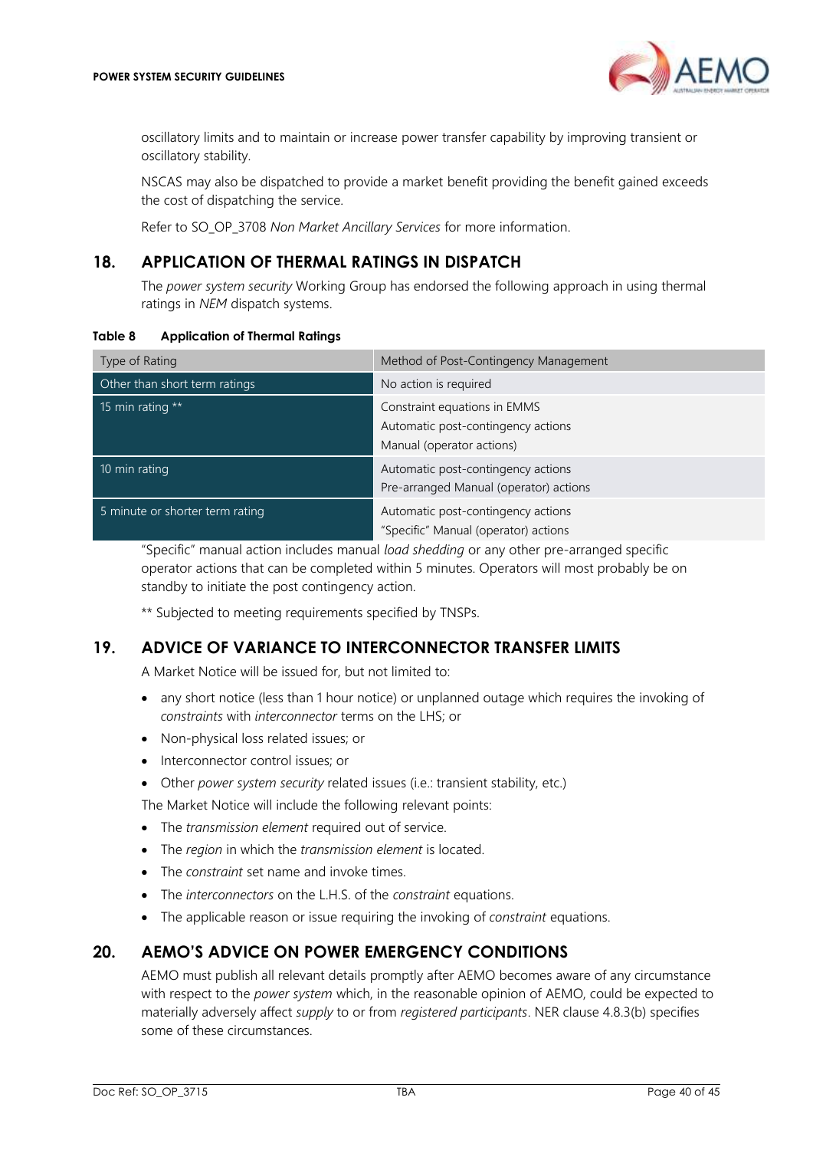

oscillatory limits and to maintain or increase power transfer capability by improving transient or oscillatory stability.

NSCAS may also be dispatched to provide a market benefit providing the benefit gained exceeds the cost of dispatching the service.

Refer to SO\_OP\_3708 *Non Market Ancillary Services* for more information.

# <span id="page-39-0"></span>**18. APPLICATION OF THERMAL RATINGS IN DISPATCH**

The *power system security* Working Group has endorsed the following approach in using thermal ratings in *NEM* dispatch systems.

#### <span id="page-39-3"></span>**Table 8 Application of Thermal Ratings**

| Type of Rating                  | Method of Post-Contingency Management                                                           |
|---------------------------------|-------------------------------------------------------------------------------------------------|
| Other than short term ratings   | No action is required                                                                           |
| 15 min rating **                | Constraint equations in EMMS<br>Automatic post-contingency actions<br>Manual (operator actions) |
| 10 min rating                   | Automatic post-contingency actions<br>Pre-arranged Manual (operator) actions                    |
| 5 minute or shorter term rating | Automatic post-contingency actions<br>"Specific" Manual (operator) actions                      |

"Specific" manual action includes manual *load shedding* or any other pre-arranged specific operator actions that can be completed within 5 minutes. Operators will most probably be on standby to initiate the post contingency action.

\*\* Subjected to meeting requirements specified by TNSPs.

### <span id="page-39-1"></span>**19. ADVICE OF VARIANCE TO INTERCONNECTOR TRANSFER LIMITS**

A Market Notice will be issued for, but not limited to:

- any short notice (less than 1 hour notice) or unplanned outage which requires the invoking of *constraints* with *interconnector* terms on the LHS; or
- Non-physical loss related issues; or
- Interconnector control issues; or
- Other *power system security* related issues (i.e.: transient stability, etc.)

The Market Notice will include the following relevant points:

- The *transmission element* required out of service.
- The *region* in which the *transmission element* is located.
- The *constraint* set name and invoke times.
- The *interconnectors* on the L.H.S. of the *constraint* equations.
- The applicable reason or issue requiring the invoking of *constraint* equations.

# <span id="page-39-2"></span>**20. AEMO'S ADVICE ON POWER EMERGENCY CONDITIONS**

AEMO must publish all relevant details promptly after AEMO becomes aware of any circumstance with respect to the *power system* which, in the reasonable opinion of AEMO, could be expected to materially adversely affect *supply* to or from *registered participants*. NER clause 4.8.3(b) specifies some of these circumstances.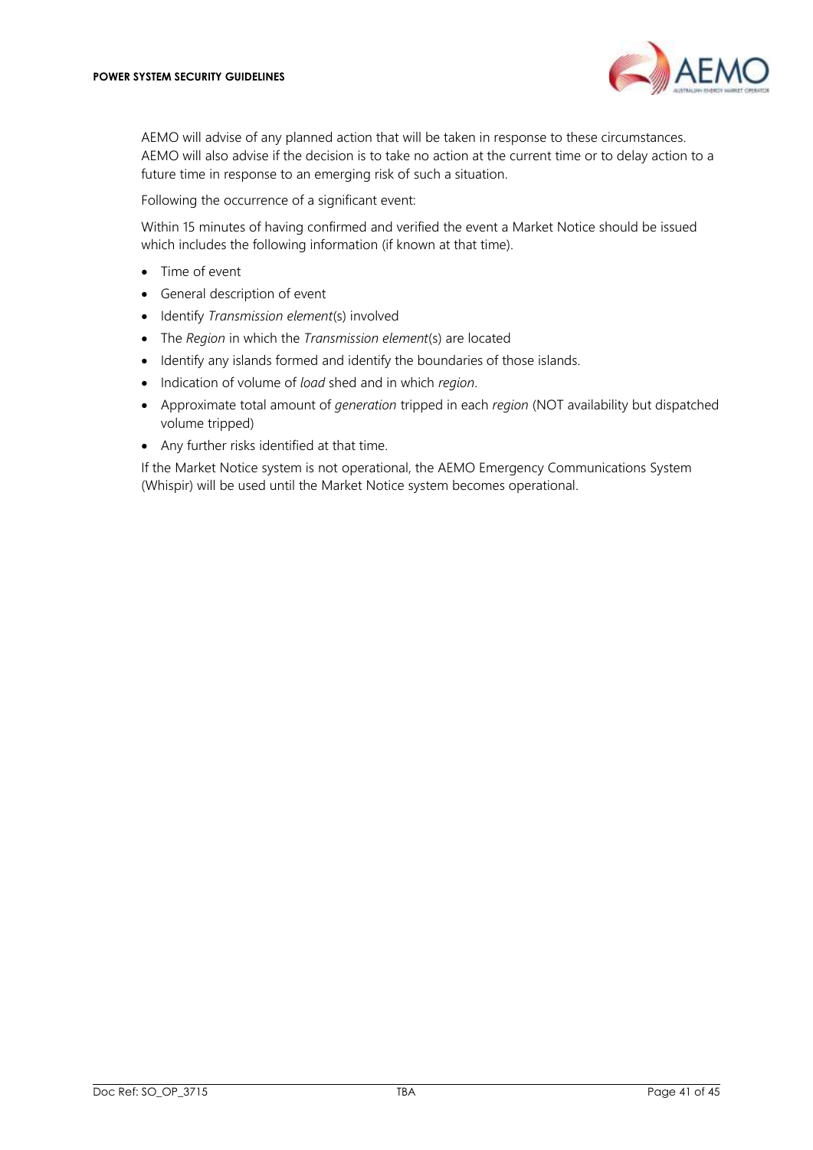

AEMO will advise of any planned action that will be taken in response to these circumstances. AEMO will also advise if the decision is to take no action at the current time or to delay action to a future time in response to an emerging risk of such a situation.

Following the occurrence of a significant event:

Within 15 minutes of having confirmed and verified the event a Market Notice should be issued which includes the following information (if known at that time).

- Time of event
- General description of event
- Identify *Transmission element*(s) involved
- The *Region* in which the *Transmission element*(s) are located
- Identify any islands formed and identify the boundaries of those islands.
- Indication of volume of *load* shed and in which *region*.
- Approximate total amount of *generation* tripped in each *region* (NOT availability but dispatched volume tripped)
- Any further risks identified at that time.

If the Market Notice system is not operational, the AEMO Emergency Communications System (Whispir) will be used until the Market Notice system becomes operational.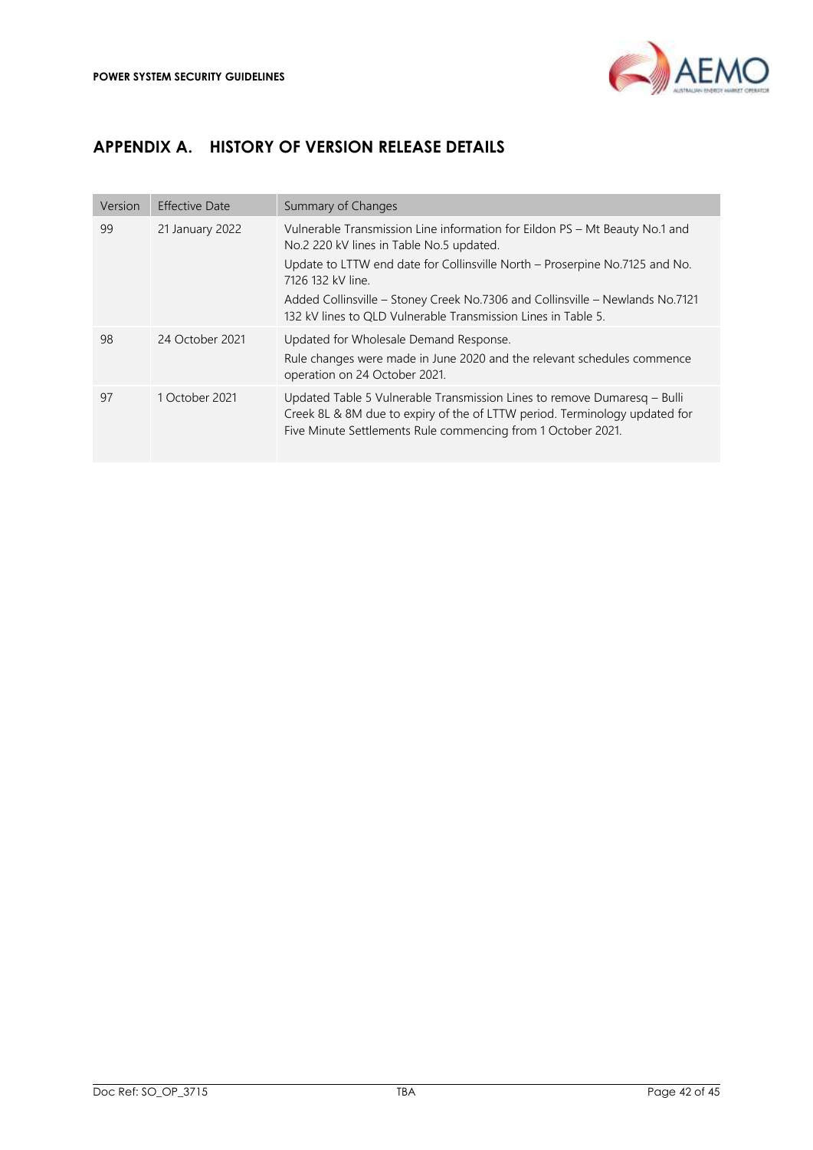

# <span id="page-41-0"></span>**APPENDIX A. HISTORY OF VERSION RELEASE DETAILS**

| Version | Effective Date  | Summary of Changes                                                                                                                                                                                                                                                                                                                                                            |
|---------|-----------------|-------------------------------------------------------------------------------------------------------------------------------------------------------------------------------------------------------------------------------------------------------------------------------------------------------------------------------------------------------------------------------|
| 99      | 21 January 2022 | Vulnerable Transmission Line information for Eildon PS – Mt Beauty No.1 and<br>No.2 220 kV lines in Table No.5 updated.<br>Update to LTTW end date for Collinsville North - Proserpine No.7125 and No.<br>7126 132 kV line.<br>Added Collinsville – Stoney Creek No.7306 and Collinsville – Newlands No.7121<br>132 kV lines to QLD Vulnerable Transmission Lines in Table 5. |
| 98      | 24 October 2021 | Updated for Wholesale Demand Response.<br>Rule changes were made in June 2020 and the relevant schedules commence<br>operation on 24 October 2021.                                                                                                                                                                                                                            |
| 97      | 1 October 2021  | Updated Table 5 Vulnerable Transmission Lines to remove Dumaresq – Bulli<br>Creek 8L & 8M due to expiry of the of LTTW period. Terminology updated for<br>Five Minute Settlements Rule commencing from 1 October 2021.                                                                                                                                                        |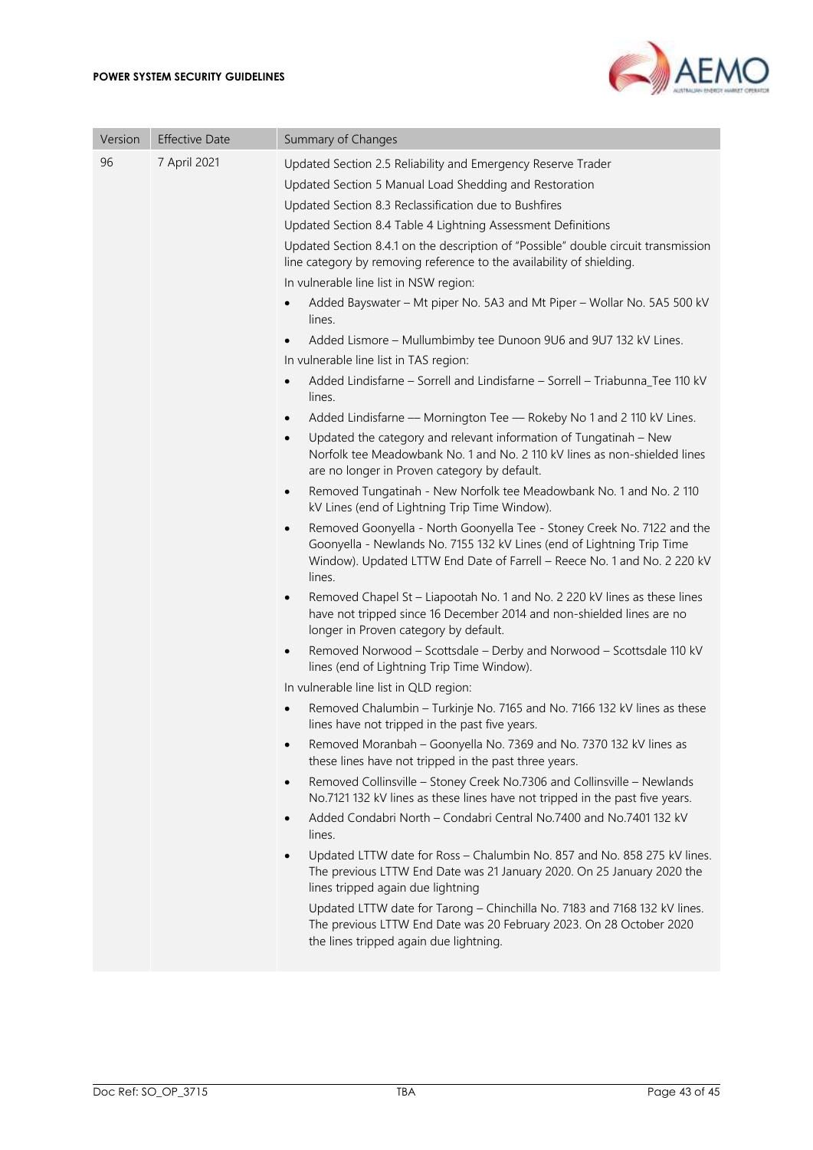

| Version | <b>Effective Date</b> | Summary of Changes                                                                                                                                                                                                                                                                                                                                                                                                                                                                                                                                                                                                                                                                                                                                                                                                                                                                                                                                                                                                                                                                                                                                                                                                                                                                                                                                                                                                                                                                                                                                                                                                                                                                                                                                                                                                                                                                                                                                                                                                                                                                                                                                                                                                                                                                                                                                                                                                                                                                                                                                                                                                                                                                                                                                                              |
|---------|-----------------------|---------------------------------------------------------------------------------------------------------------------------------------------------------------------------------------------------------------------------------------------------------------------------------------------------------------------------------------------------------------------------------------------------------------------------------------------------------------------------------------------------------------------------------------------------------------------------------------------------------------------------------------------------------------------------------------------------------------------------------------------------------------------------------------------------------------------------------------------------------------------------------------------------------------------------------------------------------------------------------------------------------------------------------------------------------------------------------------------------------------------------------------------------------------------------------------------------------------------------------------------------------------------------------------------------------------------------------------------------------------------------------------------------------------------------------------------------------------------------------------------------------------------------------------------------------------------------------------------------------------------------------------------------------------------------------------------------------------------------------------------------------------------------------------------------------------------------------------------------------------------------------------------------------------------------------------------------------------------------------------------------------------------------------------------------------------------------------------------------------------------------------------------------------------------------------------------------------------------------------------------------------------------------------------------------------------------------------------------------------------------------------------------------------------------------------------------------------------------------------------------------------------------------------------------------------------------------------------------------------------------------------------------------------------------------------------------------------------------------------------------------------------------------------|
| 96      | 7 April 2021          | Updated Section 2.5 Reliability and Emergency Reserve Trader<br>Updated Section 5 Manual Load Shedding and Restoration<br>Updated Section 8.3 Reclassification due to Bushfires<br>Updated Section 8.4 Table 4 Lightning Assessment Definitions<br>Updated Section 8.4.1 on the description of "Possible" double circuit transmission<br>line category by removing reference to the availability of shielding.<br>In vulnerable line list in NSW region:<br>Added Bayswater - Mt piper No. 5A3 and Mt Piper - Wollar No. 5A5 500 kV<br>lines.<br>Added Lismore - Mullumbimby tee Dunoon 9U6 and 9U7 132 kV Lines.<br>In vulnerable line list in TAS region:<br>Added Lindisfarne - Sorrell and Lindisfarne - Sorrell - Triabunna_Tee 110 kV<br>lines.<br>Added Lindisfarne - Mornington Tee - Rokeby No 1 and 2 110 kV Lines.<br>$\bullet$<br>Updated the category and relevant information of Tungatinah - New<br>$\bullet$<br>Norfolk tee Meadowbank No. 1 and No. 2 110 kV lines as non-shielded lines<br>are no longer in Proven category by default.<br>Removed Tungatinah - New Norfolk tee Meadowbank No. 1 and No. 2 110<br>$\bullet$<br>kV Lines (end of Lightning Trip Time Window).<br>Removed Goonyella - North Goonyella Tee - Stoney Creek No. 7122 and the<br>$\bullet$<br>Goonyella - Newlands No. 7155 132 kV Lines (end of Lightning Trip Time<br>Window). Updated LTTW End Date of Farrell - Reece No. 1 and No. 2 220 kV<br>lines.<br>Removed Chapel St - Liapootah No. 1 and No. 2 220 kV lines as these lines<br>$\bullet$<br>have not tripped since 16 December 2014 and non-shielded lines are no<br>longer in Proven category by default.<br>Removed Norwood - Scottsdale - Derby and Norwood - Scottsdale 110 kV<br>٠<br>lines (end of Lightning Trip Time Window).<br>In vulnerable line list in QLD region:<br>Removed Chalumbin - Turkinje No. 7165 and No. 7166 132 kV lines as these<br>lines have not tripped in the past five years.<br>Removed Moranbah - Goonyella No. 7369 and No. 7370 132 kV lines as<br>$\bullet$<br>these lines have not tripped in the past three years.<br>Removed Collinsville - Stoney Creek No.7306 and Collinsville - Newlands<br>$\bullet$<br>No.7121 132 kV lines as these lines have not tripped in the past five years.<br>Added Condabri North - Condabri Central No.7400 and No.7401 132 kV<br>$\bullet$<br>lines.<br>Updated LTTW date for Ross - Chalumbin No. 857 and No. 858 275 kV lines.<br>The previous LTTW End Date was 21 January 2020. On 25 January 2020 the<br>lines tripped again due lightning<br>Updated LTTW date for Tarong - Chinchilla No. 7183 and 7168 132 kV lines.<br>The previous LTTW End Date was 20 February 2023. On 28 October 2020<br>the lines tripped again due lightning. |
|         |                       |                                                                                                                                                                                                                                                                                                                                                                                                                                                                                                                                                                                                                                                                                                                                                                                                                                                                                                                                                                                                                                                                                                                                                                                                                                                                                                                                                                                                                                                                                                                                                                                                                                                                                                                                                                                                                                                                                                                                                                                                                                                                                                                                                                                                                                                                                                                                                                                                                                                                                                                                                                                                                                                                                                                                                                                 |
|         |                       |                                                                                                                                                                                                                                                                                                                                                                                                                                                                                                                                                                                                                                                                                                                                                                                                                                                                                                                                                                                                                                                                                                                                                                                                                                                                                                                                                                                                                                                                                                                                                                                                                                                                                                                                                                                                                                                                                                                                                                                                                                                                                                                                                                                                                                                                                                                                                                                                                                                                                                                                                                                                                                                                                                                                                                                 |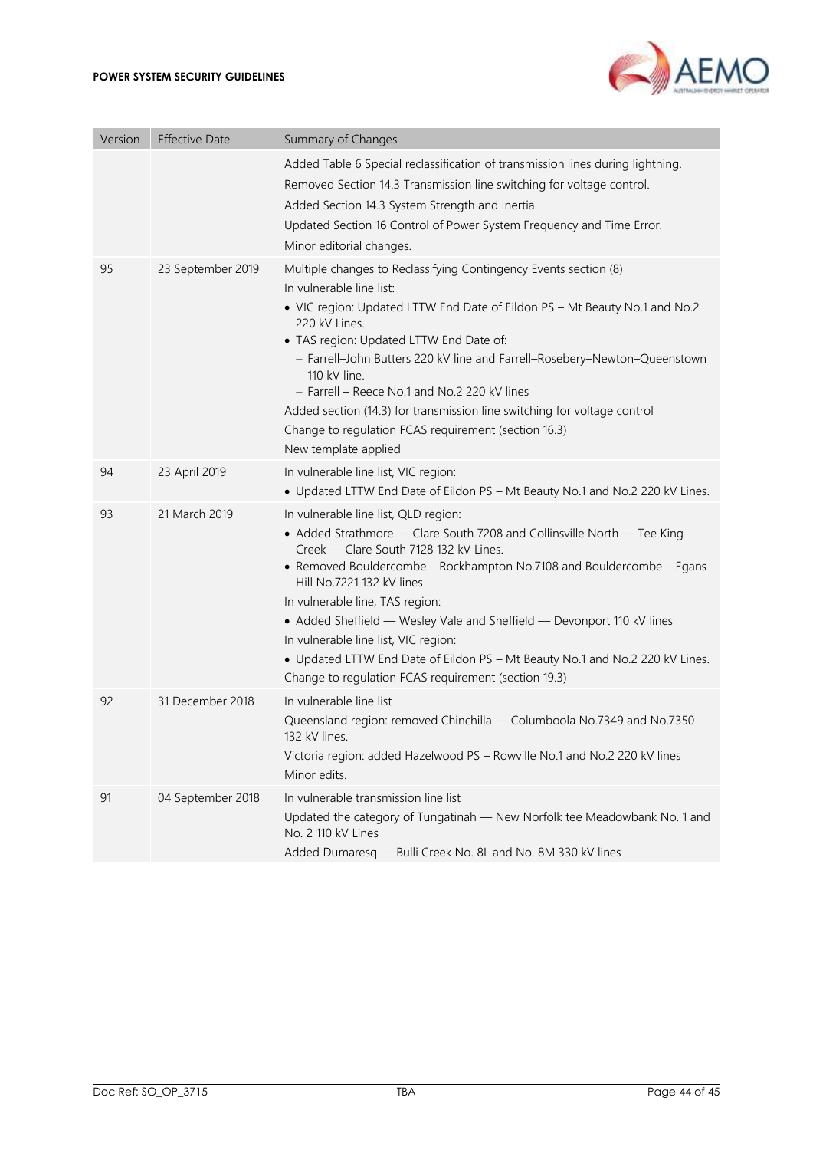#### **POWER SYSTEM SECURITY GUIDELINES**



| Version | <b>Effective Date</b> | Summary of Changes                                                                                                                                                                                                                                                                                                                                                                                                                                                                                                                                           |
|---------|-----------------------|--------------------------------------------------------------------------------------------------------------------------------------------------------------------------------------------------------------------------------------------------------------------------------------------------------------------------------------------------------------------------------------------------------------------------------------------------------------------------------------------------------------------------------------------------------------|
|         |                       | Added Table 6 Special reclassification of transmission lines during lightning.<br>Removed Section 14.3 Transmission line switching for voltage control.<br>Added Section 14.3 System Strength and Inertia.<br>Updated Section 16 Control of Power System Frequency and Time Error.<br>Minor editorial changes.                                                                                                                                                                                                                                               |
| 95      | 23 September 2019     | Multiple changes to Reclassifying Contingency Events section (8)<br>In vulnerable line list:<br>• VIC region: Updated LTTW End Date of Eildon PS - Mt Beauty No.1 and No.2<br>220 kV Lines.<br>• TAS region: Updated LTTW End Date of:<br>- Farrell-John Butters 220 kV line and Farrell-Rosebery-Newton-Queenstown<br>110 kV line.<br>- Farrell - Reece No.1 and No.2 220 kV lines<br>Added section (14.3) for transmission line switching for voltage control<br>Change to regulation FCAS requirement (section 16.3)<br>New template applied              |
| 94      | 23 April 2019         | In vulnerable line list, VIC region:<br>• Updated LTTW End Date of Eildon PS - Mt Beauty No.1 and No.2 220 kV Lines.                                                                                                                                                                                                                                                                                                                                                                                                                                         |
| 93      | 21 March 2019         | In vulnerable line list, QLD region:<br>• Added Strathmore - Clare South 7208 and Collinsville North - Tee King<br>Creek - Clare South 7128 132 kV Lines.<br>• Removed Bouldercombe - Rockhampton No.7108 and Bouldercombe - Egans<br>Hill No.7221 132 kV lines<br>In vulnerable line, TAS region:<br>• Added Sheffield - Wesley Vale and Sheffield - Devonport 110 kV lines<br>In vulnerable line list, VIC region:<br>• Updated LTTW End Date of Eildon PS - Mt Beauty No.1 and No.2 220 kV Lines.<br>Change to regulation FCAS requirement (section 19.3) |
| 92      | 31 December 2018      | In vulnerable line list<br>Queensland region: removed Chinchilla - Columboola No.7349 and No.7350<br>132 kV lines.<br>Victoria region: added Hazelwood PS - Rowville No.1 and No.2 220 kV lines<br>Minor edits.                                                                                                                                                                                                                                                                                                                                              |
| 91      | 04 September 2018     | In vulnerable transmission line list<br>Updated the category of Tungatinah - New Norfolk tee Meadowbank No. 1 and<br>No. 2 110 kV Lines<br>Added Dumaresq - Bulli Creek No. 8L and No. 8M 330 kV lines                                                                                                                                                                                                                                                                                                                                                       |